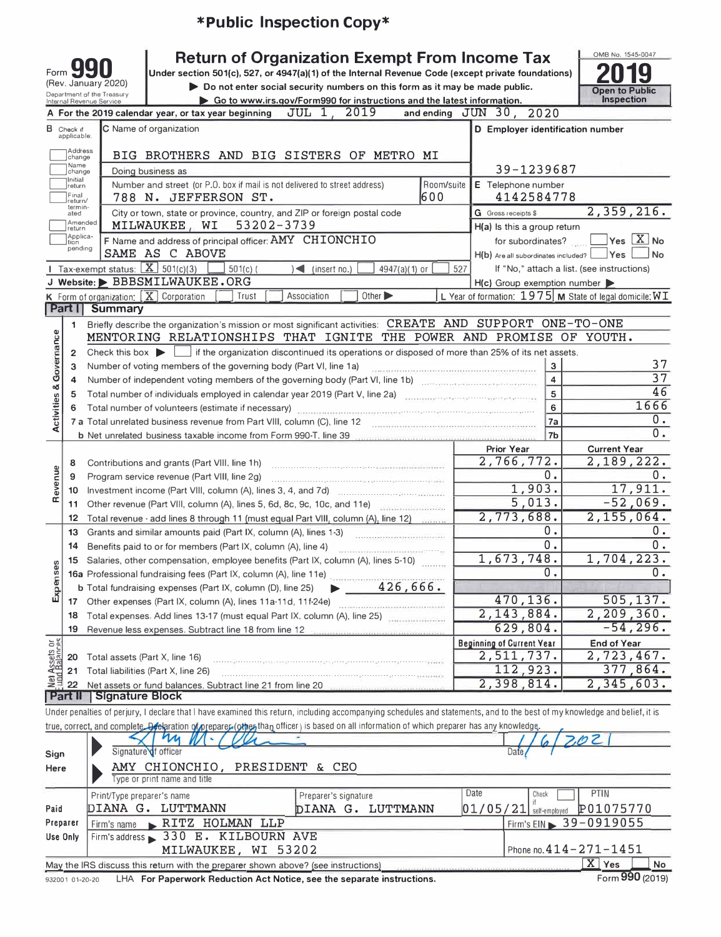|                                                                                                                                                                                                     |                                  |                                                                                               |                                                                           | *Public Inspection Copy*                                                                                                                                                                                                                  |                      |                                                            |                                                             |  |  |  |  |  |
|-----------------------------------------------------------------------------------------------------------------------------------------------------------------------------------------------------|----------------------------------|-----------------------------------------------------------------------------------------------|---------------------------------------------------------------------------|-------------------------------------------------------------------------------------------------------------------------------------------------------------------------------------------------------------------------------------------|----------------------|------------------------------------------------------------|-------------------------------------------------------------|--|--|--|--|--|
|                                                                                                                                                                                                     | Form S                           | (Rev. January 2020)<br>Department of the Treasury                                             |                                                                           | <b>Return of Organization Exempt From Income Tax</b><br>Under section 501(c), 527, or 4947(a)(1) of the Internal Revenue Code (except private foundations)<br>Do not enter social security numbers on this form as it may be made public. |                      |                                                            | OMB No. 1545-0047<br><b>Open to Public</b>                  |  |  |  |  |  |
|                                                                                                                                                                                                     |                                  | Internal Revenue Service                                                                      |                                                                           | Go to www.irs.gov/Form990 for instructions and the latest information.                                                                                                                                                                    |                      |                                                            | <b>Inspection</b>                                           |  |  |  |  |  |
|                                                                                                                                                                                                     |                                  |                                                                                               | A For the 2019 calendar year, or tax year beginning                       | 2019<br>JUL 1                                                                                                                                                                                                                             |                      | and ending JUN 30, 2020                                    |                                                             |  |  |  |  |  |
|                                                                                                                                                                                                     | <b>B</b> Check if<br>applicable: |                                                                                               | C Name of organization                                                    |                                                                                                                                                                                                                                           |                      | D Employer identification number                           |                                                             |  |  |  |  |  |
|                                                                                                                                                                                                     | Address<br>change                |                                                                                               |                                                                           | BIG BROTHERS AND BIG SISTERS OF METRO MI                                                                                                                                                                                                  |                      |                                                            |                                                             |  |  |  |  |  |
|                                                                                                                                                                                                     | Name<br>change                   |                                                                                               | Doing business as                                                         |                                                                                                                                                                                                                                           |                      | 39-1239687                                                 |                                                             |  |  |  |  |  |
| Initial<br>Number and street (or P.O. box if mail is not delivered to street address)<br>Room/suite<br>E Telephone number<br>return<br>Final<br>600<br>788 N. JEFFERSON ST.<br>4142584778<br>eturn/ |                                  |                                                                                               |                                                                           |                                                                                                                                                                                                                                           |                      |                                                            |                                                             |  |  |  |  |  |
|                                                                                                                                                                                                     | termin-<br>ated                  |                                                                                               |                                                                           | City or town, state or province, country, and ZIP or foreign postal code                                                                                                                                                                  |                      | G Gross receipts \$                                        | 2,359,216.                                                  |  |  |  |  |  |
|                                                                                                                                                                                                     | Amended<br>return<br>Applica-    |                                                                                               | MILWAUKEE, WI                                                             | 53202-3739                                                                                                                                                                                                                                |                      | H(a) Is this a group return                                |                                                             |  |  |  |  |  |
|                                                                                                                                                                                                     | tion<br>pending                  |                                                                                               | F Name and address of principal officer: AMY CHIONCHIO<br>SAME AS C ABOVE |                                                                                                                                                                                                                                           |                      | for subordinates?<br>$H(b)$ Are all subordinates included? | Yes $X$ No<br>Yes<br><b>No</b>                              |  |  |  |  |  |
|                                                                                                                                                                                                     |                                  | Tax-exempt status: $X \overline{3}$ 501(c)(3)                                                 | $501(c)$ (                                                                | $\sqrt{ }$ (insert no.)                                                                                                                                                                                                                   | 4947(a)(1) or<br>527 |                                                            | If "No," attach a list. (see instructions)                  |  |  |  |  |  |
|                                                                                                                                                                                                     |                                  |                                                                                               | J Website: BBBSMILWAUKEE.ORG                                              |                                                                                                                                                                                                                                           |                      | $H(c)$ Group exemption number $\blacktriangleright$        |                                                             |  |  |  |  |  |
|                                                                                                                                                                                                     |                                  |                                                                                               | <b>K</b> Form of organization: $\boxed{\mathbf{X}}$ Corporation<br>Trust  | Other $\blacktriangleright$<br>Association                                                                                                                                                                                                |                      |                                                            | L Year of formation: $1975$ M State of legal domicile: $WT$ |  |  |  |  |  |
|                                                                                                                                                                                                     | Part I                           | Summary                                                                                       |                                                                           |                                                                                                                                                                                                                                           |                      |                                                            |                                                             |  |  |  |  |  |
|                                                                                                                                                                                                     | 1.                               |                                                                                               |                                                                           | Briefly describe the organization's mission or most significant activities: CREATE AND SUPPORT ONE-TO-ONE                                                                                                                                 |                      |                                                            |                                                             |  |  |  |  |  |
| <b>Activities &amp; Governance</b>                                                                                                                                                                  |                                  |                                                                                               |                                                                           | MENTORING RELATIONSHIPS THAT IGNITE THE POWER AND PROMISE OF YOUTH.                                                                                                                                                                       |                      |                                                            |                                                             |  |  |  |  |  |
|                                                                                                                                                                                                     | $\mathbf{2}^{\circ}$             |                                                                                               |                                                                           | Check this box $\triangleright$ $\square$ if the organization discontinued its operations or disposed of more than 25% of its net assets.                                                                                                 |                      |                                                            | 37                                                          |  |  |  |  |  |
|                                                                                                                                                                                                     |                                  | Number of voting members of the governing body (Part VI, line 1a)<br>з<br>з<br>$\overline{4}$ |                                                                           |                                                                                                                                                                                                                                           |                      |                                                            |                                                             |  |  |  |  |  |
|                                                                                                                                                                                                     | 4                                |                                                                                               |                                                                           |                                                                                                                                                                                                                                           |                      |                                                            | $\overline{37}$<br>46                                       |  |  |  |  |  |
|                                                                                                                                                                                                     | 5                                |                                                                                               |                                                                           | Total number of individuals employed in calendar year 2019 (Part V, line 2a) contains the matrix of the U.S.                                                                                                                              |                      | 5                                                          | 1666                                                        |  |  |  |  |  |
|                                                                                                                                                                                                     |                                  |                                                                                               | Total number of volunteers (estimate if necessary)                        |                                                                                                                                                                                                                                           |                      | 6                                                          | $0$ .                                                       |  |  |  |  |  |
|                                                                                                                                                                                                     |                                  |                                                                                               | 7 a Total unrelated business revenue from Part VIII, column (C), line 12  | <b>b</b> Net unrelated business taxable income from Form 990-T, line 39                                                                                                                                                                   |                      | 7a<br>7b                                                   | $\overline{0}$ .                                            |  |  |  |  |  |
|                                                                                                                                                                                                     |                                  |                                                                                               |                                                                           |                                                                                                                                                                                                                                           |                      | Prior Year                                                 | <b>Current Year</b>                                         |  |  |  |  |  |
|                                                                                                                                                                                                     | 8                                |                                                                                               | Contributions and grants (Part VIII, line 1h)                             |                                                                                                                                                                                                                                           |                      | 2,766,772.                                                 | 2,189,222.                                                  |  |  |  |  |  |
| Revenue                                                                                                                                                                                             | 9                                |                                                                                               | Program service revenue (Part VIII, line 2g)                              |                                                                                                                                                                                                                                           |                      | 0.                                                         | 0.                                                          |  |  |  |  |  |
|                                                                                                                                                                                                     | 10                               |                                                                                               |                                                                           |                                                                                                                                                                                                                                           |                      | 1,903.                                                     | 17,911.                                                     |  |  |  |  |  |
|                                                                                                                                                                                                     | 11                               |                                                                                               |                                                                           | Other revenue (Part VIII, column (A), lines 5, 6d, 8c, 9c, 10c, and 11e)                                                                                                                                                                  |                      | 5,013.                                                     | $-52,069.$                                                  |  |  |  |  |  |
|                                                                                                                                                                                                     | 12 <sup>2</sup>                  |                                                                                               |                                                                           | Total revenue - add lines 8 through 11 (must equal Part VIII, column (A), line 12)                                                                                                                                                        |                      | 2,773,688.                                                 | 2,155,064.                                                  |  |  |  |  |  |
|                                                                                                                                                                                                     | 13                               |                                                                                               | Grants and similar amounts paid (Part IX, column (A), lines 1-3)          |                                                                                                                                                                                                                                           |                      | 0.                                                         | 0.                                                          |  |  |  |  |  |
|                                                                                                                                                                                                     | 14                               |                                                                                               | Benefits paid to or for members (Part IX, column (A), line 4)             |                                                                                                                                                                                                                                           |                      | $0$ .                                                      | $0$ .                                                       |  |  |  |  |  |
|                                                                                                                                                                                                     |                                  |                                                                                               |                                                                           | 15 Salaries, other compensation, employee benefits (Part IX, column (A), lines 5-10)                                                                                                                                                      |                      | 1,673,748.                                                 | 1,704,223.                                                  |  |  |  |  |  |
|                                                                                                                                                                                                     |                                  |                                                                                               |                                                                           |                                                                                                                                                                                                                                           |                      | Ο.                                                         | $0$ .                                                       |  |  |  |  |  |
| Expenses                                                                                                                                                                                            |                                  |                                                                                               |                                                                           | 15 Salaries, other components of Part IX, column (A), line 11e)<br>16a Professional fundraising fees (Part IX, column (A), line 251 426, 666.                                                                                             |                      |                                                            |                                                             |  |  |  |  |  |
|                                                                                                                                                                                                     |                                  |                                                                                               | 17 Other expenses (Part IX, column (A), lines 11a-11d, 11f-24e)           |                                                                                                                                                                                                                                           |                      | 470,136.                                                   | 505, 137.                                                   |  |  |  |  |  |
|                                                                                                                                                                                                     | 18                               |                                                                                               |                                                                           | Total expenses. Add lines 13-17 (must equal Part IX, column (A), line 25)                                                                                                                                                                 |                      | 2,143,884.                                                 | 2,209,360.                                                  |  |  |  |  |  |
|                                                                                                                                                                                                     | 19                               |                                                                                               | Revenue less expenses. Subtract line 18 from line 12                      |                                                                                                                                                                                                                                           |                      | 629,804.                                                   | $-54, 296.$                                                 |  |  |  |  |  |
| Assets or<br>d.Balances                                                                                                                                                                             |                                  |                                                                                               |                                                                           |                                                                                                                                                                                                                                           |                      | <b>Beginning of Current Year</b>                           | End of Year                                                 |  |  |  |  |  |
|                                                                                                                                                                                                     | 20                               | Total assets (Part X, line 16)                                                                |                                                                           |                                                                                                                                                                                                                                           |                      | 2,511,737.                                                 | 2,723,467.                                                  |  |  |  |  |  |
|                                                                                                                                                                                                     | 21                               |                                                                                               | Total liabilities (Part X, line 26)                                       |                                                                                                                                                                                                                                           |                      | 112,923.                                                   | 377,864.                                                    |  |  |  |  |  |
| 휔                                                                                                                                                                                                   | 22                               |                                                                                               |                                                                           | Net assets or fund balances. Subtract line 21 from line 20 manuscriptions                                                                                                                                                                 |                      | 2,398,814.                                                 | 2,345,603.                                                  |  |  |  |  |  |
|                                                                                                                                                                                                     | Part $\parallel$                 | <b>Signature Block</b>                                                                        |                                                                           |                                                                                                                                                                                                                                           |                      |                                                            |                                                             |  |  |  |  |  |
|                                                                                                                                                                                                     |                                  |                                                                                               |                                                                           | Under penalties of perjury, I declare that I have examined this return, including accompanying schedules and statements, and to the best of my knowledge and belief, it is                                                                |                      |                                                            |                                                             |  |  |  |  |  |
|                                                                                                                                                                                                     |                                  |                                                                                               |                                                                           | true, correct, and complete Declaration of prepare (other than officer) is based on all information of which preparer has any knowledge.                                                                                                  |                      |                                                            |                                                             |  |  |  |  |  |
|                                                                                                                                                                                                     |                                  |                                                                                               | Signature of officer                                                      |                                                                                                                                                                                                                                           |                      | Dafe                                                       | 7,02                                                        |  |  |  |  |  |
| Sign                                                                                                                                                                                                |                                  |                                                                                               | AMY CHIONCHIO, PRESIDENT                                                  |                                                                                                                                                                                                                                           |                      |                                                            |                                                             |  |  |  |  |  |
| Here                                                                                                                                                                                                |                                  |                                                                                               | Type or print name and title                                              | & CEO                                                                                                                                                                                                                                     |                      |                                                            |                                                             |  |  |  |  |  |

|          | <b>A PU OF DITTLE HUITING UITGE LILIU</b>                                                            |                      |                   |       |                                    |                               |  |  |  |  |  |
|----------|------------------------------------------------------------------------------------------------------|----------------------|-------------------|-------|------------------------------------|-------------------------------|--|--|--|--|--|
|          | Print/Type preparer's name                                                                           | Preparer's signature |                   | Check | PTIN                               |                               |  |  |  |  |  |
| Paid     | DIANA G. LUTTMANN                                                                                    |                      | DIANA G. LUTTMANN |       | $01/05/21$ self-employed P01075770 |                               |  |  |  |  |  |
| Preparer | Firm's EIN > 39-0919055<br>Firm's name RITZ HOLMAN LLP                                               |                      |                   |       |                                    |                               |  |  |  |  |  |
| Use Only | Firm's address > 330 E. KILBOURN AVE                                                                 |                      |                   |       |                                    |                               |  |  |  |  |  |
|          | Phone no. $414 - 271 - 1451$<br>MILWAUKEE, WI 53202                                                  |                      |                   |       |                                    |                               |  |  |  |  |  |
|          | X<br>Yes<br>May the IRS discuss this return with the preparer shown above? (see instructions)<br>No. |                      |                   |       |                                    |                               |  |  |  |  |  |
|          |                                                                                                      |                      |                   |       |                                    | $\mathbf{a} \cdot \mathbf{a}$ |  |  |  |  |  |

932001 01-20-20 LHA For Paperwork Reduction Act Notice, see the separate instructions.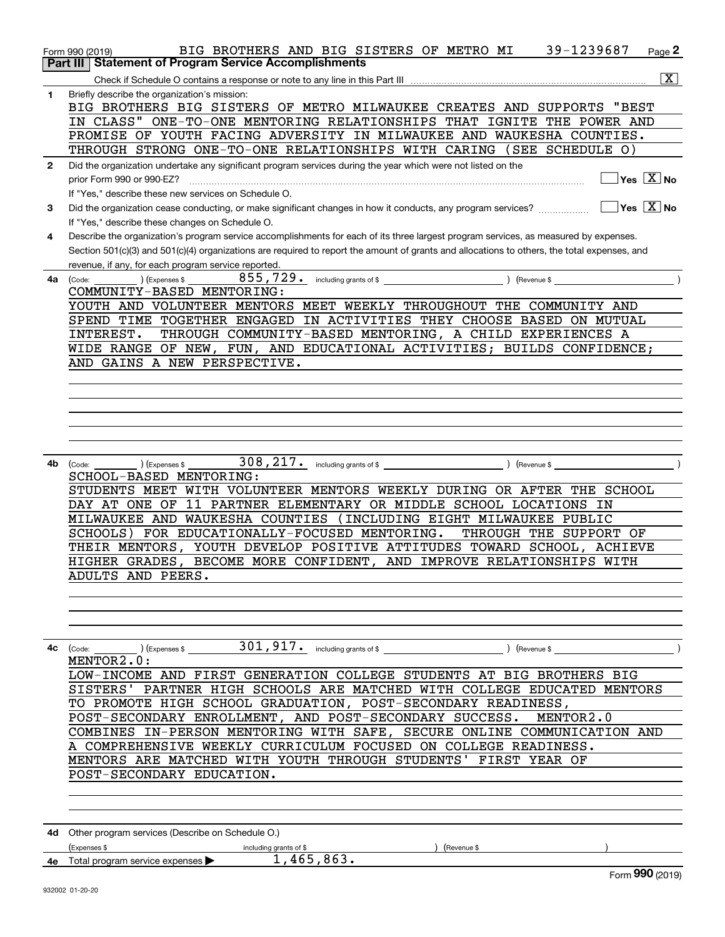|              | 39-1239687<br>BIG BROTHERS AND BIG SISTERS OF METRO MI<br>Page 2<br>Form 990 (2019)                                                          |
|--------------|----------------------------------------------------------------------------------------------------------------------------------------------|
|              | <b>Part III   Statement of Program Service Accomplishments</b>                                                                               |
|              | $\boxed{\text{X}}$                                                                                                                           |
|              |                                                                                                                                              |
| 1            | Briefly describe the organization's mission:                                                                                                 |
|              | BIG BROTHERS BIG SISTERS OF METRO MILWAUKEE CREATES AND SUPPORTS<br>"BEST                                                                    |
|              | IN CLASS" ONE-TO-ONE MENTORING RELATIONSHIPS THAT IGNITE THE POWER AND                                                                       |
|              |                                                                                                                                              |
|              | PROMISE OF YOUTH FACING ADVERSITY IN MILWAUKEE AND WAUKESHA COUNTIES.                                                                        |
|              | THROUGH STRONG ONE-TO-ONE RELATIONSHIPS WITH CARING (SEE SCHEDULE O)                                                                         |
| $\mathbf{2}$ | Did the organization undertake any significant program services during the year which were not listed on the                                 |
|              | $\overline{\mathsf{Yes}\mathord{\;\;[\mathbf{X}\mathord{\;\;}\mathsf{No}\mathord{\;\;}}$                                                     |
|              |                                                                                                                                              |
|              | If "Yes," describe these new services on Schedule O.                                                                                         |
| 3            | $ {\mathsf Y}{\mathsf e}{\mathsf s} \; \; {\mathrm X}\; $ No                                                                                 |
|              |                                                                                                                                              |
|              | If "Yes," describe these changes on Schedule O.                                                                                              |
| 4            | Describe the organization's program service accomplishments for each of its three largest program services, as measured by expenses.         |
|              | Section 501(c)(3) and 501(c)(4) organizations are required to report the amount of grants and allocations to others, the total expenses, and |
|              | revenue, if any, for each program service reported.                                                                                          |
|              |                                                                                                                                              |
| 4a           | (Code:<br>) (Expenses \$                                                                                                                     |
|              | COMMUNITY-BASED MENTORING:                                                                                                                   |
|              | YOUTH AND VOLUNTEER MENTORS MEET WEEKLY THROUGHOUT THE COMMUNITY AND                                                                         |
|              |                                                                                                                                              |
|              | SPEND TIME TOGETHER ENGAGED IN ACTIVITIES THEY CHOOSE BASED ON MUTUAL                                                                        |
|              | THROUGH COMMUNITY-BASED MENTORING, A CHILD EXPERIENCES A<br>INTEREST.                                                                        |
|              | WIDE RANGE OF NEW, FUN, AND EDUCATIONAL ACTIVITIES; BUILDS CONFIDENCE;                                                                       |
|              |                                                                                                                                              |
|              | AND GAINS A NEW PERSPECTIVE.                                                                                                                 |
|              |                                                                                                                                              |
|              |                                                                                                                                              |
|              |                                                                                                                                              |
|              |                                                                                                                                              |
|              |                                                                                                                                              |
|              |                                                                                                                                              |
|              |                                                                                                                                              |
|              |                                                                                                                                              |
| 4b           | ) (Expenses \$<br>(Code:                                                                                                                     |
|              | SCHOOL-BASED MENTORING:                                                                                                                      |
|              | STUDENTS MEET WITH VOLUNTEER MENTORS WEEKLY DURING OR AFTER THE SCHOOL                                                                       |
|              |                                                                                                                                              |
|              | DAY AT ONE OF 11 PARTNER ELEMENTARY OR MIDDLE SCHOOL LOCATIONS IN                                                                            |
|              | MILWAUKEE AND WAUKESHA COUNTIES (INCLUDING EIGHT MILWAUKEE PUBLIC                                                                            |
|              | SCHOOLS) FOR EDUCATIONALLY-FOCUSED MENTORING.<br>THROUGH THE SUPPORT OF                                                                      |
|              |                                                                                                                                              |
|              | THEIR MENTORS, YOUTH DEVELOP POSITIVE ATTITUDES TOWARD SCHOOL, ACHIEVE                                                                       |
|              | HIGHER GRADES, BECOME MORE CONFIDENT, AND IMPROVE RELATIONSHIPS WITH                                                                         |
|              | ADULTS AND PEERS.                                                                                                                            |
|              |                                                                                                                                              |
|              |                                                                                                                                              |
|              |                                                                                                                                              |
|              |                                                                                                                                              |
|              |                                                                                                                                              |
|              |                                                                                                                                              |
|              | <b>4c</b> (Code: ) (Expenses \$ 301, 917. including grants of \$ _ ) (Revenue \$                                                             |
|              | MENTOR2.0:                                                                                                                                   |
|              | LOW-INCOME AND FIRST GENERATION COLLEGE STUDENTS AT BIG BROTHERS BIG                                                                         |
|              | SISTERS' PARTNER HIGH SCHOOLS ARE MATCHED WITH COLLEGE EDUCATED MENTORS                                                                      |
|              |                                                                                                                                              |
|              | TO PROMOTE HIGH SCHOOL GRADUATION, POST-SECONDARY READINESS,                                                                                 |
|              | POST-SECONDARY ENROLLMENT, AND POST-SECONDARY SUCCESS. MENTOR2.0                                                                             |
|              | COMBINES IN-PERSON MENTORING WITH SAFE, SECURE ONLINE COMMUNICATION AND                                                                      |
|              |                                                                                                                                              |
|              | A COMPREHENSIVE WEEKLY CURRICULUM FOCUSED ON COLLEGE READINESS.                                                                              |
|              | MENTORS ARE MATCHED WITH YOUTH THROUGH STUDENTS' FIRST YEAR OF                                                                               |
|              | POST-SECONDARY EDUCATION.                                                                                                                    |
|              |                                                                                                                                              |
|              |                                                                                                                                              |
|              |                                                                                                                                              |
|              |                                                                                                                                              |
|              |                                                                                                                                              |
|              | 4d Other program services (Describe on Schedule O.)                                                                                          |
|              | (Expenses \$<br>) (Revenue \$<br>including grants of \$                                                                                      |
|              | $1,465,863$ .<br>4e Total program service expenses >                                                                                         |
|              | Form 990 (2019)                                                                                                                              |
|              |                                                                                                                                              |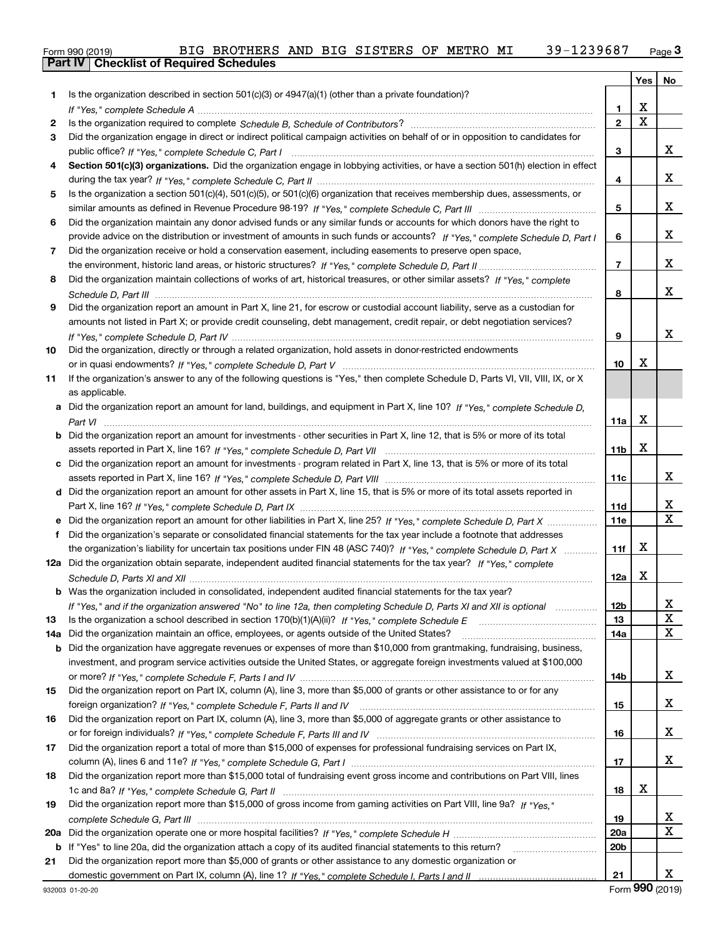| Form 990 (2019) |                                                  | BIG BROTHERS AND BIG SISTERS OF METRO MI |  |  |  | 39-1239687 | $P$ age $J$ |
|-----------------|--------------------------------------------------|------------------------------------------|--|--|--|------------|-------------|
|                 | <b>Part IV   Checklist of Required Schedules</b> |                                          |  |  |  |            |             |

|     |                                                                                                                                       |                 | Yes | No          |
|-----|---------------------------------------------------------------------------------------------------------------------------------------|-----------------|-----|-------------|
| 1.  | Is the organization described in section 501(c)(3) or 4947(a)(1) (other than a private foundation)?                                   |                 |     |             |
|     |                                                                                                                                       | 1               | X   |             |
| 2   |                                                                                                                                       | $\mathbf{2}$    | X   |             |
| 3   | Did the organization engage in direct or indirect political campaign activities on behalf of or in opposition to candidates for       |                 |     |             |
|     |                                                                                                                                       | 3               |     | х           |
| 4   | Section 501(c)(3) organizations. Did the organization engage in lobbying activities, or have a section 501(h) election in effect      |                 |     |             |
|     |                                                                                                                                       | 4               |     | х           |
| 5   | Is the organization a section 501(c)(4), 501(c)(5), or 501(c)(6) organization that receives membership dues, assessments, or          |                 |     |             |
|     |                                                                                                                                       | 5               |     | х           |
| 6   | Did the organization maintain any donor advised funds or any similar funds or accounts for which donors have the right to             |                 |     |             |
|     | provide advice on the distribution or investment of amounts in such funds or accounts? If "Yes," complete Schedule D, Part I          | 6               |     | х           |
| 7   | Did the organization receive or hold a conservation easement, including easements to preserve open space,                             |                 |     |             |
|     |                                                                                                                                       | 7               |     | х           |
| 8   | Did the organization maintain collections of works of art, historical treasures, or other similar assets? If "Yes," complete          |                 |     |             |
|     |                                                                                                                                       | 8               |     | х           |
| 9   | Did the organization report an amount in Part X, line 21, for escrow or custodial account liability, serve as a custodian for         |                 |     |             |
|     | amounts not listed in Part X; or provide credit counseling, debt management, credit repair, or debt negotiation services?             |                 |     |             |
|     |                                                                                                                                       | 9               |     | х           |
| 10  | Did the organization, directly or through a related organization, hold assets in donor-restricted endowments                          |                 |     |             |
|     |                                                                                                                                       | 10              | x   |             |
| 11  | If the organization's answer to any of the following questions is "Yes," then complete Schedule D, Parts VI, VIII, VIII, IX, or X     |                 |     |             |
|     | as applicable.                                                                                                                        |                 |     |             |
|     | a Did the organization report an amount for land, buildings, and equipment in Part X, line 10? If "Yes," complete Schedule D,         |                 |     |             |
|     |                                                                                                                                       | 11a             | x   |             |
|     | <b>b</b> Did the organization report an amount for investments - other securities in Part X, line 12, that is 5% or more of its total |                 |     |             |
|     |                                                                                                                                       | 11 <sub>b</sub> | х   |             |
|     | c Did the organization report an amount for investments - program related in Part X, line 13, that is 5% or more of its total         |                 |     |             |
|     |                                                                                                                                       | 11c             |     | х           |
|     | d Did the organization report an amount for other assets in Part X, line 15, that is 5% or more of its total assets reported in       |                 |     |             |
|     |                                                                                                                                       | 11d             |     | х           |
|     | e Did the organization report an amount for other liabilities in Part X, line 25? If "Yes," complete Schedule D, Part X               | <b>11e</b>      |     | $\mathbf X$ |
| f   | Did the organization's separate or consolidated financial statements for the tax year include a footnote that addresses               |                 |     |             |
|     | the organization's liability for uncertain tax positions under FIN 48 (ASC 740)? If "Yes," complete Schedule D, Part X                | 11f             | х   |             |
|     | 12a Did the organization obtain separate, independent audited financial statements for the tax year? If "Yes," complete               |                 |     |             |
|     |                                                                                                                                       | 12a             | х   |             |
|     | <b>b</b> Was the organization included in consolidated, independent audited financial statements for the tax year?                    |                 |     |             |
|     | If "Yes," and if the organization answered "No" to line 12a, then completing Schedule D, Parts XI and XII is optional manum           | 12b             |     | x           |
| 13  |                                                                                                                                       | 13              |     | X           |
| 14a | Did the organization maintain an office, employees, or agents outside of the United States?                                           | 14a             |     | X           |
|     | <b>b</b> Did the organization have aggregate revenues or expenses of more than \$10,000 from grantmaking, fundraising, business,      |                 |     |             |
|     | investment, and program service activities outside the United States, or aggregate foreign investments valued at \$100,000            |                 |     |             |
|     |                                                                                                                                       | 14b             |     | X           |
| 15  | Did the organization report on Part IX, column (A), line 3, more than \$5,000 of grants or other assistance to or for any             |                 |     |             |
|     |                                                                                                                                       | 15              |     | х           |
| 16  | Did the organization report on Part IX, column (A), line 3, more than \$5,000 of aggregate grants or other assistance to              |                 |     |             |
|     |                                                                                                                                       | 16              |     | X           |
| 17  | Did the organization report a total of more than \$15,000 of expenses for professional fundraising services on Part IX,               |                 |     |             |
|     |                                                                                                                                       | 17              |     | х           |
| 18  | Did the organization report more than \$15,000 total of fundraising event gross income and contributions on Part VIII, lines          |                 |     |             |
|     |                                                                                                                                       | 18              | х   |             |
| 19  | Did the organization report more than \$15,000 of gross income from gaming activities on Part VIII, line 9a? If "Yes."                |                 |     |             |
|     |                                                                                                                                       | 19              |     | X           |
| 20a |                                                                                                                                       | 20a             |     | $\mathbf X$ |
| b   | If "Yes" to line 20a, did the organization attach a copy of its audited financial statements to this return?                          | 20 <sub>b</sub> |     |             |
| 21  | Did the organization report more than \$5,000 of grants or other assistance to any domestic organization or                           |                 |     |             |
|     |                                                                                                                                       | 21              |     | х           |
|     |                                                                                                                                       |                 |     |             |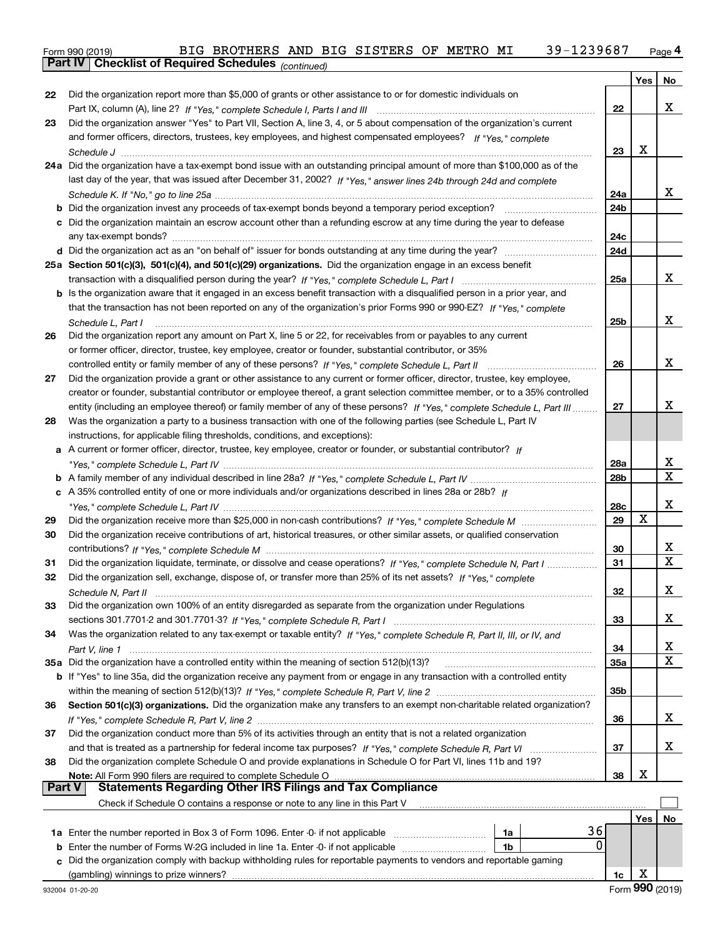Form 990 (2019) BIG BROTHERS AND BIG SISTERS OF METRO MI 39-1239687 <sub>Page</sub> 4<br>**Part IV | Checklist of Required Schedules** <sub>(continued)</sub>

|    | Part IV   Griecklist of Required Scriedules (continued)                                                                                                                                                                                               |            |     |    |
|----|-------------------------------------------------------------------------------------------------------------------------------------------------------------------------------------------------------------------------------------------------------|------------|-----|----|
|    |                                                                                                                                                                                                                                                       |            | Yes | No |
| 22 | Did the organization report more than \$5,000 of grants or other assistance to or for domestic individuals on                                                                                                                                         |            |     |    |
|    | Part IX, column (A), line 2? If "Yes," complete Schedule I, Parts I and III [[11]] [11] [11] [11] [11] [11] [1                                                                                                                                        | 22         |     | x  |
| 23 | Did the organization answer "Yes" to Part VII, Section A, line 3, 4, or 5 about compensation of the organization's current                                                                                                                            |            |     |    |
|    | and former officers, directors, trustees, key employees, and highest compensated employees? If "Yes," complete                                                                                                                                        |            |     |    |
|    |                                                                                                                                                                                                                                                       | 23         | х   |    |
|    | 24a Did the organization have a tax-exempt bond issue with an outstanding principal amount of more than \$100,000 as of the                                                                                                                           |            |     |    |
|    | last day of the year, that was issued after December 31, 2002? If "Yes," answer lines 24b through 24d and complete                                                                                                                                    |            |     | x  |
|    |                                                                                                                                                                                                                                                       | 24a        |     |    |
|    | <b>b</b> Did the organization invest any proceeds of tax-exempt bonds beyond a temporary period exception?                                                                                                                                            | 24b        |     |    |
|    | c Did the organization maintain an escrow account other than a refunding escrow at any time during the year to defease                                                                                                                                |            |     |    |
|    |                                                                                                                                                                                                                                                       | 24c<br>24d |     |    |
|    |                                                                                                                                                                                                                                                       |            |     |    |
|    | 25a Section 501(c)(3), 501(c)(4), and 501(c)(29) organizations. Did the organization engage in an excess benefit                                                                                                                                      | 25a        |     | x  |
|    |                                                                                                                                                                                                                                                       |            |     |    |
|    | b Is the organization aware that it engaged in an excess benefit transaction with a disqualified person in a prior year, and<br>that the transaction has not been reported on any of the organization's prior Forms 990 or 990-EZ? If "Yes," complete |            |     |    |
|    |                                                                                                                                                                                                                                                       | 25b        |     | x  |
| 26 | Schedule L, Part I<br>Did the organization report any amount on Part X, line 5 or 22, for receivables from or payables to any current                                                                                                                 |            |     |    |
|    | or former officer, director, trustee, key employee, creator or founder, substantial contributor, or 35%                                                                                                                                               |            |     |    |
|    |                                                                                                                                                                                                                                                       | 26         |     | x  |
| 27 | Did the organization provide a grant or other assistance to any current or former officer, director, trustee, key employee,                                                                                                                           |            |     |    |
|    | creator or founder, substantial contributor or employee thereof, a grant selection committee member, or to a 35% controlled                                                                                                                           |            |     |    |
|    | entity (including an employee thereof) or family member of any of these persons? If "Yes," complete Schedule L, Part III                                                                                                                              | 27         |     | x  |
| 28 | Was the organization a party to a business transaction with one of the following parties (see Schedule L, Part IV                                                                                                                                     |            |     |    |
|    | instructions, for applicable filing thresholds, conditions, and exceptions):                                                                                                                                                                          |            |     |    |
|    | a A current or former officer, director, trustee, key employee, creator or founder, or substantial contributor? If                                                                                                                                    |            |     |    |
|    |                                                                                                                                                                                                                                                       | 28a        |     | X  |
|    |                                                                                                                                                                                                                                                       | 28b        |     | х  |
|    | c A 35% controlled entity of one or more individuals and/or organizations described in lines 28a or 28b? If                                                                                                                                           |            |     |    |
|    |                                                                                                                                                                                                                                                       | 28c        |     | х  |
| 29 |                                                                                                                                                                                                                                                       | 29         | х   |    |
| 30 | Did the organization receive contributions of art, historical treasures, or other similar assets, or qualified conservation                                                                                                                           |            |     |    |
|    |                                                                                                                                                                                                                                                       | 30         |     | х  |
| 31 | Did the organization liquidate, terminate, or dissolve and cease operations? If "Yes," complete Schedule N, Part I                                                                                                                                    | 31         |     | X  |
| 32 | Did the organization sell, exchange, dispose of, or transfer more than 25% of its net assets? If "Yes," complete                                                                                                                                      |            |     |    |
|    | Schedule N, Part II                                                                                                                                                                                                                                   | 32         |     | х  |
| 33 | Did the organization own 100% of an entity disregarded as separate from the organization under Regulations                                                                                                                                            |            |     |    |
|    |                                                                                                                                                                                                                                                       | 33         |     | x  |
| 34 | Was the organization related to any tax-exempt or taxable entity? If "Yes," complete Schedule R, Part II, III, or IV, and                                                                                                                             |            |     |    |
|    |                                                                                                                                                                                                                                                       | 34         |     | х  |
|    | 35a Did the organization have a controlled entity within the meaning of section 512(b)(13)?                                                                                                                                                           | 35a        |     | х  |
|    | b If "Yes" to line 35a, did the organization receive any payment from or engage in any transaction with a controlled entity                                                                                                                           |            |     |    |
|    |                                                                                                                                                                                                                                                       | 35b        |     |    |
| 36 | Section 501(c)(3) organizations. Did the organization make any transfers to an exempt non-charitable related organization?                                                                                                                            |            |     |    |
|    |                                                                                                                                                                                                                                                       | 36         |     | X  |
| 37 | Did the organization conduct more than 5% of its activities through an entity that is not a related organization                                                                                                                                      |            |     |    |
|    | and that is treated as a partnership for federal income tax purposes? If "Yes," complete Schedule R, Part VI                                                                                                                                          | 37         |     | x  |
| 38 | Did the organization complete Schedule O and provide explanations in Schedule O for Part VI, lines 11b and 19?                                                                                                                                        |            |     |    |
|    | Note: All Form 990 filers are required to complete Schedule O                                                                                                                                                                                         | 38         | х   |    |
|    | Part V<br><b>Statements Regarding Other IRS Filings and Tax Compliance</b>                                                                                                                                                                            |            |     |    |
|    | Check if Schedule O contains a response or note to any line in this Part V                                                                                                                                                                            |            |     |    |
|    |                                                                                                                                                                                                                                                       |            | Yes | No |
|    | 36<br>1a<br>0                                                                                                                                                                                                                                         |            |     |    |
|    | <b>b</b> Enter the number of Forms W-2G included in line 1a. Enter -0- if not applicable<br>1b                                                                                                                                                        |            |     |    |
| c  | Did the organization comply with backup withholding rules for reportable payments to vendors and reportable gaming                                                                                                                                    |            | х   |    |
|    | (gambling) winnings to prize winners?                                                                                                                                                                                                                 | 1c         |     |    |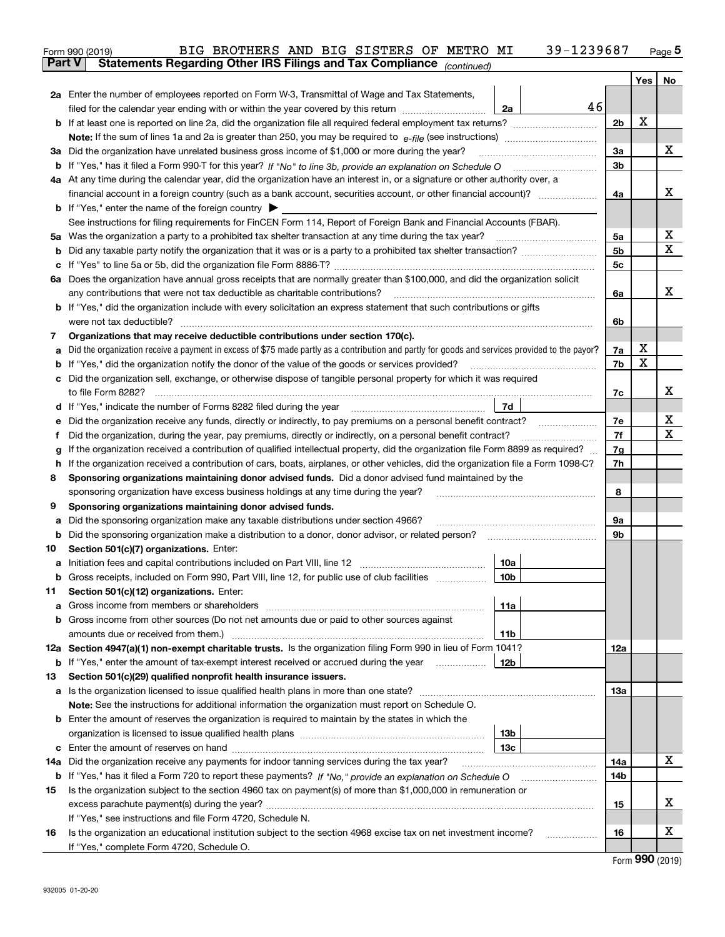|    | 39-1239687<br>BIG BROTHERS AND BIG SISTERS OF METRO MI<br>Form 990 (2019)                                                                                                          |                |   | $Page$ <sup>5</sup> |
|----|------------------------------------------------------------------------------------------------------------------------------------------------------------------------------------|----------------|---|---------------------|
|    | Statements Regarding Other IRS Filings and Tax Compliance (continued)<br><b>Part V</b>                                                                                             |                |   |                     |
|    |                                                                                                                                                                                    |                |   | Yes   No            |
|    | 2a Enter the number of employees reported on Form W-3, Transmittal of Wage and Tax Statements,                                                                                     |                |   |                     |
|    | 46<br>filed for the calendar year ending with or within the year covered by this return<br>2a                                                                                      |                |   |                     |
|    |                                                                                                                                                                                    | 2 <sub>b</sub> | x |                     |
|    |                                                                                                                                                                                    |                |   |                     |
|    | 3a Did the organization have unrelated business gross income of \$1,000 or more during the year?                                                                                   | 3a             |   | х                   |
|    |                                                                                                                                                                                    | 3 <sub>b</sub> |   |                     |
|    | 4a At any time during the calendar year, did the organization have an interest in, or a signature or other authority over, a                                                       |                |   |                     |
|    |                                                                                                                                                                                    | 4a             |   | х                   |
|    | <b>b</b> If "Yes," enter the name of the foreign country $\blacktriangleright$                                                                                                     |                |   |                     |
|    | See instructions for filing requirements for FinCEN Form 114, Report of Foreign Bank and Financial Accounts (FBAR).                                                                |                |   |                     |
|    |                                                                                                                                                                                    | 5a             |   | х                   |
| b  |                                                                                                                                                                                    | 5 <sub>b</sub> |   | х                   |
| c  |                                                                                                                                                                                    | 5c             |   |                     |
|    | 6a Does the organization have annual gross receipts that are normally greater than \$100,000, and did the organization solicit                                                     |                |   |                     |
|    | any contributions that were not tax deductible as charitable contributions?                                                                                                        | 6a             |   | х                   |
|    | <b>b</b> If "Yes," did the organization include with every solicitation an express statement that such contributions or gifts                                                      |                |   |                     |
|    | were not tax deductible?                                                                                                                                                           | 6b             |   |                     |
| 7  | Organizations that may receive deductible contributions under section 170(c).                                                                                                      |                |   |                     |
| а  | Did the organization receive a payment in excess of \$75 made partly as a contribution and partly for goods and services provided to the payor?                                    | 7a             | х |                     |
| b  | If "Yes," did the organization notify the donor of the value of the goods or services provided?                                                                                    | 7b             | х |                     |
| c  | Did the organization sell, exchange, or otherwise dispose of tangible personal property for which it was required                                                                  |                |   |                     |
|    |                                                                                                                                                                                    | 7c             |   | х                   |
|    | 7d                                                                                                                                                                                 |                |   |                     |
| е  | Did the organization receive any funds, directly or indirectly, to pay premiums on a personal benefit contract?                                                                    | 7e             |   | х                   |
| f  | Did the organization, during the year, pay premiums, directly or indirectly, on a personal benefit contract?                                                                       | 7f             |   | Х                   |
| g  | If the organization received a contribution of qualified intellectual property, did the organization file Form 8899 as required?                                                   | 7g             |   |                     |
| h. | If the organization received a contribution of cars, boats, airplanes, or other vehicles, did the organization file a Form 1098-C?                                                 | 7h             |   |                     |
| 8  | Sponsoring organizations maintaining donor advised funds. Did a donor advised fund maintained by the                                                                               |                |   |                     |
|    | sponsoring organization have excess business holdings at any time during the year?                                                                                                 | 8              |   |                     |
| 9  | Sponsoring organizations maintaining donor advised funds.                                                                                                                          |                |   |                     |
| а  | Did the sponsoring organization make any taxable distributions under section 4966?                                                                                                 | 9а             |   |                     |
| b  | Did the sponsoring organization make a distribution to a donor, donor advisor, or related person?                                                                                  | 9b             |   |                     |
| 10 | Section 501(c)(7) organizations. Enter:                                                                                                                                            |                |   |                     |
|    | 10a                                                                                                                                                                                |                |   |                     |
|    | 10b <br>Gross receipts, included on Form 990, Part VIII, line 12, for public use of club facilities                                                                                |                |   |                     |
| 11 | Section 501(c)(12) organizations. Enter:                                                                                                                                           |                |   |                     |
| а  | Gross income from members or shareholders<br>11a                                                                                                                                   |                |   |                     |
|    | b Gross income from other sources (Do not net amounts due or paid to other sources against                                                                                         |                |   |                     |
|    | amounts due or received from them.)<br>11b<br>12a Section 4947(a)(1) non-exempt charitable trusts. Is the organization filing Form 990 in lieu of Form 1041?                       |                |   |                     |
|    | 12b                                                                                                                                                                                | 12a            |   |                     |
| 13 | <b>b</b> If "Yes," enter the amount of tax-exempt interest received or accrued during the year <i>manument</i><br>Section 501(c)(29) qualified nonprofit health insurance issuers. |                |   |                     |
|    | a Is the organization licensed to issue qualified health plans in more than one state?                                                                                             | 13а            |   |                     |
|    | Note: See the instructions for additional information the organization must report on Schedule O.                                                                                  |                |   |                     |
|    | <b>b</b> Enter the amount of reserves the organization is required to maintain by the states in which the                                                                          |                |   |                     |
|    | 13b                                                                                                                                                                                |                |   |                     |
|    | 13с                                                                                                                                                                                |                |   |                     |
|    | 14a Did the organization receive any payments for indoor tanning services during the tax year?                                                                                     | 14a            |   | х                   |
|    | <b>b</b> If "Yes," has it filed a Form 720 to report these payments? If "No," provide an explanation on Schedule O                                                                 | 14b            |   |                     |
| 15 | Is the organization subject to the section 4960 tax on payment(s) of more than \$1,000,000 in remuneration or                                                                      |                |   |                     |
|    |                                                                                                                                                                                    | 15             |   | X                   |
|    | If "Yes," see instructions and file Form 4720, Schedule N.                                                                                                                         |                |   |                     |
| 16 | Is the organization an educational institution subject to the section 4968 excise tax on net investment income?                                                                    | 16             |   | х                   |
|    | If "Yes," complete Form 4720, Schedule O.                                                                                                                                          |                |   |                     |
|    |                                                                                                                                                                                    |                |   | $000 \times 10$     |

Form (2019) **990**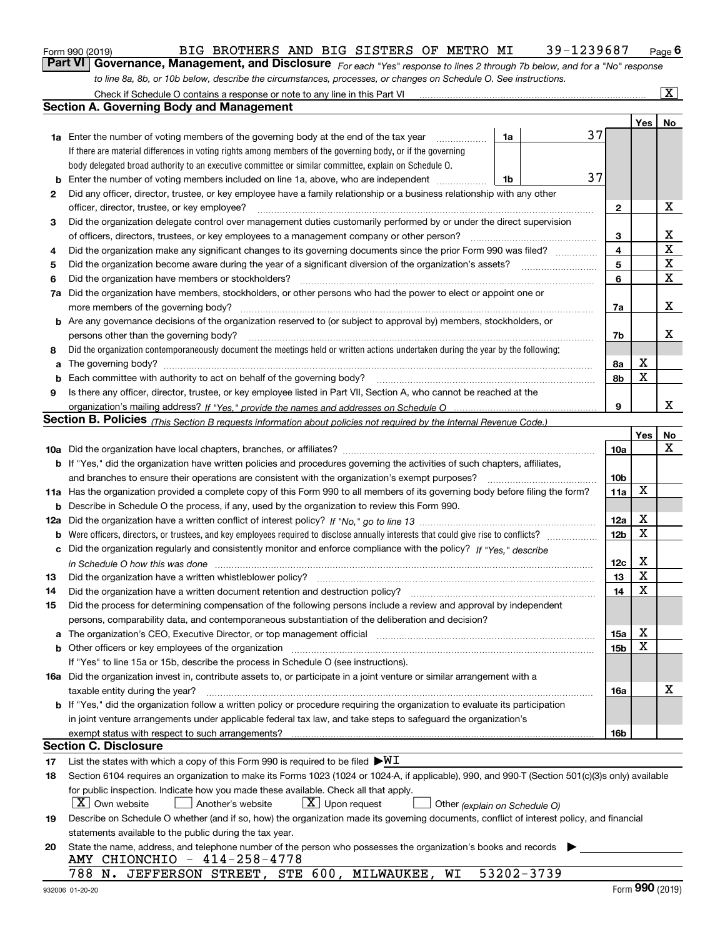|  | Form 990 (2019) |
|--|-----------------|
|  |                 |

#### Form 990 (2019) BIG BROTHERS AND BIG SISTERS OF METRO MI 39-1239687 Page

*For each "Yes" response to lines 2 through 7b below, and for a "No" response* **6Part VI Governance, Management, and Disclosure**  *to line 8a, 8b, or 10b below, describe the circumstances, processes, or changes on Schedule O. See instructions.*

|          | Check if Schedule O contains a response or note to any line in this Part VI                                                                                                                                                                                                                 |    |            |                        |  |     | $\overline{\mathbf{X}}$ $\overline{}$ |  |  |  |  |  |
|----------|---------------------------------------------------------------------------------------------------------------------------------------------------------------------------------------------------------------------------------------------------------------------------------------------|----|------------|------------------------|--|-----|---------------------------------------|--|--|--|--|--|
|          | <b>Section A. Governing Body and Management</b>                                                                                                                                                                                                                                             |    |            |                        |  |     |                                       |  |  |  |  |  |
|          |                                                                                                                                                                                                                                                                                             |    |            |                        |  | Yes | No                                    |  |  |  |  |  |
|          | <b>1a</b> Enter the number of voting members of the governing body at the end of the tax year                                                                                                                                                                                               | 1a |            | 37                     |  |     |                                       |  |  |  |  |  |
|          | If there are material differences in voting rights among members of the governing body, or if the governing                                                                                                                                                                                 |    |            |                        |  |     |                                       |  |  |  |  |  |
|          | body delegated broad authority to an executive committee or similar committee, explain on Schedule O.                                                                                                                                                                                       |    |            |                        |  |     |                                       |  |  |  |  |  |
| b        | Enter the number of voting members included on line 1a, above, who are independent                                                                                                                                                                                                          | 1b |            | 37                     |  |     |                                       |  |  |  |  |  |
| 2        | Did any officer, director, trustee, or key employee have a family relationship or a business relationship with any other                                                                                                                                                                    |    |            |                        |  |     |                                       |  |  |  |  |  |
|          | officer, director, trustee, or key employee?                                                                                                                                                                                                                                                |    |            | $\mathbf{2}$           |  |     | X                                     |  |  |  |  |  |
| 3        | Did the organization delegate control over management duties customarily performed by or under the direct supervision                                                                                                                                                                       |    |            |                        |  |     |                                       |  |  |  |  |  |
|          | of officers, directors, trustees, or key employees to a management company or other person?                                                                                                                                                                                                 |    |            | 3                      |  |     | х                                     |  |  |  |  |  |
| 4        | Did the organization make any significant changes to its governing documents since the prior Form 990 was filed?                                                                                                                                                                            |    |            | 4                      |  |     | $\mathbf X$                           |  |  |  |  |  |
| 5        |                                                                                                                                                                                                                                                                                             |    |            | 5                      |  |     | $\mathbf X$<br>X                      |  |  |  |  |  |
| 6        | Did the organization have members or stockholders?                                                                                                                                                                                                                                          |    |            |                        |  |     |                                       |  |  |  |  |  |
| 7a       | Did the organization have members, stockholders, or other persons who had the power to elect or appoint one or                                                                                                                                                                              |    |            |                        |  |     |                                       |  |  |  |  |  |
|          |                                                                                                                                                                                                                                                                                             |    |            | 7a                     |  |     | X                                     |  |  |  |  |  |
|          | <b>b</b> Are any governance decisions of the organization reserved to (or subject to approval by) members, stockholders, or                                                                                                                                                                 |    |            |                        |  |     |                                       |  |  |  |  |  |
|          | persons other than the governing body?                                                                                                                                                                                                                                                      |    |            | 7b                     |  |     | x                                     |  |  |  |  |  |
| 8        | Did the organization contemporaneously document the meetings held or written actions undertaken during the year by the following:                                                                                                                                                           |    |            |                        |  |     |                                       |  |  |  |  |  |
| a        |                                                                                                                                                                                                                                                                                             |    |            | 8а                     |  | х   |                                       |  |  |  |  |  |
| b        |                                                                                                                                                                                                                                                                                             |    |            | 8b                     |  | X   |                                       |  |  |  |  |  |
| 9        | Is there any officer, director, trustee, or key employee listed in Part VII, Section A, who cannot be reached at the                                                                                                                                                                        |    |            |                        |  |     |                                       |  |  |  |  |  |
|          |                                                                                                                                                                                                                                                                                             |    |            | 9                      |  |     | x                                     |  |  |  |  |  |
|          | Section B. Policies (This Section B requests information about policies not required by the Internal Revenue Code.)                                                                                                                                                                         |    |            |                        |  |     |                                       |  |  |  |  |  |
|          |                                                                                                                                                                                                                                                                                             |    |            |                        |  | Yes | No                                    |  |  |  |  |  |
|          |                                                                                                                                                                                                                                                                                             |    |            | <b>10a</b>             |  |     | х                                     |  |  |  |  |  |
|          | <b>b</b> If "Yes," did the organization have written policies and procedures governing the activities of such chapters, affiliates,                                                                                                                                                         |    |            |                        |  |     |                                       |  |  |  |  |  |
|          | and branches to ensure their operations are consistent with the organization's exempt purposes?                                                                                                                                                                                             |    |            | 10b                    |  | X   |                                       |  |  |  |  |  |
|          | 11a Has the organization provided a complete copy of this Form 990 to all members of its governing body before filing the form?                                                                                                                                                             |    |            | 11a                    |  |     |                                       |  |  |  |  |  |
|          | <b>b</b> Describe in Schedule O the process, if any, used by the organization to review this Form 990.                                                                                                                                                                                      |    |            |                        |  | X   |                                       |  |  |  |  |  |
| 12a      |                                                                                                                                                                                                                                                                                             |    |            | 12a<br>12 <sub>b</sub> |  | X   |                                       |  |  |  |  |  |
| b        | Were officers, directors, or trustees, and key employees required to disclose annually interests that could give rise to conflicts?<br>Did the organization regularly and consistently monitor and enforce compliance with the policy? If "Yes." describe                                   |    |            |                        |  |     |                                       |  |  |  |  |  |
| с        |                                                                                                                                                                                                                                                                                             |    |            | 12c                    |  | X   |                                       |  |  |  |  |  |
|          | in Schedule O how this was done measured and the control of the control of the state of the control of the control of the control of the control of the control of the control of the control of the control of the control of<br>Did the organization have a written whistleblower policy? |    |            | 13                     |  | X   |                                       |  |  |  |  |  |
| 13<br>14 | Did the organization have a written document retention and destruction policy?                                                                                                                                                                                                              |    |            | 14                     |  | X   |                                       |  |  |  |  |  |
| 15       | Did the process for determining compensation of the following persons include a review and approval by independent                                                                                                                                                                          |    |            |                        |  |     |                                       |  |  |  |  |  |
|          | persons, comparability data, and contemporaneous substantiation of the deliberation and decision?                                                                                                                                                                                           |    |            |                        |  |     |                                       |  |  |  |  |  |
| а        | The organization's CEO, Executive Director, or top management official manufactured content of the organization's CEO, Executive Director, or top management official manufactured content of the organization's CEO, Executiv                                                              |    |            | 15a                    |  | х   |                                       |  |  |  |  |  |
|          | <b>b</b> Other officers or key employees of the organization                                                                                                                                                                                                                                |    |            | 15b                    |  | X   |                                       |  |  |  |  |  |
|          | If "Yes" to line 15a or 15b, describe the process in Schedule O (see instructions).                                                                                                                                                                                                         |    |            |                        |  |     |                                       |  |  |  |  |  |
|          | 16a Did the organization invest in, contribute assets to, or participate in a joint venture or similar arrangement with a                                                                                                                                                                   |    |            |                        |  |     |                                       |  |  |  |  |  |
|          | taxable entity during the year?                                                                                                                                                                                                                                                             |    |            | 16a                    |  |     | х                                     |  |  |  |  |  |
|          | b If "Yes," did the organization follow a written policy or procedure requiring the organization to evaluate its participation                                                                                                                                                              |    |            |                        |  |     |                                       |  |  |  |  |  |
|          | in joint venture arrangements under applicable federal tax law, and take steps to safeguard the organization's                                                                                                                                                                              |    |            |                        |  |     |                                       |  |  |  |  |  |
|          | exempt status with respect to such arrangements?                                                                                                                                                                                                                                            |    |            | 16b                    |  |     |                                       |  |  |  |  |  |
|          | <b>Section C. Disclosure</b>                                                                                                                                                                                                                                                                |    |            |                        |  |     |                                       |  |  |  |  |  |
| 17       | List the states with which a copy of this Form 990 is required to be filed $\blacktriangleright\!\!\mathsf{W}\mathbf{I}$                                                                                                                                                                    |    |            |                        |  |     |                                       |  |  |  |  |  |
| 18       | Section 6104 requires an organization to make its Forms 1023 (1024 or 1024-A, if applicable), 990, and 990-T (Section 501(c)(3)s only) available                                                                                                                                            |    |            |                        |  |     |                                       |  |  |  |  |  |
|          | for public inspection. Indicate how you made these available. Check all that apply.                                                                                                                                                                                                         |    |            |                        |  |     |                                       |  |  |  |  |  |
|          | $\lfloor X \rfloor$ Own website<br>$X$ Upon request<br>Another's website<br>Other (explain on Schedule O)                                                                                                                                                                                   |    |            |                        |  |     |                                       |  |  |  |  |  |
| 19       | Describe on Schedule O whether (and if so, how) the organization made its governing documents, conflict of interest policy, and financial                                                                                                                                                   |    |            |                        |  |     |                                       |  |  |  |  |  |
|          | statements available to the public during the tax year.                                                                                                                                                                                                                                     |    |            |                        |  |     |                                       |  |  |  |  |  |
| 20       | State the name, address, and telephone number of the person who possesses the organization's books and records                                                                                                                                                                              |    |            |                        |  |     |                                       |  |  |  |  |  |
|          | AMY CHIONCHIO - 414-258-4778                                                                                                                                                                                                                                                                |    |            |                        |  |     |                                       |  |  |  |  |  |
|          | 788 N. JEFFERSON STREET, STE 600, MILWAUKEE,<br>WI                                                                                                                                                                                                                                          |    | 53202-3739 |                        |  |     |                                       |  |  |  |  |  |
|          | 932006 01-20-20                                                                                                                                                                                                                                                                             |    |            |                        |  |     | Form 990 (2019)                       |  |  |  |  |  |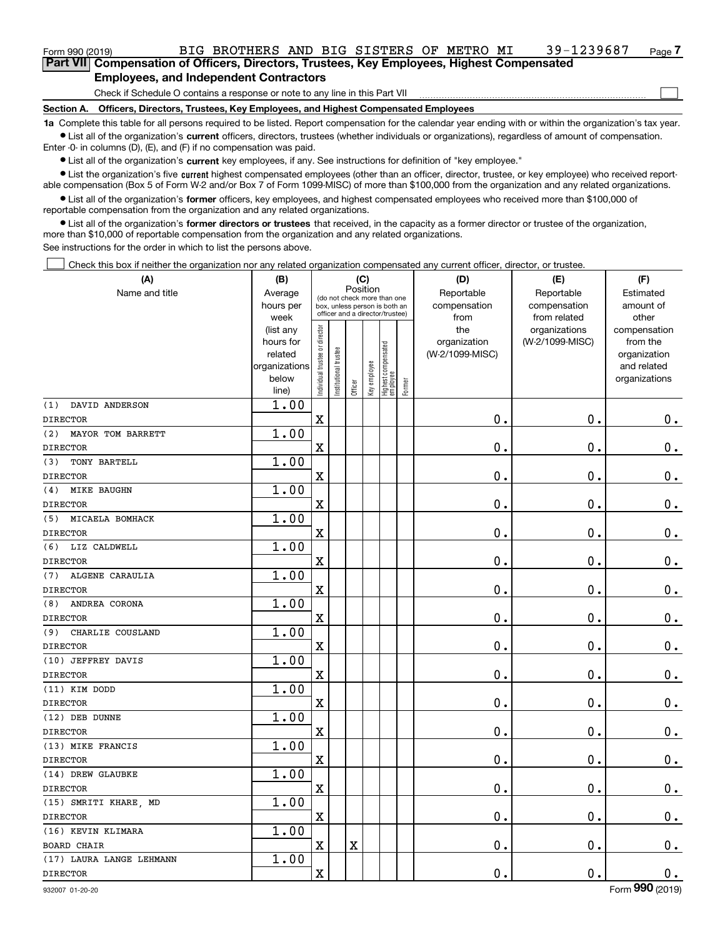Check if Schedule O contains a response or note to any line in this Part VII

**Section A. Officers, Directors, Trustees, Key Employees, and Highest Compensated Employees**

**1a**  Complete this table for all persons required to be listed. Report compensation for the calendar year ending with or within the organization's tax year. **•** List all of the organization's current officers, directors, trustees (whether individuals or organizations), regardless of amount of compensation.

Enter -0- in columns (D), (E), and (F) if no compensation was paid.

 $\bullet$  List all of the organization's  $\,$ current key employees, if any. See instructions for definition of "key employee."

**•** List the organization's five current highest compensated employees (other than an officer, director, trustee, or key employee) who received reportable compensation (Box 5 of Form W-2 and/or Box 7 of Form 1099-MISC) of more than \$100,000 from the organization and any related organizations.

**•** List all of the organization's former officers, key employees, and highest compensated employees who received more than \$100,000 of reportable compensation from the organization and any related organizations.

**former directors or trustees**  ¥ List all of the organization's that received, in the capacity as a former director or trustee of the organization, more than \$10,000 of reportable compensation from the organization and any related organizations.

See instructions for the order in which to list the persons above.

Check this box if neither the organization nor any related organization compensated any current officer, director, or trustee.  $\mathcal{L}^{\text{max}}$ 

| (A)                       | (B)                    |                                |                                                                  | (C)                     |              |                                  |        | (D)             | (E)                              | (F)                      |
|---------------------------|------------------------|--------------------------------|------------------------------------------------------------------|-------------------------|--------------|----------------------------------|--------|-----------------|----------------------------------|--------------------------|
| Name and title            | Average                |                                | (do not check more than one                                      | Position                |              |                                  |        | Reportable      | Reportable                       | Estimated                |
|                           | hours per              |                                | box, unless person is both an<br>officer and a director/trustee) |                         |              |                                  |        | compensation    | compensation                     | amount of                |
|                           | week                   |                                |                                                                  |                         |              |                                  |        | from<br>the     | from related                     | other                    |
|                           | (list any<br>hours for |                                |                                                                  |                         |              |                                  |        | organization    | organizations<br>(W-2/1099-MISC) | compensation<br>from the |
|                           | related                |                                |                                                                  |                         |              |                                  |        | (W-2/1099-MISC) |                                  | organization             |
|                           | organizations          |                                |                                                                  |                         |              |                                  |        |                 |                                  | and related              |
|                           | below                  | Individual trustee or director | Institutional trustee                                            |                         | Key employee |                                  |        |                 |                                  | organizations            |
|                           | line)                  |                                |                                                                  | Officer                 |              | Highest compensated<br> employee | Former |                 |                                  |                          |
| DAVID ANDERSON<br>(1)     | 1.00                   |                                |                                                                  |                         |              |                                  |        |                 |                                  |                          |
| <b>DIRECTOR</b>           |                        | $\rm X$                        |                                                                  |                         |              |                                  |        | 0.              | $\mathbf 0$ .                    | $0_{.}$                  |
| (2)<br>MAYOR TOM BARRETT  | 1.00                   |                                |                                                                  |                         |              |                                  |        |                 |                                  |                          |
| <b>DIRECTOR</b>           |                        | $\overline{\textbf{X}}$        |                                                                  |                         |              |                                  |        | 0.              | $\mathbf 0$ .                    | $\mathbf 0$ .            |
| TONY BARTELL<br>(3)       | 1.00                   |                                |                                                                  |                         |              |                                  |        |                 |                                  |                          |
| <b>DIRECTOR</b>           |                        | $\rm X$                        |                                                                  |                         |              |                                  |        | 0.              | $\mathbf 0$ .                    | $\mathbf 0$ .            |
| <b>MIKE BAUGHN</b><br>(4) | 1.00                   |                                |                                                                  |                         |              |                                  |        |                 |                                  |                          |
| <b>DIRECTOR</b>           |                        | $\overline{\mathbf{X}}$        |                                                                  |                         |              |                                  |        | 0.              | 0.                               | $\mathbf 0$ .            |
| (5) MICAELA BOMHACK       | 1.00                   |                                |                                                                  |                         |              |                                  |        |                 |                                  |                          |
| <b>DIRECTOR</b>           |                        | $\rm X$                        |                                                                  |                         |              |                                  |        | 0.              | $\mathbf 0$ .                    | $\mathbf 0$ .            |
| (6) LIZ CALDWELL          | 1.00                   |                                |                                                                  |                         |              |                                  |        |                 |                                  |                          |
| <b>DIRECTOR</b>           |                        | X                              |                                                                  |                         |              |                                  |        | 0.              | 0.                               | $0_{.}$                  |
| ALGENE CARAULIA<br>(7)    | 1.00                   |                                |                                                                  |                         |              |                                  |        |                 |                                  |                          |
| <b>DIRECTOR</b>           |                        | $\mathbf x$                    |                                                                  |                         |              |                                  |        | 0.              | $\mathbf 0$ .                    | $0_{.}$                  |
| ANDREA CORONA<br>(8)      | 1.00                   |                                |                                                                  |                         |              |                                  |        |                 |                                  |                          |
| <b>DIRECTOR</b>           |                        | X                              |                                                                  |                         |              |                                  |        | 0.              | $\mathbf 0$ .                    | $0_{.}$                  |
| CHARLIE COUSLAND<br>(9)   | 1.00                   |                                |                                                                  |                         |              |                                  |        |                 |                                  |                          |
| <b>DIRECTOR</b>           |                        | $\mathbf x$                    |                                                                  |                         |              |                                  |        | $\mathbf 0$ .   | $\mathbf 0$ .                    | $0_{.}$                  |
| (10) JEFFREY DAVIS        | 1.00                   |                                |                                                                  |                         |              |                                  |        |                 |                                  |                          |
| <b>DIRECTOR</b>           |                        | X                              |                                                                  |                         |              |                                  |        | 0.              | $\mathbf 0$ .                    | $\mathbf 0$ .            |
| (11) KIM DODD             | 1.00                   |                                |                                                                  |                         |              |                                  |        |                 |                                  |                          |
| <b>DIRECTOR</b>           |                        | $\mathbf X$                    |                                                                  |                         |              |                                  |        | 0.              | $\mathbf 0$ .                    | 0.                       |
| (12) DEB DUNNE            | 1.00                   |                                |                                                                  |                         |              |                                  |        |                 |                                  |                          |
| <b>DIRECTOR</b>           |                        | X                              |                                                                  |                         |              |                                  |        | 0.              | 0.                               | $\mathbf 0$ .            |
| (13) MIKE FRANCIS         | 1.00                   |                                |                                                                  |                         |              |                                  |        |                 |                                  |                          |
| <b>DIRECTOR</b>           |                        | $\rm X$                        |                                                                  |                         |              |                                  |        | 0.              | 0.                               | $\mathbf 0$ .            |
| (14) DREW GLAUBKE         | 1.00                   |                                |                                                                  |                         |              |                                  |        |                 |                                  |                          |
| <b>DIRECTOR</b>           |                        | X                              |                                                                  |                         |              |                                  |        | 0.              | 0.                               | $0_{.}$                  |
| (15) SMRITI KHARE, MD     | 1.00                   |                                |                                                                  |                         |              |                                  |        |                 |                                  |                          |
| <b>DIRECTOR</b>           |                        | $\rm X$                        |                                                                  |                         |              |                                  |        | $\mathbf 0$ .   | $\mathbf 0$ .                    | $0_{.}$                  |
| (16) KEVIN KLIMARA        | 1.00                   |                                |                                                                  |                         |              |                                  |        |                 |                                  |                          |
| <b>BOARD CHAIR</b>        |                        | $\overline{\textbf{X}}$        |                                                                  | $\overline{\textbf{X}}$ |              |                                  |        | 0.              | $\mathbf 0$ .                    | $\mathbf 0$ .            |
| (17) LAURA LANGE LEHMANN  | 1.00                   |                                |                                                                  |                         |              |                                  |        |                 |                                  |                          |
| <b>DIRECTOR</b>           |                        | $\rm X$                        |                                                                  |                         |              |                                  |        | 0.              | $\mathbf 0$ .                    | 0.                       |

 $\mathcal{L}^{\text{max}}$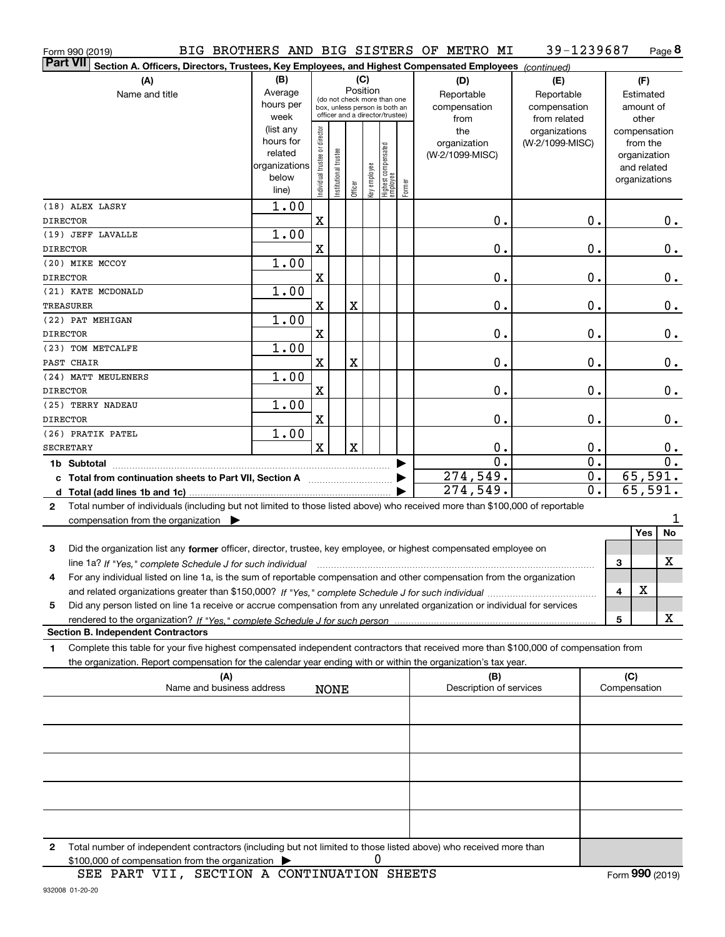| Form 990 (2019)                                                                                                                                                                                                                                                     |                        |                                |                                 |         |              |                                  |        | BIG BROTHERS AND BIG SISTERS OF METRO MI | 39-1239687             |   |                             | Page 8 |
|---------------------------------------------------------------------------------------------------------------------------------------------------------------------------------------------------------------------------------------------------------------------|------------------------|--------------------------------|---------------------------------|---------|--------------|----------------------------------|--------|------------------------------------------|------------------------|---|-----------------------------|--------|
| <b>Part VII</b><br>Section A. Officers, Directors, Trustees, Key Employees, and Highest Compensated Employees (continued)                                                                                                                                           |                        |                                |                                 |         |              |                                  |        |                                          |                        |   |                             |        |
| (A)                                                                                                                                                                                                                                                                 | (B)                    |                                |                                 |         | (C)          |                                  |        | (D)                                      | (E)                    |   | (F)                         |        |
| Name and title                                                                                                                                                                                                                                                      | Average                |                                | (do not check more than one     |         | Position     |                                  |        | Reportable                               | Reportable             |   | Estimated                   |        |
|                                                                                                                                                                                                                                                                     | hours per              |                                | box, unless person is both an   |         |              |                                  |        | compensation                             | compensation           |   | amount of                   |        |
|                                                                                                                                                                                                                                                                     | week                   |                                | officer and a director/trustee) |         |              |                                  |        | from                                     | from related           |   | other                       |        |
|                                                                                                                                                                                                                                                                     | (list any<br>hours for |                                |                                 |         |              |                                  |        | the                                      | organizations          |   | compensation                |        |
|                                                                                                                                                                                                                                                                     | related                |                                |                                 |         |              |                                  |        | organization<br>(W-2/1099-MISC)          | (W-2/1099-MISC)        |   | from the                    |        |
|                                                                                                                                                                                                                                                                     | organizations          |                                |                                 |         |              |                                  |        |                                          |                        |   | organization<br>and related |        |
|                                                                                                                                                                                                                                                                     | below                  | Individual trustee or director | Institutional trustee           |         |              |                                  |        |                                          |                        |   | organizations               |        |
|                                                                                                                                                                                                                                                                     | line)                  |                                |                                 | Officer | Key employee | Highest compensated<br> employee | Former |                                          |                        |   |                             |        |
| (18) ALEX LASRY                                                                                                                                                                                                                                                     | 1.00                   |                                |                                 |         |              |                                  |        |                                          |                        |   |                             |        |
| <b>DIRECTOR</b>                                                                                                                                                                                                                                                     |                        | X                              |                                 |         |              |                                  |        | 0.                                       | 0.                     |   |                             | $0$ .  |
| (19) JEFF LAVALLE                                                                                                                                                                                                                                                   | 1.00                   |                                |                                 |         |              |                                  |        |                                          |                        |   |                             |        |
| <b>DIRECTOR</b>                                                                                                                                                                                                                                                     |                        | X                              |                                 |         |              |                                  |        | 0.                                       | 0.                     |   |                             | 0.     |
| (20) MIKE MCCOY                                                                                                                                                                                                                                                     | 1.00                   |                                |                                 |         |              |                                  |        |                                          |                        |   |                             |        |
| <b>DIRECTOR</b>                                                                                                                                                                                                                                                     |                        | X                              |                                 |         |              |                                  |        | 0.                                       | 0.                     |   |                             | 0.     |
| (21) KATE MCDONALD                                                                                                                                                                                                                                                  | 1.00                   |                                |                                 |         |              |                                  |        |                                          |                        |   |                             |        |
| <b>TREASURER</b>                                                                                                                                                                                                                                                    |                        | X                              |                                 | X       |              |                                  |        | 0.                                       | 0.                     |   |                             | 0.     |
| (22) PAT MEHIGAN                                                                                                                                                                                                                                                    | 1.00                   |                                |                                 |         |              |                                  |        |                                          |                        |   |                             |        |
| <b>DIRECTOR</b>                                                                                                                                                                                                                                                     |                        | X                              |                                 |         |              |                                  |        | 0.                                       | 0.                     |   |                             | 0.     |
| (23) TOM METCALFE                                                                                                                                                                                                                                                   | 1.00                   |                                |                                 |         |              |                                  |        |                                          |                        |   |                             |        |
| PAST CHAIR                                                                                                                                                                                                                                                          |                        | X                              |                                 | X       |              |                                  |        | 0.                                       | 0.                     |   |                             | 0.     |
| (24) MATT MEULENERS                                                                                                                                                                                                                                                 | 1.00                   |                                |                                 |         |              |                                  |        |                                          |                        |   |                             |        |
| <b>DIRECTOR</b>                                                                                                                                                                                                                                                     |                        | X                              |                                 |         |              |                                  |        | 0.                                       | 0.                     |   |                             | $0\,.$ |
| (25) TERRY NADEAU                                                                                                                                                                                                                                                   | 1.00                   |                                |                                 |         |              |                                  |        |                                          |                        |   |                             |        |
| <b>DIRECTOR</b>                                                                                                                                                                                                                                                     |                        | X                              |                                 |         |              |                                  |        | 0.                                       | 0.                     |   |                             | 0.     |
| (26) PRATIK PATEL                                                                                                                                                                                                                                                   | 1.00                   |                                |                                 |         |              |                                  |        |                                          |                        |   |                             |        |
| <b>SECRETARY</b>                                                                                                                                                                                                                                                    |                        | $\mathbf x$                    |                                 | X       |              |                                  |        | 0.<br>$\overline{0}$ .                   | 0.<br>$\overline{0}$ . |   |                             | $0$ .  |
| 1b Subtotal                                                                                                                                                                                                                                                         |                        |                                |                                 |         |              |                                  |        | 274,549.                                 | $\overline{0}$ .       |   | 65,591.                     | 0.     |
| c Total from continuation sheets to Part VII, Section A                                                                                                                                                                                                             |                        |                                |                                 |         |              |                                  |        | 274,549.                                 | $\overline{0}$ .       |   | 65,591.                     |        |
|                                                                                                                                                                                                                                                                     |                        |                                |                                 |         |              |                                  |        |                                          |                        |   |                             |        |
| Total number of individuals (including but not limited to those listed above) who received more than \$100,000 of reportable<br>$\mathbf{2}$                                                                                                                        |                        |                                |                                 |         |              |                                  |        |                                          |                        |   |                             | 1      |
| compensation from the organization $\blacktriangleright$                                                                                                                                                                                                            |                        |                                |                                 |         |              |                                  |        |                                          |                        |   | Yes                         | No     |
| 3<br>Did the organization list any former officer, director, trustee, key employee, or highest compensated employee on                                                                                                                                              |                        |                                |                                 |         |              |                                  |        |                                          |                        |   |                             |        |
|                                                                                                                                                                                                                                                                     |                        |                                |                                 |         |              |                                  |        |                                          |                        | 3 |                             | X      |
| line 1a? If "Yes," complete Schedule J for such individual manufactured contained and the Ves," complete Schedule J for such individual<br>For any individual listed on line 1a, is the sum of reportable compensation and other compensation from the organization |                        |                                |                                 |         |              |                                  |        |                                          |                        |   |                             |        |
| and related organizations greater than \$150,000? If "Yes," complete Schedule J for such individual                                                                                                                                                                 |                        |                                |                                 |         |              |                                  |        |                                          |                        | 4 | X                           |        |
| Did any person listed on line 1a receive or accrue compensation from any unrelated organization or individual for services<br>5                                                                                                                                     |                        |                                |                                 |         |              |                                  |        |                                          |                        |   |                             |        |
| rendered to the organization? If "Yes." complete Schedule J for such person                                                                                                                                                                                         |                        |                                |                                 |         |              |                                  |        |                                          |                        | 5 |                             | х      |
| <b>Section B. Independent Contractors</b>                                                                                                                                                                                                                           |                        |                                |                                 |         |              |                                  |        |                                          |                        |   |                             |        |
| Complete this table for your five highest compensated independent contractors that received more than \$100,000 of compensation from<br>1                                                                                                                           |                        |                                |                                 |         |              |                                  |        |                                          |                        |   |                             |        |
| the organization. Report compensation for the calendar year ending with or within the organization's tax year.                                                                                                                                                      |                        |                                |                                 |         |              |                                  |        |                                          |                        |   |                             |        |
| (A)                                                                                                                                                                                                                                                                 |                        |                                |                                 |         |              |                                  |        | (B)                                      |                        |   | (C)                         |        |
| Name and business address                                                                                                                                                                                                                                           |                        |                                | <b>NONE</b>                     |         |              |                                  |        | Description of services                  |                        |   | Compensation                |        |
|                                                                                                                                                                                                                                                                     |                        |                                |                                 |         |              |                                  |        |                                          |                        |   |                             |        |
|                                                                                                                                                                                                                                                                     |                        |                                |                                 |         |              |                                  |        |                                          |                        |   |                             |        |
|                                                                                                                                                                                                                                                                     |                        |                                |                                 |         |              |                                  |        |                                          |                        |   |                             |        |
|                                                                                                                                                                                                                                                                     |                        |                                |                                 |         |              |                                  |        |                                          |                        |   |                             |        |
|                                                                                                                                                                                                                                                                     |                        |                                |                                 |         |              |                                  |        |                                          |                        |   |                             |        |
|                                                                                                                                                                                                                                                                     |                        |                                |                                 |         |              |                                  |        |                                          |                        |   |                             |        |
|                                                                                                                                                                                                                                                                     |                        |                                |                                 |         |              |                                  |        |                                          |                        |   |                             |        |
| Total number of independent contractors (including but not limited to those listed above) who received more than<br>2                                                                                                                                               |                        |                                |                                 |         |              |                                  |        |                                          |                        |   |                             |        |

 $$100,000$  of compensation from the organization  $\qquad \blacktriangleright$   $\qquad \qquad 0$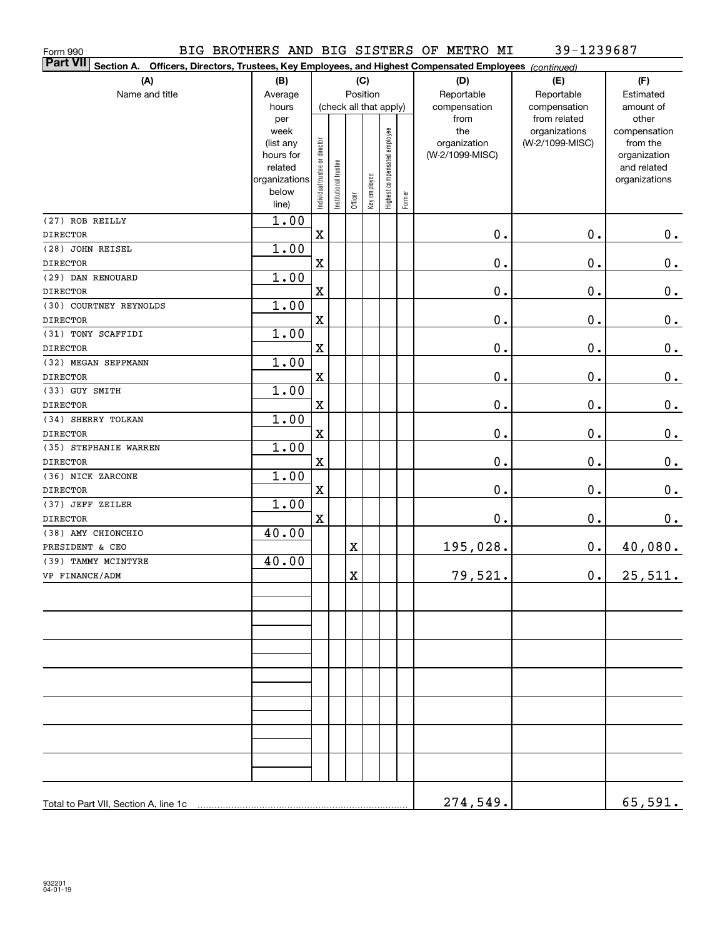| Form 990                                                                                                                     |                                                                                     |                                |                        |             |                 |                              |        | BIG BROTHERS AND BIG SISTERS OF METRO MI  | 39-1239687                                       |                                                                                   |
|------------------------------------------------------------------------------------------------------------------------------|-------------------------------------------------------------------------------------|--------------------------------|------------------------|-------------|-----------------|------------------------------|--------|-------------------------------------------|--------------------------------------------------|-----------------------------------------------------------------------------------|
| <b>Part VII</b><br>Officers, Directors, Trustees, Key Employees, and Highest Compensated Employees (continued)<br>Section A. |                                                                                     |                                |                        |             |                 |                              |        |                                           |                                                  |                                                                                   |
| (A)<br>Name and title                                                                                                        | (B)<br>Average<br>hours                                                             |                                | (check all that apply) |             | (C)<br>Position |                              |        | (D)<br>Reportable<br>compensation<br>from | (E)<br>Reportable<br>compensation                | (F)<br>Estimated<br>amount of                                                     |
|                                                                                                                              | per<br>week<br>(list any<br>hours for<br>related<br>organizations<br>below<br>line) | Individual trustee or director | Institutional trustee  | Officer     | Key employee    | Highest compensated employee | Former | the<br>organization<br>(W-2/1099-MISC)    | from related<br>organizations<br>(W-2/1099-MISC) | other<br>compensation<br>from the<br>organization<br>and related<br>organizations |
| (27) ROB REILLY                                                                                                              | 1.00                                                                                |                                |                        |             |                 |                              |        |                                           |                                                  |                                                                                   |
| <b>DIRECTOR</b>                                                                                                              |                                                                                     | $\mathbf x$                    |                        |             |                 |                              |        | 0.                                        | 0.                                               | 0.                                                                                |
| (28) JOHN REISEL<br><b>DIRECTOR</b>                                                                                          | 1.00                                                                                | $\mathbf x$                    |                        |             |                 |                              |        | 0.                                        | 0.                                               | $\mathbf 0$ .                                                                     |
| (29) DAN RENOUARD                                                                                                            |                                                                                     |                                |                        |             |                 |                              |        |                                           |                                                  |                                                                                   |
| <b>DIRECTOR</b>                                                                                                              | 1.00                                                                                | $\mathbf x$                    |                        |             |                 |                              |        | 0.                                        | 0.                                               | 0.                                                                                |
| (30) COURTNEY REYNOLDS                                                                                                       | 1.00                                                                                |                                |                        |             |                 |                              |        |                                           |                                                  |                                                                                   |
| <b>DIRECTOR</b>                                                                                                              |                                                                                     | $\mathbf x$                    |                        |             |                 |                              |        | 0.                                        | 0.                                               | 0.                                                                                |
| (31) TONY SCAFFIDI                                                                                                           | 1.00                                                                                |                                |                        |             |                 |                              |        |                                           |                                                  |                                                                                   |
| <b>DIRECTOR</b>                                                                                                              |                                                                                     | $\mathbf x$                    |                        |             |                 |                              |        | 0.                                        | 0.                                               | 0.                                                                                |
| (32) MEGAN SEPPMANN                                                                                                          | 1.00                                                                                |                                |                        |             |                 |                              |        |                                           |                                                  |                                                                                   |
| <b>DIRECTOR</b>                                                                                                              |                                                                                     | $\mathbf x$                    |                        |             |                 |                              |        | 0.                                        | 0.                                               | 0.                                                                                |
| (33) GUY SMITH                                                                                                               | 1.00                                                                                |                                |                        |             |                 |                              |        |                                           |                                                  |                                                                                   |
| <b>DIRECTOR</b>                                                                                                              |                                                                                     | $\mathbf x$                    |                        |             |                 |                              |        | 0.                                        | 0.                                               | 0.                                                                                |
| (34) SHERRY TOLKAN                                                                                                           | 1.00                                                                                |                                |                        |             |                 |                              |        |                                           |                                                  |                                                                                   |
| <b>DIRECTOR</b>                                                                                                              |                                                                                     | $\mathbf x$                    |                        |             |                 |                              |        | 0.                                        | 0.                                               | 0.                                                                                |
| (35) STEPHANIE WARREN                                                                                                        | 1.00                                                                                |                                |                        |             |                 |                              |        |                                           |                                                  |                                                                                   |
| <b>DIRECTOR</b>                                                                                                              |                                                                                     | $\mathbf x$                    |                        |             |                 |                              |        | 0.                                        | 0.                                               | 0.                                                                                |
| (36) NICK ZARCONE                                                                                                            | 1.00                                                                                |                                |                        |             |                 |                              |        |                                           |                                                  |                                                                                   |
| <b>DIRECTOR</b><br>(37) JEFF ZEILER                                                                                          | 1.00                                                                                | $\mathbf x$                    |                        |             |                 |                              |        | 0.                                        | 0.                                               | 0.                                                                                |
| <b>DIRECTOR</b>                                                                                                              |                                                                                     | $\mathbf x$                    |                        |             |                 |                              |        | $\mathbf 0$ .                             | 0.                                               | 0.                                                                                |
| (38) AMY CHIONCHIO                                                                                                           | 40.00                                                                               |                                |                        |             |                 |                              |        |                                           |                                                  |                                                                                   |
| PRESIDENT & CEO                                                                                                              |                                                                                     |                                |                        | $\mathbf X$ |                 |                              |        | 195,028.                                  | $0$ .                                            | 40,080.                                                                           |
| (39) TAMMY MCINTYRE                                                                                                          | 40.00                                                                               |                                |                        |             |                 |                              |        |                                           |                                                  |                                                                                   |
| VP FINANCE/ADM                                                                                                               |                                                                                     |                                |                        | $\mathbf X$ |                 |                              |        | 79,521.                                   | 0.                                               | 25,511.                                                                           |
|                                                                                                                              |                                                                                     |                                |                        |             |                 |                              |        |                                           |                                                  |                                                                                   |
|                                                                                                                              |                                                                                     |                                |                        |             |                 |                              |        |                                           |                                                  |                                                                                   |
|                                                                                                                              |                                                                                     |                                |                        |             |                 |                              |        |                                           |                                                  |                                                                                   |
|                                                                                                                              |                                                                                     |                                |                        |             |                 |                              |        |                                           |                                                  |                                                                                   |
|                                                                                                                              |                                                                                     |                                |                        |             |                 |                              |        |                                           |                                                  |                                                                                   |
|                                                                                                                              |                                                                                     |                                |                        |             |                 |                              |        |                                           |                                                  |                                                                                   |
|                                                                                                                              |                                                                                     |                                |                        |             |                 |                              |        |                                           |                                                  |                                                                                   |
|                                                                                                                              |                                                                                     |                                |                        |             |                 |                              |        |                                           |                                                  |                                                                                   |
| Total to Part VII, Section A, line 1c                                                                                        |                                                                                     |                                |                        |             |                 |                              |        | 274,549.                                  |                                                  | 65,591.                                                                           |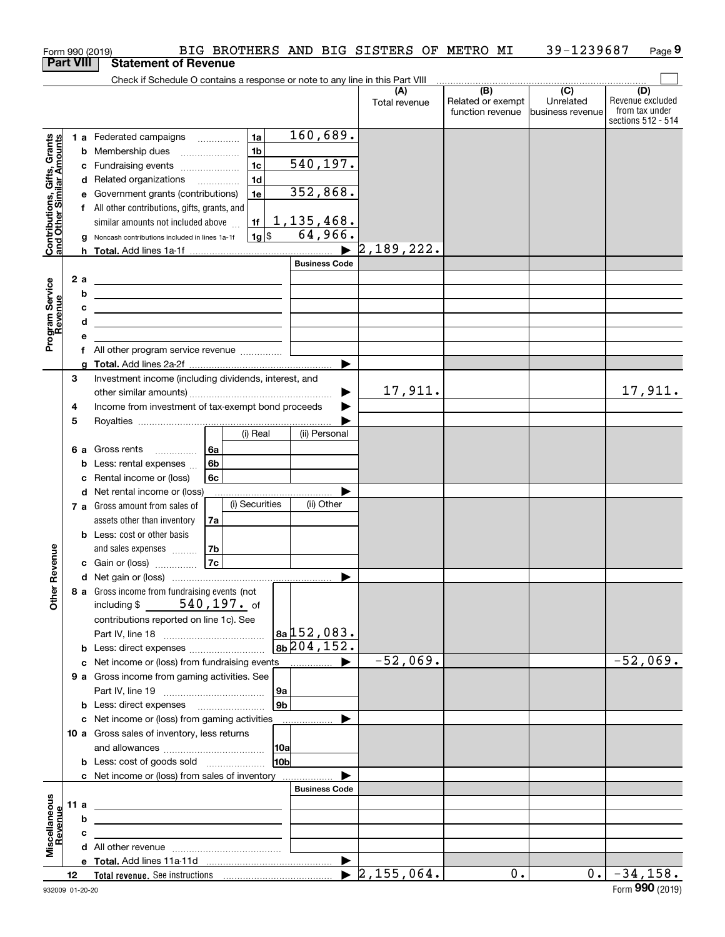|                                                           |    |      | Form 990 (2019)                                                                                                        |    |                |     |                      | BIG BROTHERS AND BIG SISTERS OF METRO MI |                                              | 39-1239687                                      | Page 9                                                          |
|-----------------------------------------------------------|----|------|------------------------------------------------------------------------------------------------------------------------|----|----------------|-----|----------------------|------------------------------------------|----------------------------------------------|-------------------------------------------------|-----------------------------------------------------------------|
| <b>Part VIII</b>                                          |    |      | <b>Statement of Revenue</b>                                                                                            |    |                |     |                      |                                          |                                              |                                                 |                                                                 |
|                                                           |    |      | Check if Schedule O contains a response or note to any line in this Part VIII                                          |    |                |     |                      |                                          |                                              |                                                 |                                                                 |
|                                                           |    |      |                                                                                                                        |    |                |     |                      | (A)<br>Total revenue                     | (B)<br>Related or exempt<br>function revenue | $\overline{C}$<br>Unrelated<br>business revenue | (D)<br>Revenue excluded<br>from tax under<br>sections 512 - 514 |
|                                                           |    |      | 1 a Federated campaigns                                                                                                |    | 1a             |     | 160,689.             |                                          |                                              |                                                 |                                                                 |
|                                                           |    |      | <b>b</b> Membership dues                                                                                               |    | 1 <sub>b</sub> |     |                      |                                          |                                              |                                                 |                                                                 |
|                                                           |    |      | c Fundraising events                                                                                                   |    | 1 <sub>c</sub> |     | 540, 197.            |                                          |                                              |                                                 |                                                                 |
| Contributions, Gifts, Grants<br>and Other Similar Amounts |    |      | d Related organizations                                                                                                |    | 1d             |     |                      |                                          |                                              |                                                 |                                                                 |
|                                                           |    |      | e Government grants (contributions)                                                                                    |    | 1e             |     | 352,868.             |                                          |                                              |                                                 |                                                                 |
|                                                           |    |      | f All other contributions, gifts, grants, and                                                                          |    |                |     |                      |                                          |                                              |                                                 |                                                                 |
|                                                           |    |      | similar amounts not included above                                                                                     |    | 1f             |     | <u>1,135,468.</u>    |                                          |                                              |                                                 |                                                                 |
|                                                           |    |      | g Noncash contributions included in lines 1a-1f                                                                        |    | $1g$ \$        |     | 64,966.              |                                          |                                              |                                                 |                                                                 |
|                                                           |    |      |                                                                                                                        |    |                |     |                      | 2,189,222.                               |                                              |                                                 |                                                                 |
|                                                           |    |      |                                                                                                                        |    |                |     | <b>Business Code</b> |                                          |                                              |                                                 |                                                                 |
|                                                           |    | 2a   | <u> 1989 - Johann Barn, mars eta bat erroman erroman erroman erroman erroman erroman erroman erroman erroman err</u>   |    |                |     |                      |                                          |                                              |                                                 |                                                                 |
|                                                           |    | b    | <u> 1989 - Johann Barn, amerikansk politiker (</u>                                                                     |    |                |     |                      |                                          |                                              |                                                 |                                                                 |
|                                                           |    | с    | <u> 1989 - Johann Stein, mars an de Britannich (b. 1989)</u>                                                           |    |                |     |                      |                                          |                                              |                                                 |                                                                 |
| Program Service<br>Revenue                                |    | d    | the contract of the contract of the contract of the contract of the contract of                                        |    |                |     |                      |                                          |                                              |                                                 |                                                                 |
|                                                           |    | е    | f All other program service revenue                                                                                    |    |                |     |                      |                                          |                                              |                                                 |                                                                 |
|                                                           |    |      |                                                                                                                        |    |                |     |                      |                                          |                                              |                                                 |                                                                 |
|                                                           | 3  |      | Investment income (including dividends, interest, and                                                                  |    |                |     |                      |                                          |                                              |                                                 |                                                                 |
|                                                           |    |      |                                                                                                                        |    |                |     |                      | 17,911.                                  |                                              |                                                 | 17,911.                                                         |
|                                                           | 4  |      | Income from investment of tax-exempt bond proceeds                                                                     |    |                |     |                      |                                          |                                              |                                                 |                                                                 |
|                                                           | 5  |      |                                                                                                                        |    |                |     |                      |                                          |                                              |                                                 |                                                                 |
|                                                           |    |      |                                                                                                                        |    | (i) Real       |     | (ii) Personal        |                                          |                                              |                                                 |                                                                 |
|                                                           |    |      | 6 a Gross rents<br>l 6a                                                                                                |    |                |     |                      |                                          |                                              |                                                 |                                                                 |
|                                                           |    |      | <b>b</b> Less: rental expenses $\ldots$                                                                                | 6b |                |     |                      |                                          |                                              |                                                 |                                                                 |
|                                                           |    |      | c Rental income or (loss)                                                                                              | 6с |                |     |                      |                                          |                                              |                                                 |                                                                 |
|                                                           |    |      | d Net rental income or (loss)                                                                                          |    |                |     |                      |                                          |                                              |                                                 |                                                                 |
|                                                           |    |      | 7 a Gross amount from sales of                                                                                         |    | (i) Securities |     | (ii) Other           |                                          |                                              |                                                 |                                                                 |
|                                                           |    |      | assets other than inventory                                                                                            | 7a |                |     |                      |                                          |                                              |                                                 |                                                                 |
|                                                           |    |      | <b>b</b> Less: cost or other basis                                                                                     |    |                |     |                      |                                          |                                              |                                                 |                                                                 |
| evenue                                                    |    |      | and sales expenses                                                                                                     | 7b |                |     |                      |                                          |                                              |                                                 |                                                                 |
|                                                           |    |      | c Gain or (loss)                                                                                                       | 7c |                |     |                      |                                          |                                              |                                                 |                                                                 |
| Œ                                                         |    |      |                                                                                                                        |    |                |     |                      |                                          |                                              |                                                 |                                                                 |
| Other                                                     |    |      | 8 a Gross income from fundraising events (not<br>including \$ 540, 197. of                                             |    |                |     |                      |                                          |                                              |                                                 |                                                                 |
|                                                           |    |      | contributions reported on line 1c). See                                                                                |    |                |     |                      |                                          |                                              |                                                 |                                                                 |
|                                                           |    |      |                                                                                                                        |    |                |     | $ a_{a} $ 152,083.   |                                          |                                              |                                                 |                                                                 |
|                                                           |    |      | <b>b</b> Less: direct expenses <i></i>                                                                                 |    |                |     | 8b 204, 152.         |                                          |                                              |                                                 |                                                                 |
|                                                           |    |      | c Net income or (loss) from fundraising events                                                                         |    |                |     |                      | $-52,069.$                               |                                              |                                                 | $-52,069.$                                                      |
|                                                           |    |      | 9 a Gross income from gaming activities. See                                                                           |    |                |     |                      |                                          |                                              |                                                 |                                                                 |
|                                                           |    |      |                                                                                                                        |    |                | 9a  |                      |                                          |                                              |                                                 |                                                                 |
|                                                           |    |      | <b>b</b> Less: direct expenses <b>manually</b>                                                                         |    |                | 9b  |                      |                                          |                                              |                                                 |                                                                 |
|                                                           |    |      | c Net income or (loss) from gaming activities                                                                          |    |                |     | .                    |                                          |                                              |                                                 |                                                                 |
|                                                           |    |      | 10 a Gross sales of inventory, less returns                                                                            |    |                |     |                      |                                          |                                              |                                                 |                                                                 |
|                                                           |    |      |                                                                                                                        |    |                | 10a |                      |                                          |                                              |                                                 |                                                                 |
|                                                           |    |      | <b>b</b> Less: cost of goods sold                                                                                      |    |                | 10b |                      |                                          |                                              |                                                 |                                                                 |
|                                                           |    |      | c Net income or (loss) from sales of inventory                                                                         |    |                |     |                      |                                          |                                              |                                                 |                                                                 |
|                                                           |    |      |                                                                                                                        |    |                |     | <b>Business Code</b> |                                          |                                              |                                                 |                                                                 |
|                                                           |    | 11 a | <u> 1989 - Johann Barn, mars and de Brasilian (b. 1989)</u>                                                            |    |                |     |                      |                                          |                                              |                                                 |                                                                 |
|                                                           |    | b    | <u> 1980 - Johann John Stein, marwolaeth a bhann an t-Amhainn an t-Amhainn an t-Amhainn an t-Amhainn an t-Amhainn </u> |    |                |     |                      |                                          |                                              |                                                 |                                                                 |
| Miscellaneous<br>Revenue                                  |    | c    | <u> 1989 - Johann Stein, marwolaethau a bhann an t-Amhainn an t-Amhainn an t-Amhainn an t-Amhainn an t-Amhainn an</u>  |    |                |     |                      |                                          |                                              |                                                 |                                                                 |
|                                                           |    |      |                                                                                                                        |    |                |     |                      |                                          |                                              |                                                 |                                                                 |
|                                                           | 12 |      |                                                                                                                        |    |                |     |                      | $\blacktriangleright$ 2,155,064.         | 0.                                           | 0.1                                             | $-34,158.$                                                      |
|                                                           |    |      |                                                                                                                        |    |                |     |                      |                                          |                                              |                                                 |                                                                 |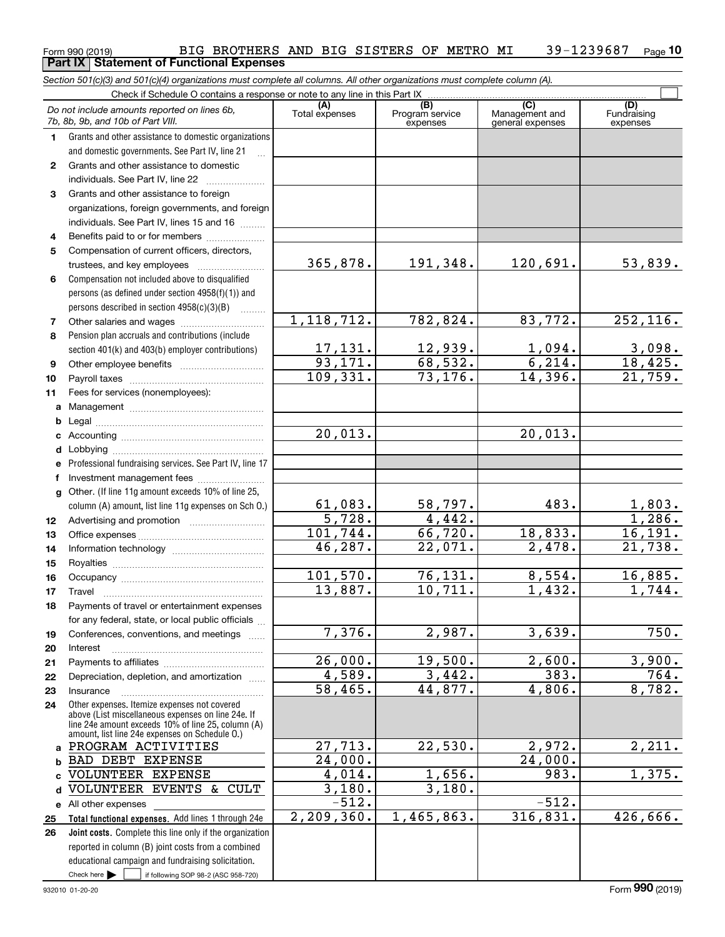#### $_{\rm Form}$ 990 (2019) BIG BROTHERS AND BIG SISTERS OF METRO MI  $\,$  39-1239687  $\,$   $_{\rm Page}$ **10 Part IX Statement of Functional Expenses**

*Section 501(c)(3) and 501(c)(4) organizations must complete all columns. All other organizations must complete column (A).*

|              | Check if Schedule O contains a response or note to any line in this Part IX                          |                       |                                                 |                                                      |                                 |  |  |  |  |  |  |
|--------------|------------------------------------------------------------------------------------------------------|-----------------------|-------------------------------------------------|------------------------------------------------------|---------------------------------|--|--|--|--|--|--|
|              | Do not include amounts reported on lines 6b.<br>7b, 8b, 9b, and 10b of Part VIII.                    | (A)<br>Total expenses | $\overline{(B)}$<br>Program service<br>expenses | $\overline{C}$<br>Management and<br>general expenses | (D)<br>Fundraising<br>expenses  |  |  |  |  |  |  |
| 1.           | Grants and other assistance to domestic organizations                                                |                       |                                                 |                                                      |                                 |  |  |  |  |  |  |
|              | and domestic governments. See Part IV, line 21                                                       |                       |                                                 |                                                      |                                 |  |  |  |  |  |  |
| $\mathbf{2}$ | Grants and other assistance to domestic                                                              |                       |                                                 |                                                      |                                 |  |  |  |  |  |  |
|              | individuals. See Part IV, line 22                                                                    |                       |                                                 |                                                      |                                 |  |  |  |  |  |  |
| 3            | Grants and other assistance to foreign                                                               |                       |                                                 |                                                      |                                 |  |  |  |  |  |  |
|              | organizations, foreign governments, and foreign                                                      |                       |                                                 |                                                      |                                 |  |  |  |  |  |  |
|              | individuals. See Part IV, lines 15 and 16                                                            |                       |                                                 |                                                      |                                 |  |  |  |  |  |  |
| 4            | Benefits paid to or for members                                                                      |                       |                                                 |                                                      |                                 |  |  |  |  |  |  |
| 5            | Compensation of current officers, directors,                                                         |                       |                                                 |                                                      |                                 |  |  |  |  |  |  |
|              | trustees, and key employees                                                                          | 365,878.              | 191,348.                                        | 120,691.                                             | 53,839.                         |  |  |  |  |  |  |
| 6            | Compensation not included above to disqualified                                                      |                       |                                                 |                                                      |                                 |  |  |  |  |  |  |
|              | persons (as defined under section 4958(f)(1)) and                                                    |                       |                                                 |                                                      |                                 |  |  |  |  |  |  |
|              | persons described in section $4958(c)(3)(B)$                                                         |                       |                                                 |                                                      |                                 |  |  |  |  |  |  |
| 7            | Other salaries and wages                                                                             | 1, 118, 712.          | 782,824.                                        | 83,772.                                              | 252, 116.                       |  |  |  |  |  |  |
| 8            | Pension plan accruals and contributions (include                                                     |                       |                                                 |                                                      |                                 |  |  |  |  |  |  |
|              | section 401(k) and 403(b) employer contributions)                                                    | <u>17,131.</u>        | 12,939.                                         | $\frac{1,094.}{6,214.}$                              | 3,098.                          |  |  |  |  |  |  |
| 9            |                                                                                                      | 93,171.               | 68,532.                                         |                                                      | 18,425.                         |  |  |  |  |  |  |
| 10           |                                                                                                      | 109,331.              | 73, 176.                                        | 14,396.                                              | 21,759.                         |  |  |  |  |  |  |
| 11           | Fees for services (nonemployees):                                                                    |                       |                                                 |                                                      |                                 |  |  |  |  |  |  |
| a            |                                                                                                      |                       |                                                 |                                                      |                                 |  |  |  |  |  |  |
| b            |                                                                                                      |                       |                                                 |                                                      |                                 |  |  |  |  |  |  |
| c            |                                                                                                      | 20,013.               |                                                 | 20,013.                                              |                                 |  |  |  |  |  |  |
| d            |                                                                                                      |                       |                                                 |                                                      |                                 |  |  |  |  |  |  |
| e            | Professional fundraising services. See Part IV, line 17                                              |                       |                                                 |                                                      |                                 |  |  |  |  |  |  |
| f            | Investment management fees                                                                           |                       |                                                 |                                                      |                                 |  |  |  |  |  |  |
| q            | Other. (If line 11g amount exceeds 10% of line 25,                                                   |                       |                                                 |                                                      |                                 |  |  |  |  |  |  |
|              | column (A) amount, list line 11g expenses on Sch O.)                                                 | 61,083.               | 58,797.                                         | 483.                                                 | $\frac{1,803.}{1,286.}$         |  |  |  |  |  |  |
| 12           |                                                                                                      | $\overline{5,728}$ .  | 4,442.                                          |                                                      |                                 |  |  |  |  |  |  |
| 13           |                                                                                                      | 101, 744.<br>46, 287. | 66, 720.                                        | 18,833.                                              | 16, 191.                        |  |  |  |  |  |  |
| 14           |                                                                                                      |                       | 22,071.                                         | 2,478.                                               | 21,738.                         |  |  |  |  |  |  |
| 15           |                                                                                                      |                       |                                                 |                                                      |                                 |  |  |  |  |  |  |
| 16           |                                                                                                      | 101,570.<br>13,887.   | 76, 131.<br>10,711.                             | 8,554.<br>1,432.                                     | 16,885.<br>$\overline{1,744}$ . |  |  |  |  |  |  |
| 17           | Travel                                                                                               |                       |                                                 |                                                      |                                 |  |  |  |  |  |  |
| 18           | Payments of travel or entertainment expenses                                                         |                       |                                                 |                                                      |                                 |  |  |  |  |  |  |
|              | for any federal, state, or local public officials                                                    | 7,376.                | $\overline{2,987}$ .                            | 3,639.                                               | 750.                            |  |  |  |  |  |  |
| 19           | Conferences, conventions, and meetings                                                               |                       |                                                 |                                                      |                                 |  |  |  |  |  |  |
| 20<br>21     | Interest                                                                                             | 26,000.               | 19,500.                                         | 2,600.                                               | 3,900.                          |  |  |  |  |  |  |
| 22           | Depreciation, depletion, and amortization                                                            | 4,589.                | 3,442.                                          | 383.                                                 | 764.                            |  |  |  |  |  |  |
| 23           | Insurance                                                                                            | 58,465.               | 44,877.                                         | 4,806.                                               | 8,782.                          |  |  |  |  |  |  |
| 24           | Other expenses. Itemize expenses not covered                                                         |                       |                                                 |                                                      |                                 |  |  |  |  |  |  |
|              | above (List miscellaneous expenses on line 24e. If                                                   |                       |                                                 |                                                      |                                 |  |  |  |  |  |  |
|              | line 24e amount exceeds 10% of line 25, column (A)<br>amount, list line 24e expenses on Schedule O.) |                       |                                                 |                                                      |                                 |  |  |  |  |  |  |
| a            | PROGRAM ACTIVITIES                                                                                   | 27,713.               | 22,530.                                         | 2,972.                                               | $\overline{2,211.}$             |  |  |  |  |  |  |
| b            | <b>BAD DEBT EXPENSE</b>                                                                              | 24,000.               |                                                 | 24,000.                                              |                                 |  |  |  |  |  |  |
| C            | VOLUNTEER EXPENSE                                                                                    | 4,014.                | 1,656.                                          | 983.                                                 | 1,375.                          |  |  |  |  |  |  |
| d            | VOLUNTEER EVENTS & CULT                                                                              | 3,180.                | 3,180.                                          |                                                      |                                 |  |  |  |  |  |  |
| е            | All other expenses                                                                                   | $-512.$               |                                                 | $-512.$                                              |                                 |  |  |  |  |  |  |
| 25           | Total functional expenses. Add lines 1 through 24e                                                   | 2, 209, 360.          | 1,465,863.                                      | 316,831.                                             | 426,666.                        |  |  |  |  |  |  |
| 26           | Joint costs. Complete this line only if the organization                                             |                       |                                                 |                                                      |                                 |  |  |  |  |  |  |
|              | reported in column (B) joint costs from a combined                                                   |                       |                                                 |                                                      |                                 |  |  |  |  |  |  |
|              | educational campaign and fundraising solicitation.                                                   |                       |                                                 |                                                      |                                 |  |  |  |  |  |  |
|              | Check here $\blacktriangleright$<br>if following SOP 98-2 (ASC 958-720)                              |                       |                                                 |                                                      |                                 |  |  |  |  |  |  |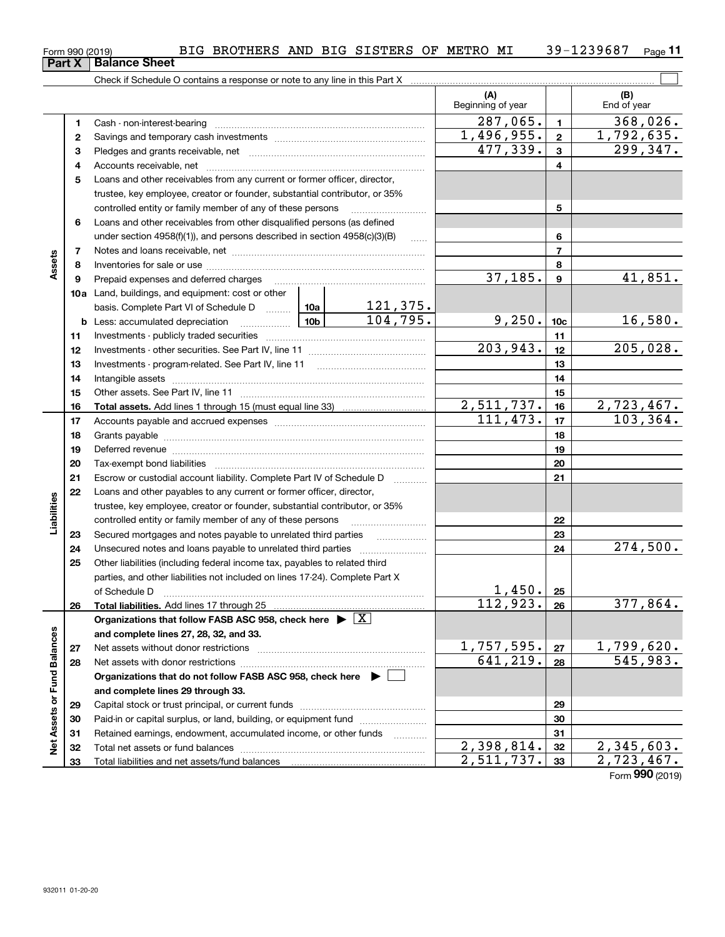**26**

**2728**

**Net Assets or Fund Balances**

Net Assets or Fund Balances

| <b>00100101</b> |                          | ------- |
|-----------------|--------------------------|---------|
|                 | <b>X</b>   Balance Sheet |         |

|             | Part X   | <b>Balance Sheet</b>                                                                                                                                                                                                           |  |                     |                          |                 |                    |
|-------------|----------|--------------------------------------------------------------------------------------------------------------------------------------------------------------------------------------------------------------------------------|--|---------------------|--------------------------|-----------------|--------------------|
|             |          |                                                                                                                                                                                                                                |  |                     |                          |                 |                    |
|             |          |                                                                                                                                                                                                                                |  |                     | (A)<br>Beginning of year |                 | (B)<br>End of year |
|             | 1.       |                                                                                                                                                                                                                                |  |                     | 287,065.                 | $\mathbf{1}$    | 368,026.           |
|             | 2        |                                                                                                                                                                                                                                |  |                     | 1,496,955.               | $\mathbf{2}$    | 1,792,635.         |
|             | 3        |                                                                                                                                                                                                                                |  |                     | 477,339.                 | 3               | 299,347.           |
|             | 4        |                                                                                                                                                                                                                                |  |                     |                          | 4               |                    |
|             | 5        | Loans and other receivables from any current or former officer, director,                                                                                                                                                      |  |                     |                          |                 |                    |
|             |          | trustee, key employee, creator or founder, substantial contributor, or 35%                                                                                                                                                     |  |                     |                          |                 |                    |
|             |          | controlled entity or family member of any of these persons                                                                                                                                                                     |  |                     |                          | 5               |                    |
| Assets      | 6        | Loans and other receivables from other disqualified persons (as defined                                                                                                                                                        |  |                     |                          |                 |                    |
|             |          | under section 4958(f)(1)), and persons described in section 4958(c)(3)(B)                                                                                                                                                      |  |                     |                          | 6               |                    |
|             | 7        | Notes and loans receivable, net example and some series and loans receivable, net                                                                                                                                              |  |                     |                          | $\overline{7}$  |                    |
|             | 8        |                                                                                                                                                                                                                                |  |                     |                          | 8               |                    |
|             | 9        | Prepaid expenses and deferred charges                                                                                                                                                                                          |  |                     | 37,185.                  | 9               | 41,851.            |
|             |          | <b>10a</b> Land, buildings, and equipment: cost or other                                                                                                                                                                       |  |                     |                          |                 |                    |
|             |          | basis. Complete Part VI of Schedule D  10a                                                                                                                                                                                     |  | 121,375.            |                          |                 |                    |
|             |          | $\begin{array}{c c c c c} \hline & 10b & \hline \end{array}$<br><b>b</b> Less: accumulated depreciation                                                                                                                        |  | 104, 795.           | 9,250.                   | 10 <sub>c</sub> | 16,580.            |
|             | 11       |                                                                                                                                                                                                                                |  |                     |                          | 11              |                    |
|             | 12       |                                                                                                                                                                                                                                |  |                     | 203,943.                 | 12              | 205,028.           |
|             | 13       |                                                                                                                                                                                                                                |  |                     |                          | 13              |                    |
|             | 14       |                                                                                                                                                                                                                                |  |                     |                          | 14              |                    |
|             | 15       |                                                                                                                                                                                                                                |  |                     |                          | 15              |                    |
|             | 16       |                                                                                                                                                                                                                                |  |                     | 2,511,737.               | 16              | 2,723,467.         |
|             | 17       |                                                                                                                                                                                                                                |  |                     | 111,473.                 | 17              | 103, 364.          |
|             | 18       |                                                                                                                                                                                                                                |  |                     |                          | 18              |                    |
|             | 19       | Deferred revenue manual contracts and contracts are all the contracts and contracts are contracted and contracts are contracted and contract are contracted and contract are contracted and contract are contracted and contra |  |                     |                          | 19              |                    |
|             | 20       |                                                                                                                                                                                                                                |  |                     |                          | 20              |                    |
|             | 21       | Escrow or custodial account liability. Complete Part IV of Schedule D                                                                                                                                                          |  | 1.1.1.1.1.1.1.1.1.1 |                          | 21              |                    |
|             | 22       | Loans and other payables to any current or former officer, director,                                                                                                                                                           |  |                     |                          |                 |                    |
|             |          | trustee, key employee, creator or founder, substantial contributor, or 35%                                                                                                                                                     |  |                     |                          |                 |                    |
| Liabilities |          | controlled entity or family member of any of these persons                                                                                                                                                                     |  |                     |                          | 22              |                    |
|             | 23<br>24 | Secured mortgages and notes payable to unrelated third parties                                                                                                                                                                 |  |                     |                          | 23<br>24        | 274,500.           |
|             | 25       | Other liabilities (including federal income tax, payables to related third                                                                                                                                                     |  |                     |                          |                 |                    |
|             |          | parties, and other liabilities not included on lines 17-24). Complete Part X                                                                                                                                                   |  |                     |                          |                 |                    |

**Total liabilities.**  Add lines 17 through 25

Net assets without donor restrictions ~~~~~~~~~~~~~~~~~~~~ Net assets with donor restrictions ~~~~~~~~~~~~~~~~~~~~~~

Capital stock or trust principal, or current funds ~~~~~~~~~~~~~~~ Paid-in or capital surplus, or land, building, or equipment fund www.commun.com Retained earnings, endowment, accumulated income, or other funds we have all the Total net assets or fund balances ~~~~~~~~~~~~~~~~~~~~~~

of Schedule D ~~~~~~~~~~~~~~~~~~~~~~~~~~~~~~~

**Organizations that do not follow FASB ASC 958, check here** |

**Organizations that follow FASB ASC 958, check here** | X

**and complete lines 27, 28, 32, and 33.**

**and complete lines 29 through 33.**

Total liabilities and net assets/fund balances

## $_{\rm Form}$ 990 (2019) BIG BROTHERS AND BIG SISTERS OF METRO MI  $\,$  39-1239687  $\,$   $_{\rm Page}$

 $\overline{641,219.}$  28 545,983.

**2526**

 $112,923.$   $26$  377,864.

1,450.

**2728**

 $1,757,595.$  |  $27$  | 1,799,620.

 $2,398,814.$   $32$   $2,345,603.$  $2,511,737.$  33  $2,723,467.$ 

Form (2019) **990**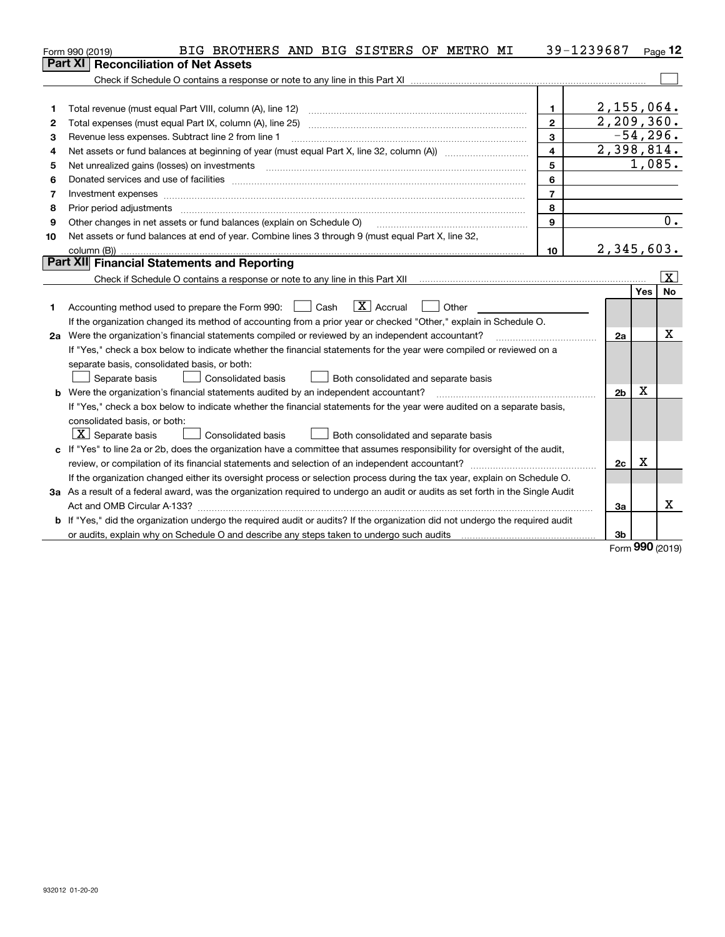|    | BIG BROTHERS AND BIG SISTERS OF METRO MI<br>Form 990 (2019)                                                                     |       |                | 39-1239687     |            | Page 12                 |
|----|---------------------------------------------------------------------------------------------------------------------------------|-------|----------------|----------------|------------|-------------------------|
|    | <b>Reconciliation of Net Assets</b><br>Part XI I                                                                                |       |                |                |            |                         |
|    |                                                                                                                                 |       |                |                |            |                         |
|    |                                                                                                                                 |       |                |                |            |                         |
| 1  | Total revenue (must equal Part VIII, column (A), line 12)                                                                       |       | $\mathbf{1}$   | $2,155,064$ .  |            |                         |
| 2  |                                                                                                                                 |       | $\overline{2}$ | 2,209,360.     |            |                         |
| з  | Revenue less expenses. Subtract line 2 from line 1                                                                              |       | 3              |                | $-54,296.$ |                         |
| 4  |                                                                                                                                 |       | $\overline{4}$ | 2,398,814.     |            |                         |
| 5  | Net unrealized gains (losses) on investments                                                                                    |       | 5              |                | 1,085.     |                         |
| 6  |                                                                                                                                 |       | 6              |                |            |                         |
| 7  | Investment expenses www.communication.com/www.communication.com/www.communication.com/www.com                                   |       | $\overline{7}$ |                |            |                         |
| 8  | Prior period adjustments                                                                                                        |       | 8              |                |            |                         |
| 9  | Other changes in net assets or fund balances (explain on Schedule O)                                                            |       | 9              |                |            | 0.                      |
| 10 | Net assets or fund balances at end of year. Combine lines 3 through 9 (must equal Part X, line 32,                              |       |                |                |            |                         |
|    | column (B))                                                                                                                     |       | 10             | 2,345,603.     |            |                         |
|    | Part XII Financial Statements and Reporting                                                                                     |       |                |                |            |                         |
|    |                                                                                                                                 |       |                |                |            | $\overline{\mathbf{X}}$ |
|    |                                                                                                                                 |       |                |                | <b>Yes</b> | <b>No</b>               |
| 1  | $ X $ Accrual<br>Accounting method used to prepare the Form 990: <u>June</u> Cash                                               | Other |                |                |            |                         |
|    | If the organization changed its method of accounting from a prior year or checked "Other," explain in Schedule O.               |       |                |                |            |                         |
|    | 2a Were the organization's financial statements compiled or reviewed by an independent accountant?                              |       |                | 2a             |            | X                       |
|    | If "Yes," check a box below to indicate whether the financial statements for the year were compiled or reviewed on a            |       |                |                |            |                         |
|    | separate basis, consolidated basis, or both:                                                                                    |       |                |                |            |                         |
|    | Consolidated basis<br>Separate basis<br>Both consolidated and separate basis                                                    |       |                |                |            |                         |
|    | <b>b</b> Were the organization's financial statements audited by an independent accountant?                                     |       |                | 2 <sub>b</sub> | Х          |                         |
|    | If "Yes," check a box below to indicate whether the financial statements for the year were audited on a separate basis,         |       |                |                |            |                         |
|    | consolidated basis, or both:                                                                                                    |       |                |                |            |                         |
|    | $X$ Separate basis<br>Consolidated basis<br>Both consolidated and separate basis                                                |       |                |                |            |                         |
| c  | If "Yes" to line 2a or 2b, does the organization have a committee that assumes responsibility for oversight of the audit,       |       |                |                |            |                         |
|    | review, or compilation of its financial statements and selection of an independent accountant?                                  |       |                | 2c             | х          |                         |
|    | If the organization changed either its oversight process or selection process during the tax year, explain on Schedule O.       |       |                |                |            |                         |
|    | 3a As a result of a federal award, was the organization required to undergo an audit or audits as set forth in the Single Audit |       |                |                |            |                         |
|    |                                                                                                                                 |       |                | За             |            | x                       |
|    | b If "Yes," did the organization undergo the required audit or audits? If the organization did not undergo the required audit   |       |                |                |            |                         |
|    | or audits, explain why on Schedule O and describe any steps taken to undergo such audits                                        |       |                | 3b             |            |                         |

Form (2019) **990**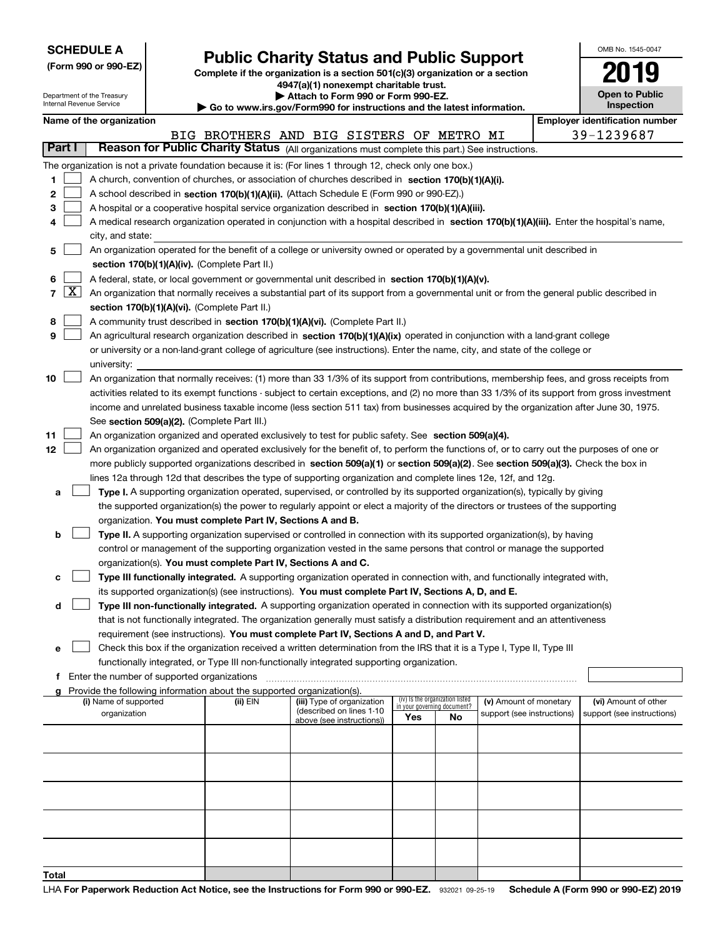| <b>SCHEDULE A</b> |  |
|-------------------|--|
|-------------------|--|

Department of the Treasury Internal Revenue Service

**Total**

|  |  | (Form 990 or 990-EZ) |  |
|--|--|----------------------|--|

## **Public Charity Status and Public Support**

**Complete if the organization is a section 501(c)(3) organization or a section 4947(a)(1) nonexempt charitable trust. | Attach to Form 990 or Form 990-EZ.** 

| ▶ Go to www.irs.gov/Form990 for instructions and the latest information. |  |  |  |
|--------------------------------------------------------------------------|--|--|--|
|                                                                          |  |  |  |

| OMB No. 1545-0047                   |
|-------------------------------------|
| 2019                                |
| <b>Open to Public</b><br>Inspection |

|        |                   | Name of the organization                                                                                                                                                                                                                           |                                                                                                                           |                                                       |     |                                                                |                            |  | <b>Employer identification number</b> |  |  |
|--------|-------------------|----------------------------------------------------------------------------------------------------------------------------------------------------------------------------------------------------------------------------------------------------|---------------------------------------------------------------------------------------------------------------------------|-------------------------------------------------------|-----|----------------------------------------------------------------|----------------------------|--|---------------------------------------|--|--|
| Part I |                   | Reason for Public Charity Status (All organizations must complete this part.) See instructions.                                                                                                                                                    |                                                                                                                           | BIG BROTHERS AND BIG SISTERS OF METRO MI              |     |                                                                |                            |  | 39-1239687                            |  |  |
|        |                   |                                                                                                                                                                                                                                                    |                                                                                                                           |                                                       |     |                                                                |                            |  |                                       |  |  |
| 1.     |                   | The organization is not a private foundation because it is: (For lines 1 through 12, check only one box.)<br>A church, convention of churches, or association of churches described in section 170(b)(1)(A)(i).                                    |                                                                                                                           |                                                       |     |                                                                |                            |  |                                       |  |  |
| 2      |                   | A school described in section 170(b)(1)(A)(ii). (Attach Schedule E (Form 990 or 990-EZ).)                                                                                                                                                          |                                                                                                                           |                                                       |     |                                                                |                            |  |                                       |  |  |
| з      |                   |                                                                                                                                                                                                                                                    |                                                                                                                           |                                                       |     |                                                                |                            |  |                                       |  |  |
| 4      |                   | A hospital or a cooperative hospital service organization described in section $170(b)(1)(A)(iii)$ .<br>A medical research organization operated in conjunction with a hospital described in section 170(b)(1)(A)(iii). Enter the hospital's name, |                                                                                                                           |                                                       |     |                                                                |                            |  |                                       |  |  |
|        |                   | city, and state:                                                                                                                                                                                                                                   |                                                                                                                           |                                                       |     |                                                                |                            |  |                                       |  |  |
| 5      |                   |                                                                                                                                                                                                                                                    | An organization operated for the benefit of a college or university owned or operated by a governmental unit described in |                                                       |     |                                                                |                            |  |                                       |  |  |
|        |                   | section 170(b)(1)(A)(iv). (Complete Part II.)                                                                                                                                                                                                      |                                                                                                                           |                                                       |     |                                                                |                            |  |                                       |  |  |
| 6      |                   | A federal, state, or local government or governmental unit described in section 170(b)(1)(A)(v).                                                                                                                                                   |                                                                                                                           |                                                       |     |                                                                |                            |  |                                       |  |  |
|        | $7 \vert X \vert$ | An organization that normally receives a substantial part of its support from a governmental unit or from the general public described in                                                                                                          |                                                                                                                           |                                                       |     |                                                                |                            |  |                                       |  |  |
|        |                   | section 170(b)(1)(A)(vi). (Complete Part II.)                                                                                                                                                                                                      |                                                                                                                           |                                                       |     |                                                                |                            |  |                                       |  |  |
| 8      |                   | A community trust described in section 170(b)(1)(A)(vi). (Complete Part II.)                                                                                                                                                                       |                                                                                                                           |                                                       |     |                                                                |                            |  |                                       |  |  |
| 9      |                   | An agricultural research organization described in section 170(b)(1)(A)(ix) operated in conjunction with a land-grant college                                                                                                                      |                                                                                                                           |                                                       |     |                                                                |                            |  |                                       |  |  |
|        |                   | or university or a non-land-grant college of agriculture (see instructions). Enter the name, city, and state of the college or                                                                                                                     |                                                                                                                           |                                                       |     |                                                                |                            |  |                                       |  |  |
|        |                   | university:                                                                                                                                                                                                                                        |                                                                                                                           |                                                       |     |                                                                |                            |  |                                       |  |  |
| 10     |                   | An organization that normally receives: (1) more than 33 1/3% of its support from contributions, membership fees, and gross receipts from                                                                                                          |                                                                                                                           |                                                       |     |                                                                |                            |  |                                       |  |  |
|        |                   | activities related to its exempt functions - subject to certain exceptions, and (2) no more than 33 1/3% of its support from gross investment                                                                                                      |                                                                                                                           |                                                       |     |                                                                |                            |  |                                       |  |  |
|        |                   | income and unrelated business taxable income (less section 511 tax) from businesses acquired by the organization after June 30, 1975.                                                                                                              |                                                                                                                           |                                                       |     |                                                                |                            |  |                                       |  |  |
|        |                   | See section 509(a)(2). (Complete Part III.)                                                                                                                                                                                                        |                                                                                                                           |                                                       |     |                                                                |                            |  |                                       |  |  |
| 11     |                   | An organization organized and operated exclusively to test for public safety. See section 509(a)(4).                                                                                                                                               |                                                                                                                           |                                                       |     |                                                                |                            |  |                                       |  |  |
| 12     |                   | An organization organized and operated exclusively for the benefit of, to perform the functions of, or to carry out the purposes of one or                                                                                                         |                                                                                                                           |                                                       |     |                                                                |                            |  |                                       |  |  |
|        |                   | more publicly supported organizations described in section 509(a)(1) or section 509(a)(2). See section 509(a)(3). Check the box in                                                                                                                 |                                                                                                                           |                                                       |     |                                                                |                            |  |                                       |  |  |
|        |                   | lines 12a through 12d that describes the type of supporting organization and complete lines 12e, 12f, and 12g.                                                                                                                                     |                                                                                                                           |                                                       |     |                                                                |                            |  |                                       |  |  |
| а      |                   | Type I. A supporting organization operated, supervised, or controlled by its supported organization(s), typically by giving                                                                                                                        |                                                                                                                           |                                                       |     |                                                                |                            |  |                                       |  |  |
|        |                   | the supported organization(s) the power to regularly appoint or elect a majority of the directors or trustees of the supporting                                                                                                                    |                                                                                                                           |                                                       |     |                                                                |                            |  |                                       |  |  |
|        |                   | organization. You must complete Part IV, Sections A and B.                                                                                                                                                                                         |                                                                                                                           |                                                       |     |                                                                |                            |  |                                       |  |  |
| b      |                   | Type II. A supporting organization supervised or controlled in connection with its supported organization(s), by having                                                                                                                            |                                                                                                                           |                                                       |     |                                                                |                            |  |                                       |  |  |
|        |                   | control or management of the supporting organization vested in the same persons that control or manage the supported                                                                                                                               |                                                                                                                           |                                                       |     |                                                                |                            |  |                                       |  |  |
|        |                   | organization(s). You must complete Part IV, Sections A and C.                                                                                                                                                                                      |                                                                                                                           |                                                       |     |                                                                |                            |  |                                       |  |  |
| с      |                   | Type III functionally integrated. A supporting organization operated in connection with, and functionally integrated with,                                                                                                                         |                                                                                                                           |                                                       |     |                                                                |                            |  |                                       |  |  |
|        |                   | its supported organization(s) (see instructions). You must complete Part IV, Sections A, D, and E.                                                                                                                                                 |                                                                                                                           |                                                       |     |                                                                |                            |  |                                       |  |  |
| d      |                   | Type III non-functionally integrated. A supporting organization operated in connection with its supported organization(s)                                                                                                                          |                                                                                                                           |                                                       |     |                                                                |                            |  |                                       |  |  |
|        |                   | that is not functionally integrated. The organization generally must satisfy a distribution requirement and an attentiveness                                                                                                                       |                                                                                                                           |                                                       |     |                                                                |                            |  |                                       |  |  |
|        |                   | requirement (see instructions). You must complete Part IV, Sections A and D, and Part V.                                                                                                                                                           |                                                                                                                           |                                                       |     |                                                                |                            |  |                                       |  |  |
|        |                   | Check this box if the organization received a written determination from the IRS that it is a Type I, Type II, Type III                                                                                                                            |                                                                                                                           |                                                       |     |                                                                |                            |  |                                       |  |  |
|        |                   | functionally integrated, or Type III non-functionally integrated supporting organization.<br>f Enter the number of supported organizations                                                                                                         |                                                                                                                           |                                                       |     |                                                                |                            |  |                                       |  |  |
|        |                   | g Provide the following information about the supported organization(s).                                                                                                                                                                           |                                                                                                                           |                                                       |     |                                                                |                            |  |                                       |  |  |
|        |                   | (i) Name of supported                                                                                                                                                                                                                              | (ii) EIN                                                                                                                  | (iii) Type of organization                            |     | (iv) Is the organization listed<br>in your governing document? | (v) Amount of monetary     |  | (vi) Amount of other                  |  |  |
|        |                   | organization                                                                                                                                                                                                                                       |                                                                                                                           | (described on lines 1-10<br>above (see instructions)) | Yes | No                                                             | support (see instructions) |  | support (see instructions)            |  |  |
|        |                   |                                                                                                                                                                                                                                                    |                                                                                                                           |                                                       |     |                                                                |                            |  |                                       |  |  |
|        |                   |                                                                                                                                                                                                                                                    |                                                                                                                           |                                                       |     |                                                                |                            |  |                                       |  |  |
|        |                   |                                                                                                                                                                                                                                                    |                                                                                                                           |                                                       |     |                                                                |                            |  |                                       |  |  |
|        |                   |                                                                                                                                                                                                                                                    |                                                                                                                           |                                                       |     |                                                                |                            |  |                                       |  |  |
|        |                   |                                                                                                                                                                                                                                                    |                                                                                                                           |                                                       |     |                                                                |                            |  |                                       |  |  |
|        |                   |                                                                                                                                                                                                                                                    |                                                                                                                           |                                                       |     |                                                                |                            |  |                                       |  |  |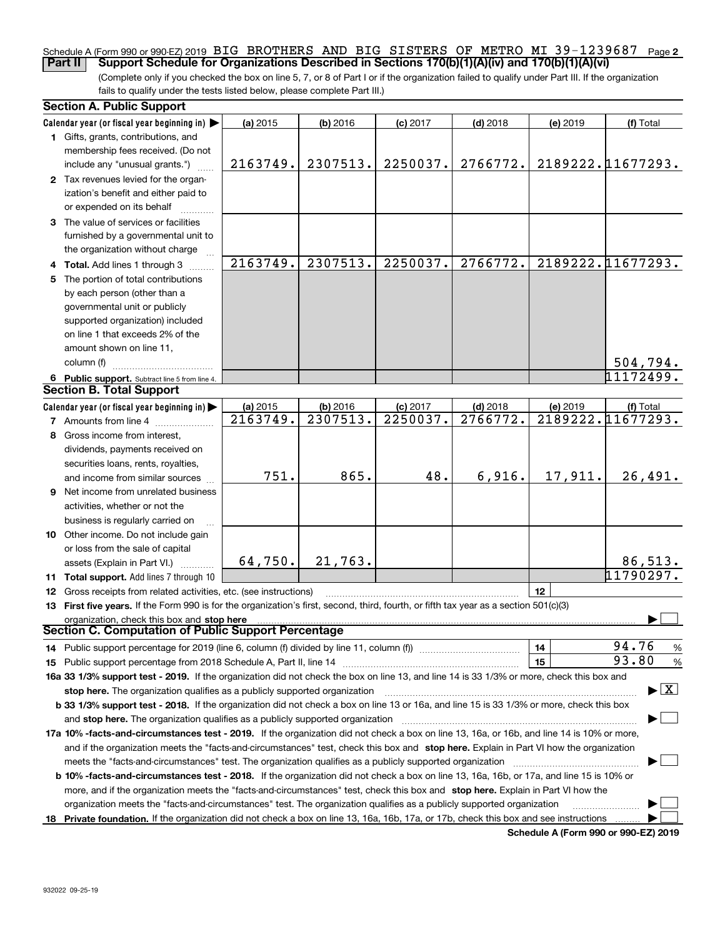#### Schedule A (Form 990 or 990-EZ) 2019 BIG BROTHERS AND BIG SISTERS OF METRO MI 39-1239687 Page **2 Part II Support Schedule for Organizations Described in Sections 170(b)(1)(A)(iv) and 170(b)(1)(A)(vi)**

(Complete only if you checked the box on line 5, 7, or 8 of Part I or if the organization failed to qualify under Part III. If the organization fails to qualify under the tests listed below, please complete Part III.)

| Calendar year (or fiscal year beginning in)<br>(a) 2015<br>$(b)$ 2016<br>$(c)$ 2017<br>$(d)$ 2018<br>(e) 2019<br>(f) Total<br>1 Gifts, grants, contributions, and<br>membership fees received. (Do not<br>2307513.<br>2250037.<br>2189222.11677293.<br>2163749.<br>2766772.<br>include any "unusual grants.")<br>2 Tax revenues levied for the organ-<br>ization's benefit and either paid to<br>or expended on its behalf<br>3 The value of services or facilities<br>furnished by a governmental unit to<br>the organization without charge<br>2163749.<br>2307513.<br>2250037.<br>2189222.11677293.<br>2766772.<br>4 Total. Add lines 1 through 3<br>The portion of total contributions<br>5.<br>by each person (other than a<br>governmental unit or publicly<br>supported organization) included<br>on line 1 that exceeds 2% of the<br>amount shown on line 11,<br>column (f)<br>504,794.<br>$\overline{11172499}$ .<br>6 Public support. Subtract line 5 from line 4.<br><b>Section B. Total Support</b><br>Calendar year (or fiscal year beginning in)<br>(b) 2016<br>(c) 2017<br>$(d)$ 2018<br>(a) 2015<br>(e) 2019<br>(f) Total<br>2189222.11677293.<br>2163749.<br>2307513.<br>2250037.<br>2766772.<br><b>7</b> Amounts from line 4<br>Gross income from interest,<br>8<br>dividends, payments received on<br>securities loans, rents, royalties,<br>751.<br>865.<br>48.<br>17,911.<br>6,916.<br>26,491.<br>and income from similar sources<br>9 Net income from unrelated business<br>activities, whether or not the<br>business is regularly carried on<br>10 Other income. Do not include gain<br>or loss from the sale of capital<br>64,750.<br>21,763.<br>86, 513.<br>assets (Explain in Part VI.)<br>11790297.<br>11 Total support. Add lines 7 through 10<br>12<br><b>12</b> Gross receipts from related activities, etc. (see instructions)<br>13 First five years. If the Form 990 is for the organization's first, second, third, fourth, or fifth tax year as a section 501(c)(3)<br>organization, check this box and stop here<br>Section C. Computation of Public Support Percentage<br>94.76<br>14<br>%<br>14 Public support percentage for 2019 (line 6, column (f) divided by line 11, column (f) <i>manumumumumum</i><br>93.80<br>15<br>%<br>16a 33 1/3% support test - 2019. If the organization did not check the box on line 13, and line 14 is 33 1/3% or more, check this box and<br>$\blacktriangleright$ $\boxed{\text{X}}$<br>stop here. The organization qualifies as a publicly supported organization<br>b 33 1/3% support test - 2018. If the organization did not check a box on line 13 or 16a, and line 15 is 33 1/3% or more, check this box<br>and stop here. The organization qualifies as a publicly supported organization<br>17a 10% -facts-and-circumstances test - 2019. If the organization did not check a box on line 13, 16a, or 16b, and line 14 is 10% or more,<br>and if the organization meets the "facts-and-circumstances" test, check this box and stop here. Explain in Part VI how the organization<br>meets the "facts-and-circumstances" test. The organization qualifies as a publicly supported organization<br><b>b 10% -facts-and-circumstances test - 2018.</b> If the organization did not check a box on line 13, 16a, 16b, or 17a, and line 15 is 10% or<br>more, and if the organization meets the "facts-and-circumstances" test, check this box and stop here. Explain in Part VI how the<br>organization meets the "facts-and-circumstances" test. The organization qualifies as a publicly supported organization | <b>Section A. Public Support</b> |  |  |  |
|--------------------------------------------------------------------------------------------------------------------------------------------------------------------------------------------------------------------------------------------------------------------------------------------------------------------------------------------------------------------------------------------------------------------------------------------------------------------------------------------------------------------------------------------------------------------------------------------------------------------------------------------------------------------------------------------------------------------------------------------------------------------------------------------------------------------------------------------------------------------------------------------------------------------------------------------------------------------------------------------------------------------------------------------------------------------------------------------------------------------------------------------------------------------------------------------------------------------------------------------------------------------------------------------------------------------------------------------------------------------------------------------------------------------------------------------------------------------------------------------------------------------------------------------------------------------------------------------------------------------------------------------------------------------------------------------------------------------------------------------------------------------------------------------------------------------------------------------------------------------------------------------------------------------------------------------------------------------------------------------------------------------------------------------------------------------------------------------------------------------------------------------------------------------------------------------------------------------------------------------------------------------------------------------------------------------------------------------------------------------------------------------------------------------------------------------------------------------------------------------------------------------------------------------------------------------------------------------------------------------------------------------------------------------------------------------------------------------------------------------------------------------------------------------------------------------------------------------------------------------------------------------------------------------------------------------------------------------------------------------------------------------------------------------------------------------------------------------------------------------------------------------------------------------------------------------------------------------------------------------------------------------------------------------------------------------------------------------------------------------------------------------------------------------------------------------------------------------------------------------------------------------------------------------------------------------------------------------------|----------------------------------|--|--|--|
|                                                                                                                                                                                                                                                                                                                                                                                                                                                                                                                                                                                                                                                                                                                                                                                                                                                                                                                                                                                                                                                                                                                                                                                                                                                                                                                                                                                                                                                                                                                                                                                                                                                                                                                                                                                                                                                                                                                                                                                                                                                                                                                                                                                                                                                                                                                                                                                                                                                                                                                                                                                                                                                                                                                                                                                                                                                                                                                                                                                                                                                                                                                                                                                                                                                                                                                                                                                                                                                                                                                                                                                                  |                                  |  |  |  |
|                                                                                                                                                                                                                                                                                                                                                                                                                                                                                                                                                                                                                                                                                                                                                                                                                                                                                                                                                                                                                                                                                                                                                                                                                                                                                                                                                                                                                                                                                                                                                                                                                                                                                                                                                                                                                                                                                                                                                                                                                                                                                                                                                                                                                                                                                                                                                                                                                                                                                                                                                                                                                                                                                                                                                                                                                                                                                                                                                                                                                                                                                                                                                                                                                                                                                                                                                                                                                                                                                                                                                                                                  |                                  |  |  |  |
|                                                                                                                                                                                                                                                                                                                                                                                                                                                                                                                                                                                                                                                                                                                                                                                                                                                                                                                                                                                                                                                                                                                                                                                                                                                                                                                                                                                                                                                                                                                                                                                                                                                                                                                                                                                                                                                                                                                                                                                                                                                                                                                                                                                                                                                                                                                                                                                                                                                                                                                                                                                                                                                                                                                                                                                                                                                                                                                                                                                                                                                                                                                                                                                                                                                                                                                                                                                                                                                                                                                                                                                                  |                                  |  |  |  |
|                                                                                                                                                                                                                                                                                                                                                                                                                                                                                                                                                                                                                                                                                                                                                                                                                                                                                                                                                                                                                                                                                                                                                                                                                                                                                                                                                                                                                                                                                                                                                                                                                                                                                                                                                                                                                                                                                                                                                                                                                                                                                                                                                                                                                                                                                                                                                                                                                                                                                                                                                                                                                                                                                                                                                                                                                                                                                                                                                                                                                                                                                                                                                                                                                                                                                                                                                                                                                                                                                                                                                                                                  |                                  |  |  |  |
|                                                                                                                                                                                                                                                                                                                                                                                                                                                                                                                                                                                                                                                                                                                                                                                                                                                                                                                                                                                                                                                                                                                                                                                                                                                                                                                                                                                                                                                                                                                                                                                                                                                                                                                                                                                                                                                                                                                                                                                                                                                                                                                                                                                                                                                                                                                                                                                                                                                                                                                                                                                                                                                                                                                                                                                                                                                                                                                                                                                                                                                                                                                                                                                                                                                                                                                                                                                                                                                                                                                                                                                                  |                                  |  |  |  |
|                                                                                                                                                                                                                                                                                                                                                                                                                                                                                                                                                                                                                                                                                                                                                                                                                                                                                                                                                                                                                                                                                                                                                                                                                                                                                                                                                                                                                                                                                                                                                                                                                                                                                                                                                                                                                                                                                                                                                                                                                                                                                                                                                                                                                                                                                                                                                                                                                                                                                                                                                                                                                                                                                                                                                                                                                                                                                                                                                                                                                                                                                                                                                                                                                                                                                                                                                                                                                                                                                                                                                                                                  |                                  |  |  |  |
|                                                                                                                                                                                                                                                                                                                                                                                                                                                                                                                                                                                                                                                                                                                                                                                                                                                                                                                                                                                                                                                                                                                                                                                                                                                                                                                                                                                                                                                                                                                                                                                                                                                                                                                                                                                                                                                                                                                                                                                                                                                                                                                                                                                                                                                                                                                                                                                                                                                                                                                                                                                                                                                                                                                                                                                                                                                                                                                                                                                                                                                                                                                                                                                                                                                                                                                                                                                                                                                                                                                                                                                                  |                                  |  |  |  |
|                                                                                                                                                                                                                                                                                                                                                                                                                                                                                                                                                                                                                                                                                                                                                                                                                                                                                                                                                                                                                                                                                                                                                                                                                                                                                                                                                                                                                                                                                                                                                                                                                                                                                                                                                                                                                                                                                                                                                                                                                                                                                                                                                                                                                                                                                                                                                                                                                                                                                                                                                                                                                                                                                                                                                                                                                                                                                                                                                                                                                                                                                                                                                                                                                                                                                                                                                                                                                                                                                                                                                                                                  |                                  |  |  |  |
|                                                                                                                                                                                                                                                                                                                                                                                                                                                                                                                                                                                                                                                                                                                                                                                                                                                                                                                                                                                                                                                                                                                                                                                                                                                                                                                                                                                                                                                                                                                                                                                                                                                                                                                                                                                                                                                                                                                                                                                                                                                                                                                                                                                                                                                                                                                                                                                                                                                                                                                                                                                                                                                                                                                                                                                                                                                                                                                                                                                                                                                                                                                                                                                                                                                                                                                                                                                                                                                                                                                                                                                                  |                                  |  |  |  |
|                                                                                                                                                                                                                                                                                                                                                                                                                                                                                                                                                                                                                                                                                                                                                                                                                                                                                                                                                                                                                                                                                                                                                                                                                                                                                                                                                                                                                                                                                                                                                                                                                                                                                                                                                                                                                                                                                                                                                                                                                                                                                                                                                                                                                                                                                                                                                                                                                                                                                                                                                                                                                                                                                                                                                                                                                                                                                                                                                                                                                                                                                                                                                                                                                                                                                                                                                                                                                                                                                                                                                                                                  |                                  |  |  |  |
|                                                                                                                                                                                                                                                                                                                                                                                                                                                                                                                                                                                                                                                                                                                                                                                                                                                                                                                                                                                                                                                                                                                                                                                                                                                                                                                                                                                                                                                                                                                                                                                                                                                                                                                                                                                                                                                                                                                                                                                                                                                                                                                                                                                                                                                                                                                                                                                                                                                                                                                                                                                                                                                                                                                                                                                                                                                                                                                                                                                                                                                                                                                                                                                                                                                                                                                                                                                                                                                                                                                                                                                                  |                                  |  |  |  |
|                                                                                                                                                                                                                                                                                                                                                                                                                                                                                                                                                                                                                                                                                                                                                                                                                                                                                                                                                                                                                                                                                                                                                                                                                                                                                                                                                                                                                                                                                                                                                                                                                                                                                                                                                                                                                                                                                                                                                                                                                                                                                                                                                                                                                                                                                                                                                                                                                                                                                                                                                                                                                                                                                                                                                                                                                                                                                                                                                                                                                                                                                                                                                                                                                                                                                                                                                                                                                                                                                                                                                                                                  |                                  |  |  |  |
|                                                                                                                                                                                                                                                                                                                                                                                                                                                                                                                                                                                                                                                                                                                                                                                                                                                                                                                                                                                                                                                                                                                                                                                                                                                                                                                                                                                                                                                                                                                                                                                                                                                                                                                                                                                                                                                                                                                                                                                                                                                                                                                                                                                                                                                                                                                                                                                                                                                                                                                                                                                                                                                                                                                                                                                                                                                                                                                                                                                                                                                                                                                                                                                                                                                                                                                                                                                                                                                                                                                                                                                                  |                                  |  |  |  |
|                                                                                                                                                                                                                                                                                                                                                                                                                                                                                                                                                                                                                                                                                                                                                                                                                                                                                                                                                                                                                                                                                                                                                                                                                                                                                                                                                                                                                                                                                                                                                                                                                                                                                                                                                                                                                                                                                                                                                                                                                                                                                                                                                                                                                                                                                                                                                                                                                                                                                                                                                                                                                                                                                                                                                                                                                                                                                                                                                                                                                                                                                                                                                                                                                                                                                                                                                                                                                                                                                                                                                                                                  |                                  |  |  |  |
|                                                                                                                                                                                                                                                                                                                                                                                                                                                                                                                                                                                                                                                                                                                                                                                                                                                                                                                                                                                                                                                                                                                                                                                                                                                                                                                                                                                                                                                                                                                                                                                                                                                                                                                                                                                                                                                                                                                                                                                                                                                                                                                                                                                                                                                                                                                                                                                                                                                                                                                                                                                                                                                                                                                                                                                                                                                                                                                                                                                                                                                                                                                                                                                                                                                                                                                                                                                                                                                                                                                                                                                                  |                                  |  |  |  |
|                                                                                                                                                                                                                                                                                                                                                                                                                                                                                                                                                                                                                                                                                                                                                                                                                                                                                                                                                                                                                                                                                                                                                                                                                                                                                                                                                                                                                                                                                                                                                                                                                                                                                                                                                                                                                                                                                                                                                                                                                                                                                                                                                                                                                                                                                                                                                                                                                                                                                                                                                                                                                                                                                                                                                                                                                                                                                                                                                                                                                                                                                                                                                                                                                                                                                                                                                                                                                                                                                                                                                                                                  |                                  |  |  |  |
|                                                                                                                                                                                                                                                                                                                                                                                                                                                                                                                                                                                                                                                                                                                                                                                                                                                                                                                                                                                                                                                                                                                                                                                                                                                                                                                                                                                                                                                                                                                                                                                                                                                                                                                                                                                                                                                                                                                                                                                                                                                                                                                                                                                                                                                                                                                                                                                                                                                                                                                                                                                                                                                                                                                                                                                                                                                                                                                                                                                                                                                                                                                                                                                                                                                                                                                                                                                                                                                                                                                                                                                                  |                                  |  |  |  |
|                                                                                                                                                                                                                                                                                                                                                                                                                                                                                                                                                                                                                                                                                                                                                                                                                                                                                                                                                                                                                                                                                                                                                                                                                                                                                                                                                                                                                                                                                                                                                                                                                                                                                                                                                                                                                                                                                                                                                                                                                                                                                                                                                                                                                                                                                                                                                                                                                                                                                                                                                                                                                                                                                                                                                                                                                                                                                                                                                                                                                                                                                                                                                                                                                                                                                                                                                                                                                                                                                                                                                                                                  |                                  |  |  |  |
|                                                                                                                                                                                                                                                                                                                                                                                                                                                                                                                                                                                                                                                                                                                                                                                                                                                                                                                                                                                                                                                                                                                                                                                                                                                                                                                                                                                                                                                                                                                                                                                                                                                                                                                                                                                                                                                                                                                                                                                                                                                                                                                                                                                                                                                                                                                                                                                                                                                                                                                                                                                                                                                                                                                                                                                                                                                                                                                                                                                                                                                                                                                                                                                                                                                                                                                                                                                                                                                                                                                                                                                                  |                                  |  |  |  |
|                                                                                                                                                                                                                                                                                                                                                                                                                                                                                                                                                                                                                                                                                                                                                                                                                                                                                                                                                                                                                                                                                                                                                                                                                                                                                                                                                                                                                                                                                                                                                                                                                                                                                                                                                                                                                                                                                                                                                                                                                                                                                                                                                                                                                                                                                                                                                                                                                                                                                                                                                                                                                                                                                                                                                                                                                                                                                                                                                                                                                                                                                                                                                                                                                                                                                                                                                                                                                                                                                                                                                                                                  |                                  |  |  |  |
|                                                                                                                                                                                                                                                                                                                                                                                                                                                                                                                                                                                                                                                                                                                                                                                                                                                                                                                                                                                                                                                                                                                                                                                                                                                                                                                                                                                                                                                                                                                                                                                                                                                                                                                                                                                                                                                                                                                                                                                                                                                                                                                                                                                                                                                                                                                                                                                                                                                                                                                                                                                                                                                                                                                                                                                                                                                                                                                                                                                                                                                                                                                                                                                                                                                                                                                                                                                                                                                                                                                                                                                                  |                                  |  |  |  |
|                                                                                                                                                                                                                                                                                                                                                                                                                                                                                                                                                                                                                                                                                                                                                                                                                                                                                                                                                                                                                                                                                                                                                                                                                                                                                                                                                                                                                                                                                                                                                                                                                                                                                                                                                                                                                                                                                                                                                                                                                                                                                                                                                                                                                                                                                                                                                                                                                                                                                                                                                                                                                                                                                                                                                                                                                                                                                                                                                                                                                                                                                                                                                                                                                                                                                                                                                                                                                                                                                                                                                                                                  |                                  |  |  |  |
|                                                                                                                                                                                                                                                                                                                                                                                                                                                                                                                                                                                                                                                                                                                                                                                                                                                                                                                                                                                                                                                                                                                                                                                                                                                                                                                                                                                                                                                                                                                                                                                                                                                                                                                                                                                                                                                                                                                                                                                                                                                                                                                                                                                                                                                                                                                                                                                                                                                                                                                                                                                                                                                                                                                                                                                                                                                                                                                                                                                                                                                                                                                                                                                                                                                                                                                                                                                                                                                                                                                                                                                                  |                                  |  |  |  |
|                                                                                                                                                                                                                                                                                                                                                                                                                                                                                                                                                                                                                                                                                                                                                                                                                                                                                                                                                                                                                                                                                                                                                                                                                                                                                                                                                                                                                                                                                                                                                                                                                                                                                                                                                                                                                                                                                                                                                                                                                                                                                                                                                                                                                                                                                                                                                                                                                                                                                                                                                                                                                                                                                                                                                                                                                                                                                                                                                                                                                                                                                                                                                                                                                                                                                                                                                                                                                                                                                                                                                                                                  |                                  |  |  |  |
|                                                                                                                                                                                                                                                                                                                                                                                                                                                                                                                                                                                                                                                                                                                                                                                                                                                                                                                                                                                                                                                                                                                                                                                                                                                                                                                                                                                                                                                                                                                                                                                                                                                                                                                                                                                                                                                                                                                                                                                                                                                                                                                                                                                                                                                                                                                                                                                                                                                                                                                                                                                                                                                                                                                                                                                                                                                                                                                                                                                                                                                                                                                                                                                                                                                                                                                                                                                                                                                                                                                                                                                                  |                                  |  |  |  |
|                                                                                                                                                                                                                                                                                                                                                                                                                                                                                                                                                                                                                                                                                                                                                                                                                                                                                                                                                                                                                                                                                                                                                                                                                                                                                                                                                                                                                                                                                                                                                                                                                                                                                                                                                                                                                                                                                                                                                                                                                                                                                                                                                                                                                                                                                                                                                                                                                                                                                                                                                                                                                                                                                                                                                                                                                                                                                                                                                                                                                                                                                                                                                                                                                                                                                                                                                                                                                                                                                                                                                                                                  |                                  |  |  |  |
|                                                                                                                                                                                                                                                                                                                                                                                                                                                                                                                                                                                                                                                                                                                                                                                                                                                                                                                                                                                                                                                                                                                                                                                                                                                                                                                                                                                                                                                                                                                                                                                                                                                                                                                                                                                                                                                                                                                                                                                                                                                                                                                                                                                                                                                                                                                                                                                                                                                                                                                                                                                                                                                                                                                                                                                                                                                                                                                                                                                                                                                                                                                                                                                                                                                                                                                                                                                                                                                                                                                                                                                                  |                                  |  |  |  |
|                                                                                                                                                                                                                                                                                                                                                                                                                                                                                                                                                                                                                                                                                                                                                                                                                                                                                                                                                                                                                                                                                                                                                                                                                                                                                                                                                                                                                                                                                                                                                                                                                                                                                                                                                                                                                                                                                                                                                                                                                                                                                                                                                                                                                                                                                                                                                                                                                                                                                                                                                                                                                                                                                                                                                                                                                                                                                                                                                                                                                                                                                                                                                                                                                                                                                                                                                                                                                                                                                                                                                                                                  |                                  |  |  |  |
|                                                                                                                                                                                                                                                                                                                                                                                                                                                                                                                                                                                                                                                                                                                                                                                                                                                                                                                                                                                                                                                                                                                                                                                                                                                                                                                                                                                                                                                                                                                                                                                                                                                                                                                                                                                                                                                                                                                                                                                                                                                                                                                                                                                                                                                                                                                                                                                                                                                                                                                                                                                                                                                                                                                                                                                                                                                                                                                                                                                                                                                                                                                                                                                                                                                                                                                                                                                                                                                                                                                                                                                                  |                                  |  |  |  |
|                                                                                                                                                                                                                                                                                                                                                                                                                                                                                                                                                                                                                                                                                                                                                                                                                                                                                                                                                                                                                                                                                                                                                                                                                                                                                                                                                                                                                                                                                                                                                                                                                                                                                                                                                                                                                                                                                                                                                                                                                                                                                                                                                                                                                                                                                                                                                                                                                                                                                                                                                                                                                                                                                                                                                                                                                                                                                                                                                                                                                                                                                                                                                                                                                                                                                                                                                                                                                                                                                                                                                                                                  |                                  |  |  |  |
|                                                                                                                                                                                                                                                                                                                                                                                                                                                                                                                                                                                                                                                                                                                                                                                                                                                                                                                                                                                                                                                                                                                                                                                                                                                                                                                                                                                                                                                                                                                                                                                                                                                                                                                                                                                                                                                                                                                                                                                                                                                                                                                                                                                                                                                                                                                                                                                                                                                                                                                                                                                                                                                                                                                                                                                                                                                                                                                                                                                                                                                                                                                                                                                                                                                                                                                                                                                                                                                                                                                                                                                                  |                                  |  |  |  |
|                                                                                                                                                                                                                                                                                                                                                                                                                                                                                                                                                                                                                                                                                                                                                                                                                                                                                                                                                                                                                                                                                                                                                                                                                                                                                                                                                                                                                                                                                                                                                                                                                                                                                                                                                                                                                                                                                                                                                                                                                                                                                                                                                                                                                                                                                                                                                                                                                                                                                                                                                                                                                                                                                                                                                                                                                                                                                                                                                                                                                                                                                                                                                                                                                                                                                                                                                                                                                                                                                                                                                                                                  |                                  |  |  |  |
|                                                                                                                                                                                                                                                                                                                                                                                                                                                                                                                                                                                                                                                                                                                                                                                                                                                                                                                                                                                                                                                                                                                                                                                                                                                                                                                                                                                                                                                                                                                                                                                                                                                                                                                                                                                                                                                                                                                                                                                                                                                                                                                                                                                                                                                                                                                                                                                                                                                                                                                                                                                                                                                                                                                                                                                                                                                                                                                                                                                                                                                                                                                                                                                                                                                                                                                                                                                                                                                                                                                                                                                                  |                                  |  |  |  |
|                                                                                                                                                                                                                                                                                                                                                                                                                                                                                                                                                                                                                                                                                                                                                                                                                                                                                                                                                                                                                                                                                                                                                                                                                                                                                                                                                                                                                                                                                                                                                                                                                                                                                                                                                                                                                                                                                                                                                                                                                                                                                                                                                                                                                                                                                                                                                                                                                                                                                                                                                                                                                                                                                                                                                                                                                                                                                                                                                                                                                                                                                                                                                                                                                                                                                                                                                                                                                                                                                                                                                                                                  |                                  |  |  |  |
|                                                                                                                                                                                                                                                                                                                                                                                                                                                                                                                                                                                                                                                                                                                                                                                                                                                                                                                                                                                                                                                                                                                                                                                                                                                                                                                                                                                                                                                                                                                                                                                                                                                                                                                                                                                                                                                                                                                                                                                                                                                                                                                                                                                                                                                                                                                                                                                                                                                                                                                                                                                                                                                                                                                                                                                                                                                                                                                                                                                                                                                                                                                                                                                                                                                                                                                                                                                                                                                                                                                                                                                                  |                                  |  |  |  |
|                                                                                                                                                                                                                                                                                                                                                                                                                                                                                                                                                                                                                                                                                                                                                                                                                                                                                                                                                                                                                                                                                                                                                                                                                                                                                                                                                                                                                                                                                                                                                                                                                                                                                                                                                                                                                                                                                                                                                                                                                                                                                                                                                                                                                                                                                                                                                                                                                                                                                                                                                                                                                                                                                                                                                                                                                                                                                                                                                                                                                                                                                                                                                                                                                                                                                                                                                                                                                                                                                                                                                                                                  |                                  |  |  |  |
|                                                                                                                                                                                                                                                                                                                                                                                                                                                                                                                                                                                                                                                                                                                                                                                                                                                                                                                                                                                                                                                                                                                                                                                                                                                                                                                                                                                                                                                                                                                                                                                                                                                                                                                                                                                                                                                                                                                                                                                                                                                                                                                                                                                                                                                                                                                                                                                                                                                                                                                                                                                                                                                                                                                                                                                                                                                                                                                                                                                                                                                                                                                                                                                                                                                                                                                                                                                                                                                                                                                                                                                                  |                                  |  |  |  |
|                                                                                                                                                                                                                                                                                                                                                                                                                                                                                                                                                                                                                                                                                                                                                                                                                                                                                                                                                                                                                                                                                                                                                                                                                                                                                                                                                                                                                                                                                                                                                                                                                                                                                                                                                                                                                                                                                                                                                                                                                                                                                                                                                                                                                                                                                                                                                                                                                                                                                                                                                                                                                                                                                                                                                                                                                                                                                                                                                                                                                                                                                                                                                                                                                                                                                                                                                                                                                                                                                                                                                                                                  |                                  |  |  |  |
|                                                                                                                                                                                                                                                                                                                                                                                                                                                                                                                                                                                                                                                                                                                                                                                                                                                                                                                                                                                                                                                                                                                                                                                                                                                                                                                                                                                                                                                                                                                                                                                                                                                                                                                                                                                                                                                                                                                                                                                                                                                                                                                                                                                                                                                                                                                                                                                                                                                                                                                                                                                                                                                                                                                                                                                                                                                                                                                                                                                                                                                                                                                                                                                                                                                                                                                                                                                                                                                                                                                                                                                                  |                                  |  |  |  |
|                                                                                                                                                                                                                                                                                                                                                                                                                                                                                                                                                                                                                                                                                                                                                                                                                                                                                                                                                                                                                                                                                                                                                                                                                                                                                                                                                                                                                                                                                                                                                                                                                                                                                                                                                                                                                                                                                                                                                                                                                                                                                                                                                                                                                                                                                                                                                                                                                                                                                                                                                                                                                                                                                                                                                                                                                                                                                                                                                                                                                                                                                                                                                                                                                                                                                                                                                                                                                                                                                                                                                                                                  |                                  |  |  |  |
|                                                                                                                                                                                                                                                                                                                                                                                                                                                                                                                                                                                                                                                                                                                                                                                                                                                                                                                                                                                                                                                                                                                                                                                                                                                                                                                                                                                                                                                                                                                                                                                                                                                                                                                                                                                                                                                                                                                                                                                                                                                                                                                                                                                                                                                                                                                                                                                                                                                                                                                                                                                                                                                                                                                                                                                                                                                                                                                                                                                                                                                                                                                                                                                                                                                                                                                                                                                                                                                                                                                                                                                                  |                                  |  |  |  |
|                                                                                                                                                                                                                                                                                                                                                                                                                                                                                                                                                                                                                                                                                                                                                                                                                                                                                                                                                                                                                                                                                                                                                                                                                                                                                                                                                                                                                                                                                                                                                                                                                                                                                                                                                                                                                                                                                                                                                                                                                                                                                                                                                                                                                                                                                                                                                                                                                                                                                                                                                                                                                                                                                                                                                                                                                                                                                                                                                                                                                                                                                                                                                                                                                                                                                                                                                                                                                                                                                                                                                                                                  |                                  |  |  |  |
|                                                                                                                                                                                                                                                                                                                                                                                                                                                                                                                                                                                                                                                                                                                                                                                                                                                                                                                                                                                                                                                                                                                                                                                                                                                                                                                                                                                                                                                                                                                                                                                                                                                                                                                                                                                                                                                                                                                                                                                                                                                                                                                                                                                                                                                                                                                                                                                                                                                                                                                                                                                                                                                                                                                                                                                                                                                                                                                                                                                                                                                                                                                                                                                                                                                                                                                                                                                                                                                                                                                                                                                                  |                                  |  |  |  |
|                                                                                                                                                                                                                                                                                                                                                                                                                                                                                                                                                                                                                                                                                                                                                                                                                                                                                                                                                                                                                                                                                                                                                                                                                                                                                                                                                                                                                                                                                                                                                                                                                                                                                                                                                                                                                                                                                                                                                                                                                                                                                                                                                                                                                                                                                                                                                                                                                                                                                                                                                                                                                                                                                                                                                                                                                                                                                                                                                                                                                                                                                                                                                                                                                                                                                                                                                                                                                                                                                                                                                                                                  |                                  |  |  |  |
|                                                                                                                                                                                                                                                                                                                                                                                                                                                                                                                                                                                                                                                                                                                                                                                                                                                                                                                                                                                                                                                                                                                                                                                                                                                                                                                                                                                                                                                                                                                                                                                                                                                                                                                                                                                                                                                                                                                                                                                                                                                                                                                                                                                                                                                                                                                                                                                                                                                                                                                                                                                                                                                                                                                                                                                                                                                                                                                                                                                                                                                                                                                                                                                                                                                                                                                                                                                                                                                                                                                                                                                                  |                                  |  |  |  |
|                                                                                                                                                                                                                                                                                                                                                                                                                                                                                                                                                                                                                                                                                                                                                                                                                                                                                                                                                                                                                                                                                                                                                                                                                                                                                                                                                                                                                                                                                                                                                                                                                                                                                                                                                                                                                                                                                                                                                                                                                                                                                                                                                                                                                                                                                                                                                                                                                                                                                                                                                                                                                                                                                                                                                                                                                                                                                                                                                                                                                                                                                                                                                                                                                                                                                                                                                                                                                                                                                                                                                                                                  |                                  |  |  |  |
|                                                                                                                                                                                                                                                                                                                                                                                                                                                                                                                                                                                                                                                                                                                                                                                                                                                                                                                                                                                                                                                                                                                                                                                                                                                                                                                                                                                                                                                                                                                                                                                                                                                                                                                                                                                                                                                                                                                                                                                                                                                                                                                                                                                                                                                                                                                                                                                                                                                                                                                                                                                                                                                                                                                                                                                                                                                                                                                                                                                                                                                                                                                                                                                                                                                                                                                                                                                                                                                                                                                                                                                                  |                                  |  |  |  |
|                                                                                                                                                                                                                                                                                                                                                                                                                                                                                                                                                                                                                                                                                                                                                                                                                                                                                                                                                                                                                                                                                                                                                                                                                                                                                                                                                                                                                                                                                                                                                                                                                                                                                                                                                                                                                                                                                                                                                                                                                                                                                                                                                                                                                                                                                                                                                                                                                                                                                                                                                                                                                                                                                                                                                                                                                                                                                                                                                                                                                                                                                                                                                                                                                                                                                                                                                                                                                                                                                                                                                                                                  |                                  |  |  |  |
|                                                                                                                                                                                                                                                                                                                                                                                                                                                                                                                                                                                                                                                                                                                                                                                                                                                                                                                                                                                                                                                                                                                                                                                                                                                                                                                                                                                                                                                                                                                                                                                                                                                                                                                                                                                                                                                                                                                                                                                                                                                                                                                                                                                                                                                                                                                                                                                                                                                                                                                                                                                                                                                                                                                                                                                                                                                                                                                                                                                                                                                                                                                                                                                                                                                                                                                                                                                                                                                                                                                                                                                                  |                                  |  |  |  |
|                                                                                                                                                                                                                                                                                                                                                                                                                                                                                                                                                                                                                                                                                                                                                                                                                                                                                                                                                                                                                                                                                                                                                                                                                                                                                                                                                                                                                                                                                                                                                                                                                                                                                                                                                                                                                                                                                                                                                                                                                                                                                                                                                                                                                                                                                                                                                                                                                                                                                                                                                                                                                                                                                                                                                                                                                                                                                                                                                                                                                                                                                                                                                                                                                                                                                                                                                                                                                                                                                                                                                                                                  |                                  |  |  |  |
| 18 Private foundation. If the organization did not check a box on line 13, 16a, 16b, 17a, or 17b, check this box and see instructions                                                                                                                                                                                                                                                                                                                                                                                                                                                                                                                                                                                                                                                                                                                                                                                                                                                                                                                                                                                                                                                                                                                                                                                                                                                                                                                                                                                                                                                                                                                                                                                                                                                                                                                                                                                                                                                                                                                                                                                                                                                                                                                                                                                                                                                                                                                                                                                                                                                                                                                                                                                                                                                                                                                                                                                                                                                                                                                                                                                                                                                                                                                                                                                                                                                                                                                                                                                                                                                            |                                  |  |  |  |

**Schedule A (Form 990 or 990-EZ) 2019**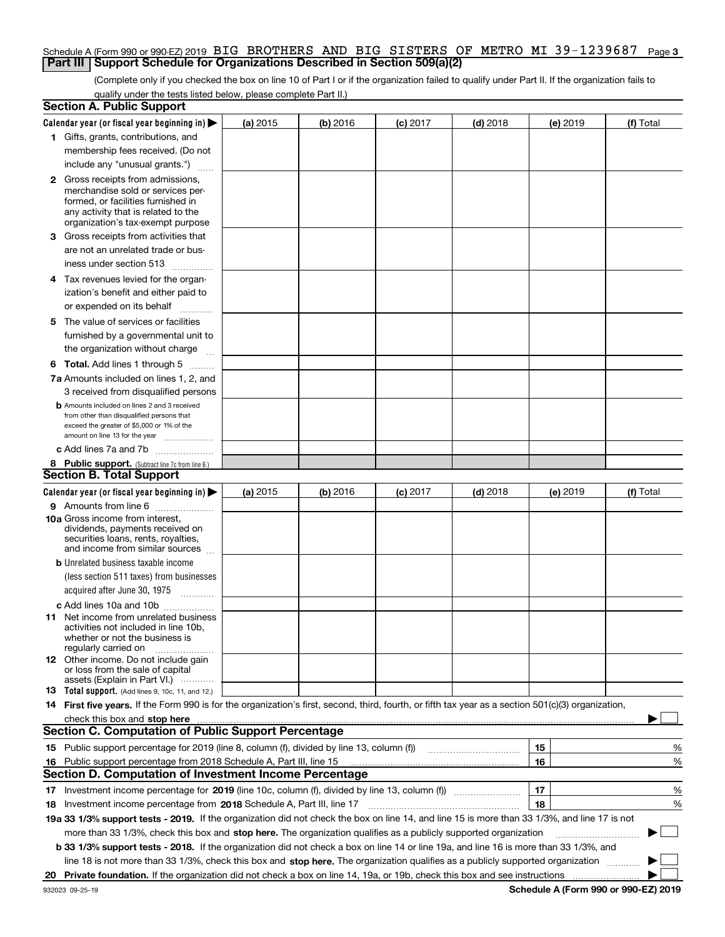#### **3** Schedule A (Form 990 or 990-EZ) 2019 Page BIG BROTHERS AND BIG SISTERS OF METRO MI 39-1239687**Part III** | Support Schedule for Organizations Described in Section 509(a)(2)

(Complete only if you checked the box on line 10 of Part I or if the organization failed to qualify under Part II. If the organization fails to qualify under the tests listed below, please complete Part II.)

|    | <b>Section A. Public Support</b>                                                                                                                                                                                               |          |          |                 |                                                                                                                        |          |             |
|----|--------------------------------------------------------------------------------------------------------------------------------------------------------------------------------------------------------------------------------|----------|----------|-----------------|------------------------------------------------------------------------------------------------------------------------|----------|-------------|
|    | Calendar year (or fiscal year beginning in) $\blacktriangleright$                                                                                                                                                              | (a) 2015 | (b) 2016 | $(c)$ 2017      | $(d)$ 2018                                                                                                             | (e) 2019 | (f) Total   |
|    | 1 Gifts, grants, contributions, and                                                                                                                                                                                            |          |          |                 |                                                                                                                        |          |             |
|    | membership fees received. (Do not                                                                                                                                                                                              |          |          |                 |                                                                                                                        |          |             |
|    | include any "unusual grants.")                                                                                                                                                                                                 |          |          |                 |                                                                                                                        |          |             |
|    | <b>2</b> Gross receipts from admissions,                                                                                                                                                                                       |          |          |                 |                                                                                                                        |          |             |
|    | merchandise sold or services per-                                                                                                                                                                                              |          |          |                 |                                                                                                                        |          |             |
|    | formed, or facilities furnished in                                                                                                                                                                                             |          |          |                 |                                                                                                                        |          |             |
|    | any activity that is related to the                                                                                                                                                                                            |          |          |                 |                                                                                                                        |          |             |
|    | organization's tax-exempt purpose                                                                                                                                                                                              |          |          |                 |                                                                                                                        |          |             |
|    | 3 Gross receipts from activities that                                                                                                                                                                                          |          |          |                 |                                                                                                                        |          |             |
|    | are not an unrelated trade or bus-                                                                                                                                                                                             |          |          |                 |                                                                                                                        |          |             |
|    | iness under section 513                                                                                                                                                                                                        |          |          |                 |                                                                                                                        |          |             |
|    | 4 Tax revenues levied for the organ-                                                                                                                                                                                           |          |          |                 |                                                                                                                        |          |             |
|    | ization's benefit and either paid to                                                                                                                                                                                           |          |          |                 |                                                                                                                        |          |             |
|    | or expended on its behalf<br>.                                                                                                                                                                                                 |          |          |                 |                                                                                                                        |          |             |
|    | 5 The value of services or facilities                                                                                                                                                                                          |          |          |                 |                                                                                                                        |          |             |
|    | furnished by a governmental unit to                                                                                                                                                                                            |          |          |                 |                                                                                                                        |          |             |
|    | the organization without charge                                                                                                                                                                                                |          |          |                 |                                                                                                                        |          |             |
|    |                                                                                                                                                                                                                                |          |          |                 |                                                                                                                        |          |             |
|    | <b>6 Total.</b> Add lines 1 through 5                                                                                                                                                                                          |          |          |                 |                                                                                                                        |          |             |
|    | 7a Amounts included on lines 1, 2, and                                                                                                                                                                                         |          |          |                 |                                                                                                                        |          |             |
|    | 3 received from disqualified persons                                                                                                                                                                                           |          |          |                 |                                                                                                                        |          |             |
|    | <b>b</b> Amounts included on lines 2 and 3 received                                                                                                                                                                            |          |          |                 |                                                                                                                        |          |             |
|    | from other than disqualified persons that<br>exceed the greater of \$5,000 or 1% of the                                                                                                                                        |          |          |                 |                                                                                                                        |          |             |
|    | amount on line 13 for the year                                                                                                                                                                                                 |          |          |                 |                                                                                                                        |          |             |
|    | c Add lines 7a and 7b                                                                                                                                                                                                          |          |          |                 |                                                                                                                        |          |             |
|    | 8 Public support. (Subtract line 7c from line 6.)                                                                                                                                                                              |          |          |                 |                                                                                                                        |          |             |
|    | <b>Section B. Total Support</b>                                                                                                                                                                                                |          |          |                 |                                                                                                                        |          |             |
|    | Calendar year (or fiscal year beginning in) $\blacktriangleright$                                                                                                                                                              | (a) 2015 | (b) 2016 | <b>(c)</b> 2017 | $(d)$ 2018                                                                                                             | (e) 2019 | (f) Total   |
|    | 9 Amounts from line 6                                                                                                                                                                                                          |          |          |                 |                                                                                                                        |          |             |
|    | 10a Gross income from interest,                                                                                                                                                                                                |          |          |                 |                                                                                                                        |          |             |
|    | dividends, payments received on                                                                                                                                                                                                |          |          |                 |                                                                                                                        |          |             |
|    | securities loans, rents, royalties,                                                                                                                                                                                            |          |          |                 |                                                                                                                        |          |             |
|    | and income from similar sources                                                                                                                                                                                                |          |          |                 |                                                                                                                        |          |             |
|    | <b>b</b> Unrelated business taxable income                                                                                                                                                                                     |          |          |                 |                                                                                                                        |          |             |
|    | (less section 511 taxes) from businesses                                                                                                                                                                                       |          |          |                 |                                                                                                                        |          |             |
|    | acquired after June 30, 1975                                                                                                                                                                                                   |          |          |                 |                                                                                                                        |          |             |
|    | c Add lines 10a and 10b                                                                                                                                                                                                        |          |          |                 |                                                                                                                        |          |             |
|    | 11 Net income from unrelated business                                                                                                                                                                                          |          |          |                 |                                                                                                                        |          |             |
|    | activities not included in line 10b.                                                                                                                                                                                           |          |          |                 |                                                                                                                        |          |             |
|    | whether or not the business is<br>regularly carried on                                                                                                                                                                         |          |          |                 |                                                                                                                        |          |             |
|    | 12 Other income. Do not include gain                                                                                                                                                                                           |          |          |                 |                                                                                                                        |          |             |
|    | or loss from the sale of capital                                                                                                                                                                                               |          |          |                 |                                                                                                                        |          |             |
|    | assets (Explain in Part VI.)                                                                                                                                                                                                   |          |          |                 |                                                                                                                        |          |             |
|    | <b>13</b> Total support. (Add lines 9, 10c, 11, and 12.)                                                                                                                                                                       |          |          |                 |                                                                                                                        |          |             |
|    | 14 First five years. If the Form 990 is for the organization's first, second, third, fourth, or fifth tax year as a section 501(c)(3) organization,                                                                            |          |          |                 |                                                                                                                        |          |             |
|    | check this box and stop here measurements are all the state of the state of the state of the state of the state of the state of the state of the state of the state of the state of the state of the state of the state of the |          |          |                 |                                                                                                                        |          |             |
|    | <b>Section C. Computation of Public Support Percentage</b>                                                                                                                                                                     |          |          |                 |                                                                                                                        |          |             |
|    | 15 Public support percentage for 2019 (line 8, column (f), divided by line 13, column (f))                                                                                                                                     |          |          |                 | <u> 1986 - Jan Barthard Bartham Barthard Barthard Barthard Barthard Barthard Barthard Barthard Barthard Barthard B</u> | 15       | %           |
|    | 16 Public support percentage from 2018 Schedule A, Part III, line 15                                                                                                                                                           |          |          |                 |                                                                                                                        | 16       | %           |
|    | <b>Section D. Computation of Investment Income Percentage</b>                                                                                                                                                                  |          |          |                 |                                                                                                                        |          |             |
|    |                                                                                                                                                                                                                                |          |          |                 |                                                                                                                        | 17       | %           |
|    | <b>18</b> Investment income percentage from <b>2018</b> Schedule A, Part III, line 17                                                                                                                                          |          |          |                 |                                                                                                                        | 18       | %           |
|    | 19a 33 1/3% support tests - 2019. If the organization did not check the box on line 14, and line 15 is more than 33 1/3%, and line 17 is not                                                                                   |          |          |                 |                                                                                                                        |          |             |
|    | more than 33 1/3%, check this box and stop here. The organization qualifies as a publicly supported organization                                                                                                               |          |          |                 |                                                                                                                        |          | $\sim$<br>▶ |
|    | b 33 1/3% support tests - 2018. If the organization did not check a box on line 14 or line 19a, and line 16 is more than 33 1/3%, and                                                                                          |          |          |                 |                                                                                                                        |          |             |
|    | line 18 is not more than 33 1/3%, check this box and stop here. The organization qualifies as a publicly supported organization                                                                                                |          |          |                 |                                                                                                                        |          |             |
| 20 |                                                                                                                                                                                                                                |          |          |                 |                                                                                                                        |          |             |
|    |                                                                                                                                                                                                                                |          |          |                 |                                                                                                                        |          |             |

**Schedule A (Form 990 or 990-EZ) 2019**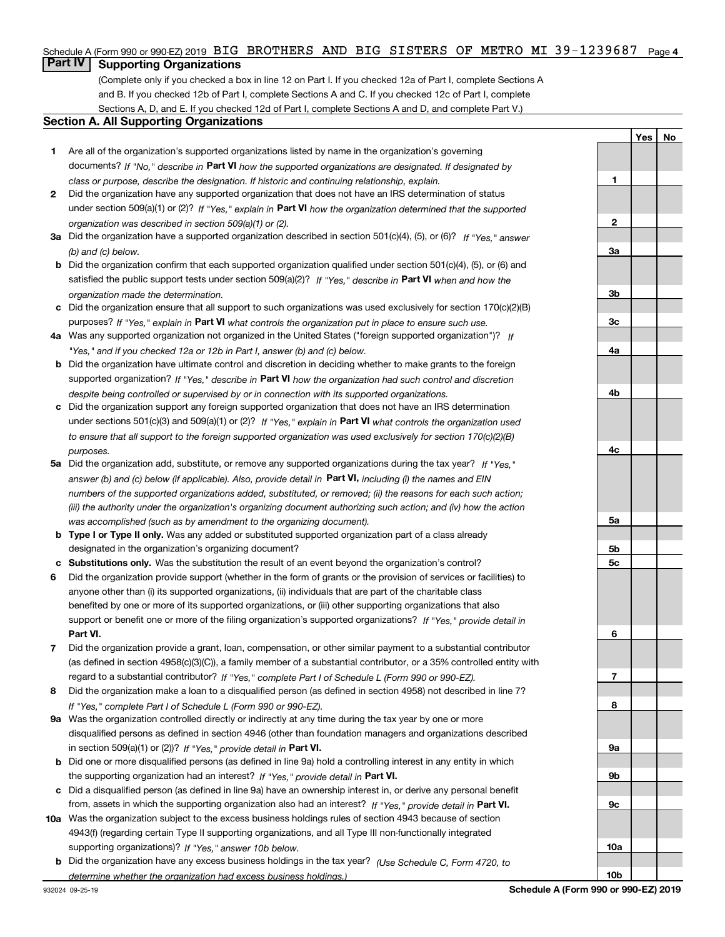#### Schedule A (Form 990 or 990-EZ) 2019 BIG BROTHERS AND BIG SISTERS OF METRO MI 39-1239687 Page 4

### **Part IV Supporting Organizations**

(Complete only if you checked a box in line 12 on Part I. If you checked 12a of Part I, complete Sections A and B. If you checked 12b of Part I, complete Sections A and C. If you checked 12c of Part I, complete Sections A, D, and E. If you checked 12d of Part I, complete Sections A and D, and complete Part V.)

#### **Section A. All Supporting Organizations**

- **1** Are all of the organization's supported organizations listed by name in the organization's governing documents? If "No," describe in **Part VI** how the supported organizations are designated. If designated by *class or purpose, describe the designation. If historic and continuing relationship, explain.*
- **2** Did the organization have any supported organization that does not have an IRS determination of status under section 509(a)(1) or (2)? If "Yes," explain in Part VI how the organization determined that the supported *organization was described in section 509(a)(1) or (2).*
- **3a** Did the organization have a supported organization described in section 501(c)(4), (5), or (6)? If "Yes," answer *(b) and (c) below.*
- **b** Did the organization confirm that each supported organization qualified under section 501(c)(4), (5), or (6) and satisfied the public support tests under section 509(a)(2)? If "Yes," describe in **Part VI** when and how the *organization made the determination.*
- **c**Did the organization ensure that all support to such organizations was used exclusively for section 170(c)(2)(B) purposes? If "Yes," explain in **Part VI** what controls the organization put in place to ensure such use.
- **4a***If* Was any supported organization not organized in the United States ("foreign supported organization")? *"Yes," and if you checked 12a or 12b in Part I, answer (b) and (c) below.*
- **b** Did the organization have ultimate control and discretion in deciding whether to make grants to the foreign supported organization? If "Yes," describe in **Part VI** how the organization had such control and discretion *despite being controlled or supervised by or in connection with its supported organizations.*
- **c** Did the organization support any foreign supported organization that does not have an IRS determination under sections 501(c)(3) and 509(a)(1) or (2)? If "Yes," explain in **Part VI** what controls the organization used *to ensure that all support to the foreign supported organization was used exclusively for section 170(c)(2)(B) purposes.*
- **5a***If "Yes,"* Did the organization add, substitute, or remove any supported organizations during the tax year? answer (b) and (c) below (if applicable). Also, provide detail in **Part VI,** including (i) the names and EIN *numbers of the supported organizations added, substituted, or removed; (ii) the reasons for each such action; (iii) the authority under the organization's organizing document authorizing such action; and (iv) how the action was accomplished (such as by amendment to the organizing document).*
- **b** Type I or Type II only. Was any added or substituted supported organization part of a class already designated in the organization's organizing document?
- **cSubstitutions only.**  Was the substitution the result of an event beyond the organization's control?
- **6** Did the organization provide support (whether in the form of grants or the provision of services or facilities) to **Part VI.** *If "Yes," provide detail in* support or benefit one or more of the filing organization's supported organizations? anyone other than (i) its supported organizations, (ii) individuals that are part of the charitable class benefited by one or more of its supported organizations, or (iii) other supporting organizations that also
- **7**Did the organization provide a grant, loan, compensation, or other similar payment to a substantial contributor *If "Yes," complete Part I of Schedule L (Form 990 or 990-EZ).* regard to a substantial contributor? (as defined in section 4958(c)(3)(C)), a family member of a substantial contributor, or a 35% controlled entity with
- **8** Did the organization make a loan to a disqualified person (as defined in section 4958) not described in line 7? *If "Yes," complete Part I of Schedule L (Form 990 or 990-EZ).*
- **9a** Was the organization controlled directly or indirectly at any time during the tax year by one or more in section 509(a)(1) or (2))? If "Yes," *provide detail in* <code>Part VI.</code> disqualified persons as defined in section 4946 (other than foundation managers and organizations described
- **b** Did one or more disqualified persons (as defined in line 9a) hold a controlling interest in any entity in which the supporting organization had an interest? If "Yes," provide detail in P**art VI**.
- **c**Did a disqualified person (as defined in line 9a) have an ownership interest in, or derive any personal benefit from, assets in which the supporting organization also had an interest? If "Yes," provide detail in P**art VI.**
- **10a** Was the organization subject to the excess business holdings rules of section 4943 because of section supporting organizations)? If "Yes," answer 10b below. 4943(f) (regarding certain Type II supporting organizations, and all Type III non-functionally integrated
- **b** Did the organization have any excess business holdings in the tax year? (Use Schedule C, Form 4720, to *determine whether the organization had excess business holdings.)*

**YesNo**

**10b**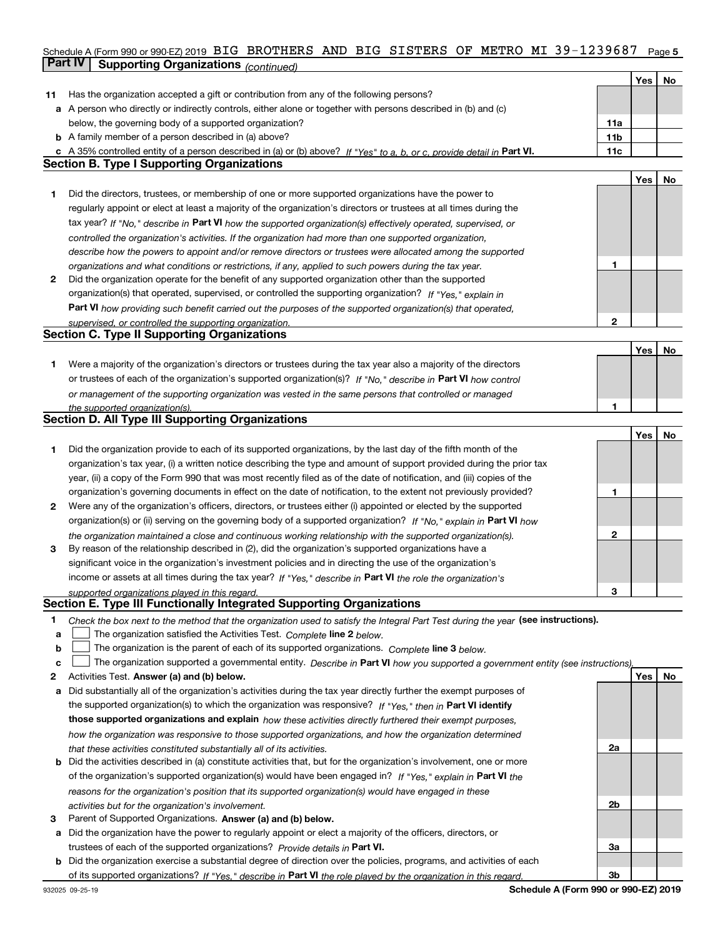### **5** Schedule A (Form 990 or 990-EZ) 2019 Page BIG BROTHERS AND BIG SISTERS OF METRO MI 39-1239687**Part IV Supporting Organizations** *(continued)* **Continueding Continueding Continueding Continueding Continueding Continueding Continueding Continueding Continueding Continueding Continueding Continueding Continueding Con**

|    |                                                                                                                                   |                 | Yes        | No |
|----|-----------------------------------------------------------------------------------------------------------------------------------|-----------------|------------|----|
| 11 | Has the organization accepted a gift or contribution from any of the following persons?                                           |                 |            |    |
|    | a A person who directly or indirectly controls, either alone or together with persons described in (b) and (c)                    |                 |            |    |
|    | below, the governing body of a supported organization?                                                                            | 11a             |            |    |
|    | <b>b</b> A family member of a person described in (a) above?                                                                      | 11 <sub>b</sub> |            |    |
|    | c A 35% controlled entity of a person described in (a) or (b) above? If "Yes" to a, b, or c, provide detail in Part VI.           | 11c             |            |    |
|    | <b>Section B. Type I Supporting Organizations</b>                                                                                 |                 |            |    |
|    |                                                                                                                                   |                 | Yes        | No |
| 1  | Did the directors, trustees, or membership of one or more supported organizations have the power to                               |                 |            |    |
|    | regularly appoint or elect at least a majority of the organization's directors or trustees at all times during the                |                 |            |    |
|    | tax year? If "No," describe in Part VI how the supported organization(s) effectively operated, supervised, or                     |                 |            |    |
|    |                                                                                                                                   |                 |            |    |
|    | controlled the organization's activities. If the organization had more than one supported organization,                           |                 |            |    |
|    | describe how the powers to appoint and/or remove directors or trustees were allocated among the supported                         |                 |            |    |
|    | organizations and what conditions or restrictions, if any, applied to such powers during the tax year.                            | 1               |            |    |
| 2  | Did the organization operate for the benefit of any supported organization other than the supported                               |                 |            |    |
|    | organization(s) that operated, supervised, or controlled the supporting organization? If "Yes," explain in                        |                 |            |    |
|    | Part VI how providing such benefit carried out the purposes of the supported organization(s) that operated,                       |                 |            |    |
|    | supervised, or controlled the supporting organization.                                                                            | 2               |            |    |
|    | <b>Section C. Type II Supporting Organizations</b>                                                                                |                 |            |    |
|    |                                                                                                                                   |                 | Yes        | No |
| 1  | Were a majority of the organization's directors or trustees during the tax year also a majority of the directors                  |                 |            |    |
|    | or trustees of each of the organization's supported organization(s)? If "No," describe in Part VI how control                     |                 |            |    |
|    | or management of the supporting organization was vested in the same persons that controlled or managed                            |                 |            |    |
|    | the supported organization(s).                                                                                                    | 1               |            |    |
|    | <b>Section D. All Type III Supporting Organizations</b>                                                                           |                 |            |    |
|    |                                                                                                                                   |                 | Yes        | No |
| 1  | Did the organization provide to each of its supported organizations, by the last day of the fifth month of the                    |                 |            |    |
|    | organization's tax year, (i) a written notice describing the type and amount of support provided during the prior tax             |                 |            |    |
|    | year, (ii) a copy of the Form 990 that was most recently filed as of the date of notification, and (iii) copies of the            |                 |            |    |
|    | organization's governing documents in effect on the date of notification, to the extent not previously provided?                  | 1               |            |    |
| 2  | Were any of the organization's officers, directors, or trustees either (i) appointed or elected by the supported                  |                 |            |    |
|    | organization(s) or (ii) serving on the governing body of a supported organization? If "No," explain in Part VI how                |                 |            |    |
|    | the organization maintained a close and continuous working relationship with the supported organization(s).                       | 2               |            |    |
| 3  | By reason of the relationship described in (2), did the organization's supported organizations have a                             |                 |            |    |
|    | significant voice in the organization's investment policies and in directing the use of the organization's                        |                 |            |    |
|    | income or assets at all times during the tax year? If "Yes," describe in Part VI the role the organization's                      |                 |            |    |
|    | supported organizations played in this regard.                                                                                    | 3               |            |    |
|    | Section E. Type III Functionally Integrated Supporting Organizations                                                              |                 |            |    |
| 1  | Check the box next to the method that the organization used to satisfy the Integral Part Test during the year (see instructions). |                 |            |    |
| a  | The organization satisfied the Activities Test. Complete line 2 below.                                                            |                 |            |    |
| b  | The organization is the parent of each of its supported organizations. Complete line 3 below.                                     |                 |            |    |
| с  | The organization supported a governmental entity. Describe in Part VI how you supported a government entity (see instructions),   |                 |            |    |
| 2  | Activities Test. Answer (a) and (b) below.                                                                                        |                 | <b>Yes</b> | No |
| а  | Did substantially all of the organization's activities during the tax year directly further the exempt purposes of                |                 |            |    |
|    | the supported organization(s) to which the organization was responsive? If "Yes," then in Part VI identify                        |                 |            |    |
|    | those supported organizations and explain how these activities directly furthered their exempt purposes,                          |                 |            |    |
|    |                                                                                                                                   |                 |            |    |
|    | how the organization was responsive to those supported organizations, and how the organization determined                         |                 |            |    |
|    | that these activities constituted substantially all of its activities.                                                            | 2a              |            |    |
|    | <b>b</b> Did the activities described in (a) constitute activities that, but for the organization's involvement, one or more      |                 |            |    |
|    | of the organization's supported organization(s) would have been engaged in? If "Yes," explain in Part VI the                      |                 |            |    |
|    | reasons for the organization's position that its supported organization(s) would have engaged in these                            |                 |            |    |
|    | activities but for the organization's involvement.                                                                                | 2b              |            |    |
| З  | Parent of Supported Organizations. Answer (a) and (b) below.                                                                      |                 |            |    |
| а  | Did the organization have the power to regularly appoint or elect a majority of the officers, directors, or                       |                 |            |    |
|    | trustees of each of the supported organizations? Provide details in Part VI.                                                      | За              |            |    |
|    | <b>b</b> Did the organization exercise a substantial degree of direction over the policies, programs, and activities of each      |                 |            |    |
|    | of its supported organizations? If "Yes." describe in Part VI the role played by the organization in this regard.                 | 3b              |            |    |
|    | <b>Cohodulo A (Form 000 or 000 EZ) 2010</b>                                                                                       |                 |            |    |

 $\mathbf{\tau}$ 

**Schedule A (Form 990 or 990-EZ) 2019**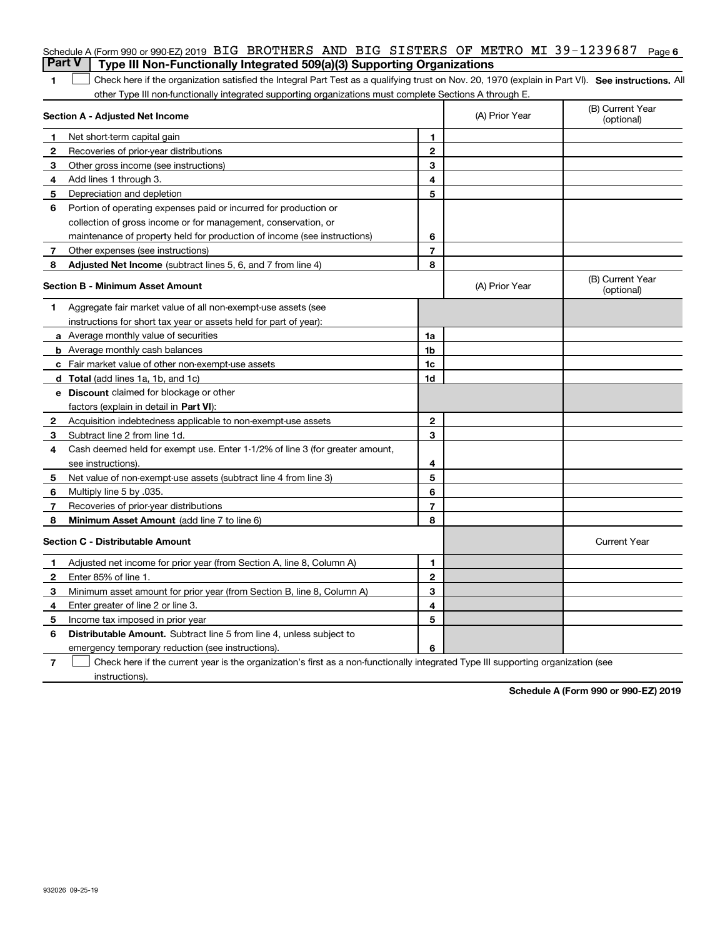|              | Schedule A (Form 990 or 990-EZ) 2019 BIG BROTHERS AND BIG SISTERS OF METRO MI 39-1239687 Page 6                                                   |                |                |                                |
|--------------|---------------------------------------------------------------------------------------------------------------------------------------------------|----------------|----------------|--------------------------------|
|              | <b>Part V</b><br>Type III Non-Functionally Integrated 509(a)(3) Supporting Organizations                                                          |                |                |                                |
| 1            | Check here if the organization satisfied the Integral Part Test as a qualifying trust on Nov. 20, 1970 (explain in Part VI). See instructions. Al |                |                |                                |
|              | other Type III non-functionally integrated supporting organizations must complete Sections A through E.                                           |                |                |                                |
|              | Section A - Adjusted Net Income                                                                                                                   |                | (A) Prior Year | (B) Current Year<br>(optional) |
| 1            | Net short-term capital gain                                                                                                                       | 1              |                |                                |
| $\mathbf{2}$ | Recoveries of prior-year distributions                                                                                                            | $\overline{2}$ |                |                                |
| 3            | Other gross income (see instructions)                                                                                                             | 3              |                |                                |
| 4            | Add lines 1 through 3.                                                                                                                            | 4              |                |                                |
| 5            | Depreciation and depletion                                                                                                                        | 5              |                |                                |
| 6            | Portion of operating expenses paid or incurred for production or                                                                                  |                |                |                                |
|              | collection of gross income or for management, conservation, or                                                                                    |                |                |                                |
|              | maintenance of property held for production of income (see instructions)                                                                          | 6              |                |                                |
| 7            | Other expenses (see instructions)                                                                                                                 | 7              |                |                                |
| 8            | Adjusted Net Income (subtract lines 5, 6, and 7 from line 4)                                                                                      | 8              |                |                                |
|              | Section B - Minimum Asset Amount                                                                                                                  |                | (A) Prior Year | (B) Current Year<br>(optional) |
| 1            | Aggregate fair market value of all non-exempt-use assets (see                                                                                     |                |                |                                |
|              | instructions for short tax year or assets held for part of year):                                                                                 |                |                |                                |
|              | <b>a</b> Average monthly value of securities                                                                                                      | 1a             |                |                                |
|              | <b>b</b> Average monthly cash balances                                                                                                            | 1b             |                |                                |
|              | c Fair market value of other non-exempt-use assets                                                                                                | 1 <sub>c</sub> |                |                                |
|              | d Total (add lines 1a, 1b, and 1c)                                                                                                                | 1d             |                |                                |
|              | <b>e</b> Discount claimed for blockage or other                                                                                                   |                |                |                                |
|              | factors (explain in detail in <b>Part VI</b> ):                                                                                                   |                |                |                                |
| 2            | Acquisition indebtedness applicable to non-exempt-use assets                                                                                      | $\mathbf{2}$   |                |                                |
| 3            | Subtract line 2 from line 1d.                                                                                                                     | 3              |                |                                |
| 4            | Cash deemed held for exempt use. Enter 1-1/2% of line 3 (for greater amount,                                                                      |                |                |                                |
|              | see instructions)                                                                                                                                 | 4              |                |                                |
| 5            | Net value of non-exempt-use assets (subtract line 4 from line 3)                                                                                  | 5              |                |                                |
| 6            | Multiply line 5 by .035.                                                                                                                          | 6              |                |                                |
| 7            | Recoveries of prior-year distributions                                                                                                            | $\overline{7}$ |                |                                |
| 8            | Minimum Asset Amount (add line 7 to line 6)                                                                                                       | 8              |                |                                |
|              | <b>Section C - Distributable Amount</b>                                                                                                           |                |                | <b>Current Year</b>            |
| 1            | Adjusted net income for prior year (from Section A, line 8, Column A)                                                                             | 1              |                |                                |
| 2            | Enter 85% of line 1.                                                                                                                              | $\mathbf 2$    |                |                                |
| 3            | Minimum asset amount for prior year (from Section B, line 8, Column A)                                                                            | 3              |                |                                |
| 4            | Enter greater of line 2 or line 3.                                                                                                                | 4              |                |                                |
| 5            | Income tax imposed in prior year                                                                                                                  | 5              |                |                                |
| 6            | <b>Distributable Amount.</b> Subtract line 5 from line 4, unless subject to                                                                       |                |                |                                |
|              | emergency temporary reduction (see instructions).                                                                                                 | 6              |                |                                |
|              |                                                                                                                                                   |                |                |                                |

**7** Check here if the current year is the organization's first as a non-functionally integrated Type III supporting organization (see instructions).

**Schedule A (Form 990 or 990-EZ) 2019**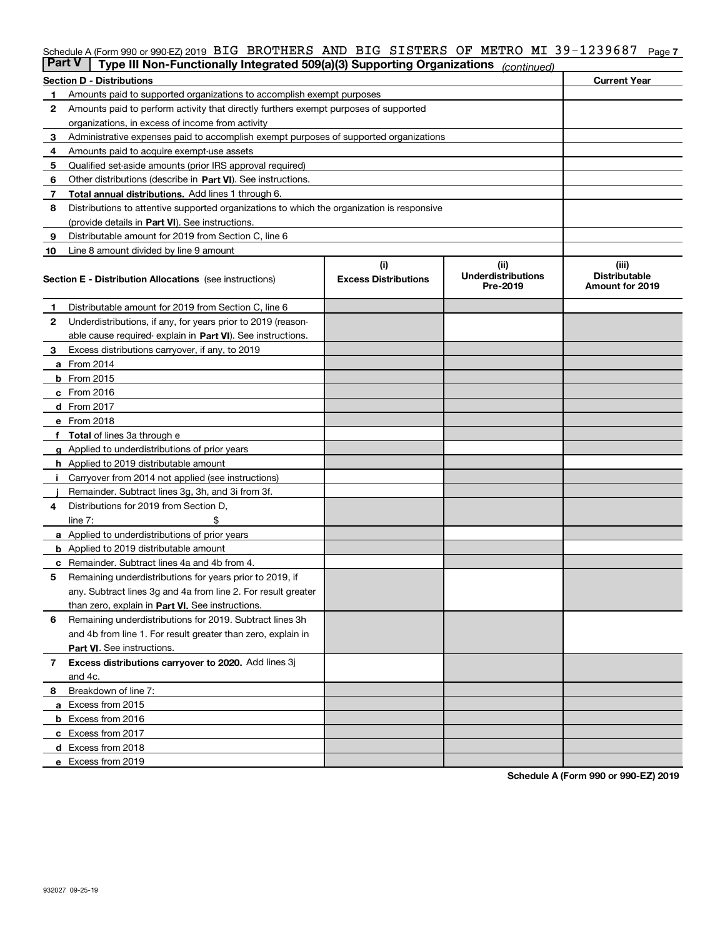#### Schedule A (Form 990 or 990-EZ) 2019 BIG BROTHERS AND BIG SISTERS OF METRO MI 39-1239687 Page 7

|    | <b>Part V</b><br>Type III Non-Functionally Integrated 509(a)(3) Supporting Organizations   |                             | (continued)                           |                                         |
|----|--------------------------------------------------------------------------------------------|-----------------------------|---------------------------------------|-----------------------------------------|
|    | <b>Section D - Distributions</b>                                                           |                             |                                       | <b>Current Year</b>                     |
| 1  | Amounts paid to supported organizations to accomplish exempt purposes                      |                             |                                       |                                         |
| 2  | Amounts paid to perform activity that directly furthers exempt purposes of supported       |                             |                                       |                                         |
|    | organizations, in excess of income from activity                                           |                             |                                       |                                         |
| з  | Administrative expenses paid to accomplish exempt purposes of supported organizations      |                             |                                       |                                         |
| 4  | Amounts paid to acquire exempt-use assets                                                  |                             |                                       |                                         |
| 5  | Qualified set-aside amounts (prior IRS approval required)                                  |                             |                                       |                                         |
| 6  | Other distributions (describe in Part VI). See instructions.                               |                             |                                       |                                         |
| 7  | Total annual distributions. Add lines 1 through 6.                                         |                             |                                       |                                         |
| 8  | Distributions to attentive supported organizations to which the organization is responsive |                             |                                       |                                         |
|    | (provide details in Part VI). See instructions.                                            |                             |                                       |                                         |
| 9  | Distributable amount for 2019 from Section C, line 6                                       |                             |                                       |                                         |
| 10 | Line 8 amount divided by line 9 amount                                                     |                             |                                       |                                         |
|    |                                                                                            | (i)                         | (ii)                                  | (iii)                                   |
|    | <b>Section E - Distribution Allocations</b> (see instructions)                             | <b>Excess Distributions</b> | <b>Underdistributions</b><br>Pre-2019 | <b>Distributable</b><br>Amount for 2019 |
| 1  | Distributable amount for 2019 from Section C, line 6                                       |                             |                                       |                                         |
| 2  | Underdistributions, if any, for years prior to 2019 (reason-                               |                             |                                       |                                         |
|    | able cause required- explain in Part VI). See instructions.                                |                             |                                       |                                         |
| З  | Excess distributions carryover, if any, to 2019                                            |                             |                                       |                                         |
|    | <b>a</b> From 2014                                                                         |                             |                                       |                                         |
|    | <b>b</b> From $2015$                                                                       |                             |                                       |                                         |
|    | $c$ From 2016                                                                              |                             |                                       |                                         |
|    | d From 2017                                                                                |                             |                                       |                                         |
|    | e From 2018                                                                                |                             |                                       |                                         |
|    | <b>Total</b> of lines 3a through e                                                         |                             |                                       |                                         |
| g  | Applied to underdistributions of prior years                                               |                             |                                       |                                         |
|    | <b>h</b> Applied to 2019 distributable amount                                              |                             |                                       |                                         |
|    | Carryover from 2014 not applied (see instructions)                                         |                             |                                       |                                         |
|    | Remainder. Subtract lines 3g, 3h, and 3i from 3f.                                          |                             |                                       |                                         |
| 4  | Distributions for 2019 from Section D,                                                     |                             |                                       |                                         |
|    | line $7:$                                                                                  |                             |                                       |                                         |
|    | <b>a</b> Applied to underdistributions of prior years                                      |                             |                                       |                                         |
|    | <b>b</b> Applied to 2019 distributable amount                                              |                             |                                       |                                         |
|    | c Remainder. Subtract lines 4a and 4b from 4.                                              |                             |                                       |                                         |
| 5  | Remaining underdistributions for years prior to 2019, if                                   |                             |                                       |                                         |
|    | any. Subtract lines 3g and 4a from line 2. For result greater                              |                             |                                       |                                         |
|    | than zero, explain in Part VI. See instructions.                                           |                             |                                       |                                         |
| 6  | Remaining underdistributions for 2019. Subtract lines 3h                                   |                             |                                       |                                         |
|    | and 4b from line 1. For result greater than zero, explain in                               |                             |                                       |                                         |
|    | Part VI. See instructions.                                                                 |                             |                                       |                                         |
| 7  | Excess distributions carryover to 2020. Add lines 3j                                       |                             |                                       |                                         |
|    | and 4c.                                                                                    |                             |                                       |                                         |
| 8  | Breakdown of line 7:                                                                       |                             |                                       |                                         |
|    | a Excess from 2015                                                                         |                             |                                       |                                         |
|    | <b>b</b> Excess from 2016                                                                  |                             |                                       |                                         |
|    | c Excess from 2017                                                                         |                             |                                       |                                         |
|    | d Excess from 2018                                                                         |                             |                                       |                                         |
|    | e Excess from 2019                                                                         |                             |                                       |                                         |
|    |                                                                                            |                             |                                       |                                         |

**Schedule A (Form 990 or 990-EZ) 2019**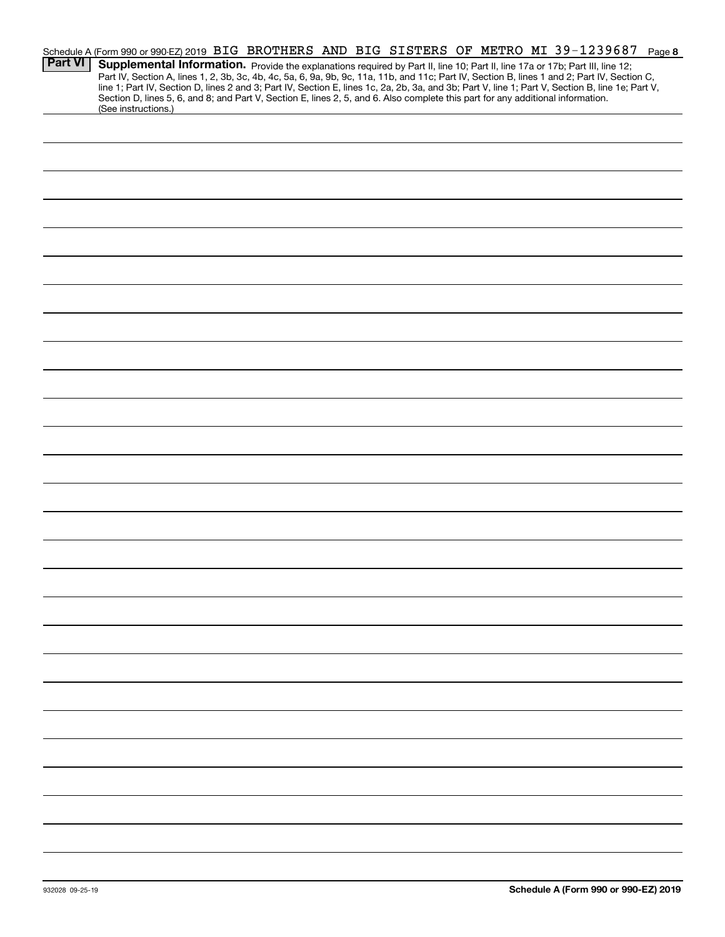|                | Schedule A (Form 990 or 990-EZ) 2019 BIG BROTHERS AND BIG SISTERS OF METRO MI 39-1239687<br>Page 8                                                                                                                                                                                               |
|----------------|--------------------------------------------------------------------------------------------------------------------------------------------------------------------------------------------------------------------------------------------------------------------------------------------------|
| <b>Part VI</b> | Supplemental Information. Provide the explanations required by Part II, line 10; Part II, line 17a or 17b; Part III, line 12;                                                                                                                                                                    |
|                | Part IV, Section A, lines 1, 2, 3b, 3c, 4b, 4c, 5a, 6, 9a, 9b, 9c, 11a, 11b, and 11c; Part IV, Section B, lines 1 and 2; Part IV, Section C,<br>line 1; Part IV, Section D, lines 2 and 3; Part IV, Section E, lines 1c, 2a, 2b, 3a, and 3b; Part V, line 1; Part V, Section B, line 1e; Part V, |
|                | Section D, lines 5, 6, and 8; and Part V, Section E, lines 2, 5, and 6. Also complete this part for any additional information.<br>(See instructions.)                                                                                                                                           |
|                |                                                                                                                                                                                                                                                                                                  |
|                |                                                                                                                                                                                                                                                                                                  |
|                |                                                                                                                                                                                                                                                                                                  |
|                |                                                                                                                                                                                                                                                                                                  |
|                |                                                                                                                                                                                                                                                                                                  |
|                |                                                                                                                                                                                                                                                                                                  |
|                |                                                                                                                                                                                                                                                                                                  |
|                |                                                                                                                                                                                                                                                                                                  |
|                |                                                                                                                                                                                                                                                                                                  |
|                |                                                                                                                                                                                                                                                                                                  |
|                |                                                                                                                                                                                                                                                                                                  |
|                |                                                                                                                                                                                                                                                                                                  |
|                |                                                                                                                                                                                                                                                                                                  |
|                |                                                                                                                                                                                                                                                                                                  |
|                |                                                                                                                                                                                                                                                                                                  |
|                |                                                                                                                                                                                                                                                                                                  |
|                |                                                                                                                                                                                                                                                                                                  |
|                |                                                                                                                                                                                                                                                                                                  |
|                |                                                                                                                                                                                                                                                                                                  |
|                |                                                                                                                                                                                                                                                                                                  |
|                |                                                                                                                                                                                                                                                                                                  |
|                |                                                                                                                                                                                                                                                                                                  |
|                |                                                                                                                                                                                                                                                                                                  |
|                |                                                                                                                                                                                                                                                                                                  |
|                |                                                                                                                                                                                                                                                                                                  |
|                |                                                                                                                                                                                                                                                                                                  |
|                |                                                                                                                                                                                                                                                                                                  |
|                |                                                                                                                                                                                                                                                                                                  |
|                |                                                                                                                                                                                                                                                                                                  |
|                |                                                                                                                                                                                                                                                                                                  |
|                |                                                                                                                                                                                                                                                                                                  |
|                |                                                                                                                                                                                                                                                                                                  |
|                |                                                                                                                                                                                                                                                                                                  |
|                |                                                                                                                                                                                                                                                                                                  |
|                |                                                                                                                                                                                                                                                                                                  |
|                |                                                                                                                                                                                                                                                                                                  |
|                |                                                                                                                                                                                                                                                                                                  |
|                |                                                                                                                                                                                                                                                                                                  |
|                |                                                                                                                                                                                                                                                                                                  |
|                |                                                                                                                                                                                                                                                                                                  |
|                |                                                                                                                                                                                                                                                                                                  |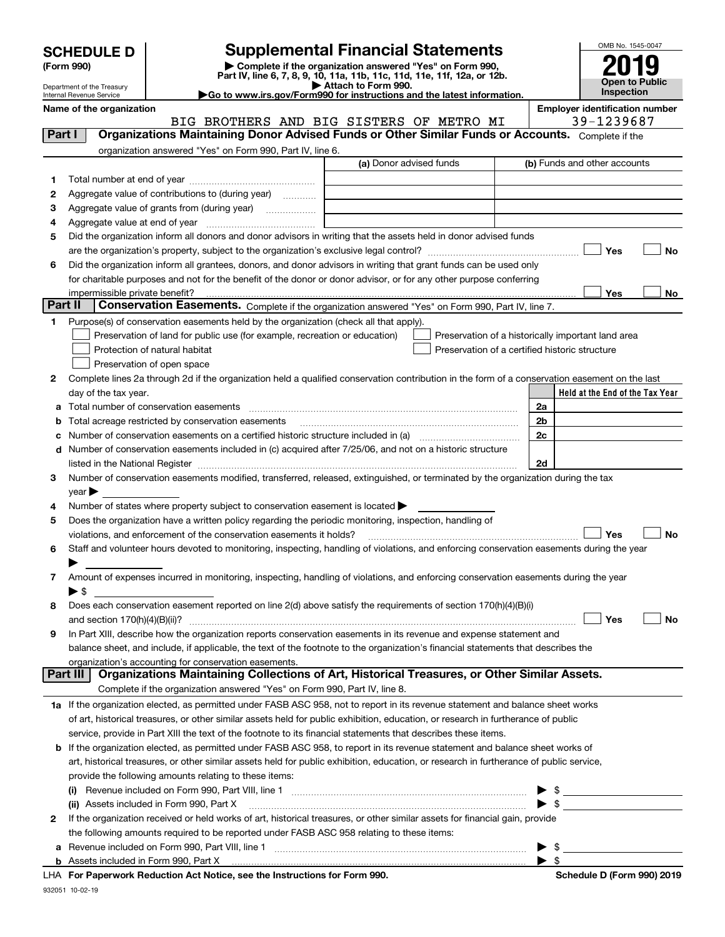| <b>SCHEDULE D</b> |  |
|-------------------|--|
|-------------------|--|

| (Form 990) |  |
|------------|--|
|------------|--|

## **Supplemental Financial Statements**



| (Form 990) |                            |                                                                                                                                                | Complete if the organization answered "Yes" on Form 990,<br>Part IV, line 6, 7, 8, 9, 10, 11a, 11b, 11c, 11d, 11e, 11f, 12a, or 12b. |                                     |                                                     |           |
|------------|----------------------------|------------------------------------------------------------------------------------------------------------------------------------------------|--------------------------------------------------------------------------------------------------------------------------------------|-------------------------------------|-----------------------------------------------------|-----------|
|            | Department of the Treasury |                                                                                                                                                | Attach to Form 990.                                                                                                                  | Open to Public<br><b>Inspection</b> |                                                     |           |
|            | Internal Revenue Service   | Go to www.irs.gov/Form990 for instructions and the latest information.                                                                         |                                                                                                                                      |                                     |                                                     |           |
|            | Name of the organization   | BIG BROTHERS AND BIG SISTERS OF METRO MI                                                                                                       |                                                                                                                                      |                                     | <b>Employer identification number</b><br>39-1239687 |           |
|            | Part I                     | Organizations Maintaining Donor Advised Funds or Other Similar Funds or Accounts. Complete if the                                              |                                                                                                                                      |                                     |                                                     |           |
|            |                            | organization answered "Yes" on Form 990, Part IV, line 6.                                                                                      |                                                                                                                                      |                                     |                                                     |           |
|            |                            |                                                                                                                                                | (a) Donor advised funds                                                                                                              |                                     | (b) Funds and other accounts                        |           |
| 1.         |                            |                                                                                                                                                |                                                                                                                                      |                                     |                                                     |           |
| 2          |                            | Aggregate value of contributions to (during year)                                                                                              |                                                                                                                                      |                                     |                                                     |           |
| з          |                            |                                                                                                                                                |                                                                                                                                      |                                     |                                                     |           |
| 4          |                            |                                                                                                                                                |                                                                                                                                      |                                     |                                                     |           |
| 5          |                            | Did the organization inform all donors and donor advisors in writing that the assets held in donor advised funds                               |                                                                                                                                      |                                     |                                                     |           |
|            |                            |                                                                                                                                                |                                                                                                                                      |                                     | Yes                                                 | No        |
| 6          |                            | Did the organization inform all grantees, donors, and donor advisors in writing that grant funds can be used only                              |                                                                                                                                      |                                     |                                                     |           |
|            |                            | for charitable purposes and not for the benefit of the donor or donor advisor, or for any other purpose conferring                             |                                                                                                                                      |                                     |                                                     |           |
|            |                            |                                                                                                                                                |                                                                                                                                      |                                     | Yes                                                 | No        |
|            | Part II                    | Conservation Easements. Complete if the organization answered "Yes" on Form 990, Part IV, line 7.                                              |                                                                                                                                      |                                     |                                                     |           |
| 1.         |                            | Purpose(s) of conservation easements held by the organization (check all that apply).                                                          |                                                                                                                                      |                                     |                                                     |           |
|            |                            | Preservation of land for public use (for example, recreation or education)                                                                     |                                                                                                                                      |                                     | Preservation of a historically important land area  |           |
|            |                            | Protection of natural habitat                                                                                                                  |                                                                                                                                      |                                     | Preservation of a certified historic structure      |           |
|            |                            | Preservation of open space                                                                                                                     |                                                                                                                                      |                                     |                                                     |           |
| 2          |                            | Complete lines 2a through 2d if the organization held a qualified conservation contribution in the form of a conservation easement on the last |                                                                                                                                      |                                     |                                                     |           |
|            | day of the tax year.       |                                                                                                                                                |                                                                                                                                      |                                     | Held at the End of the Tax Year                     |           |
| а          |                            | Total number of conservation easements                                                                                                         |                                                                                                                                      |                                     | 2a                                                  |           |
| b          |                            | Total acreage restricted by conservation easements                                                                                             |                                                                                                                                      |                                     | 2 <sub>b</sub>                                      |           |
| c          |                            | Number of conservation easements included in (c) acquired after 7/25/06, and not on a historic structure                                       |                                                                                                                                      |                                     | 2c                                                  |           |
| d          |                            |                                                                                                                                                |                                                                                                                                      |                                     | 2d                                                  |           |
| 3          |                            | Number of conservation easements modified, transferred, released, extinguished, or terminated by the organization during the tax               |                                                                                                                                      |                                     |                                                     |           |
|            | $year \blacktriangleright$ |                                                                                                                                                |                                                                                                                                      |                                     |                                                     |           |
| 4          |                            | Number of states where property subject to conservation easement is located >                                                                  |                                                                                                                                      |                                     |                                                     |           |
| 5          |                            | Does the organization have a written policy regarding the periodic monitoring, inspection, handling of                                         |                                                                                                                                      |                                     |                                                     |           |
|            |                            | violations, and enforcement of the conservation easements it holds?                                                                            |                                                                                                                                      |                                     | Yes                                                 | <b>No</b> |
| 6          |                            | Staff and volunteer hours devoted to monitoring, inspecting, handling of violations, and enforcing conservation easements during the year      |                                                                                                                                      |                                     |                                                     |           |
|            |                            |                                                                                                                                                |                                                                                                                                      |                                     |                                                     |           |
| 7          |                            | Amount of expenses incurred in monitoring, inspecting, handling of violations, and enforcing conservation easements during the year            |                                                                                                                                      |                                     |                                                     |           |
|            | $\blacktriangleright$ s    |                                                                                                                                                |                                                                                                                                      |                                     |                                                     |           |
| 8          |                            | Does each conservation easement reported on line 2(d) above satisfy the requirements of section 170(h)(4)(B)(i)                                |                                                                                                                                      |                                     |                                                     |           |
|            |                            |                                                                                                                                                |                                                                                                                                      |                                     | Yes                                                 | No        |
| 9          |                            | In Part XIII, describe how the organization reports conservation easements in its revenue and expense statement and                            |                                                                                                                                      |                                     |                                                     |           |
|            |                            | balance sheet, and include, if applicable, the text of the footnote to the organization's financial statements that describes the              |                                                                                                                                      |                                     |                                                     |           |
|            |                            | organization's accounting for conservation easements.                                                                                          |                                                                                                                                      |                                     |                                                     |           |
|            | Part III                   | Organizations Maintaining Collections of Art, Historical Treasures, or Other Similar Assets.                                                   |                                                                                                                                      |                                     |                                                     |           |
|            |                            | Complete if the organization answered "Yes" on Form 990, Part IV, line 8.                                                                      |                                                                                                                                      |                                     |                                                     |           |
|            |                            | 1a If the organization elected, as permitted under FASB ASC 958, not to report in its revenue statement and balance sheet works                |                                                                                                                                      |                                     |                                                     |           |
|            |                            | of art, historical treasures, or other similar assets held for public exhibition, education, or research in furtherance of public              |                                                                                                                                      |                                     |                                                     |           |
|            |                            | service, provide in Part XIII the text of the footnote to its financial statements that describes these items.                                 |                                                                                                                                      |                                     |                                                     |           |
| b          |                            | If the organization elected, as permitted under FASB ASC 958, to report in its revenue statement and balance sheet works of                    |                                                                                                                                      |                                     |                                                     |           |
|            |                            | art, historical treasures, or other similar assets held for public exhibition, education, or research in furtherance of public service,        |                                                                                                                                      |                                     |                                                     |           |
|            |                            | provide the following amounts relating to these items:                                                                                         |                                                                                                                                      |                                     |                                                     |           |
|            | (i)                        | (ii) Assets included in Form 990, Part X                                                                                                       |                                                                                                                                      |                                     | \$<br>\$                                            |           |
| 2          |                            | If the organization received or held works of art, historical treasures, or other similar assets for financial gain, provide                   |                                                                                                                                      |                                     |                                                     |           |
|            |                            |                                                                                                                                                |                                                                                                                                      |                                     |                                                     |           |

**a**Revenue included on Form 990, Part VIII, line 1 ~~~~~~~~~~~~~~~~~~~~~~~~~~~~~~**b**Assets included in Form 990, Part X 

the following amounts required to be reported under FASB ASC 958 relating to these items:

|  | LHA For Paperwork Reduction Act Notice, see the Instructions for Form 990. |  |  |  |  |  |  |
|--|----------------------------------------------------------------------------|--|--|--|--|--|--|
|--|----------------------------------------------------------------------------|--|--|--|--|--|--|

 $\blacktriangleright$  \$

 $\blacktriangleright$  \$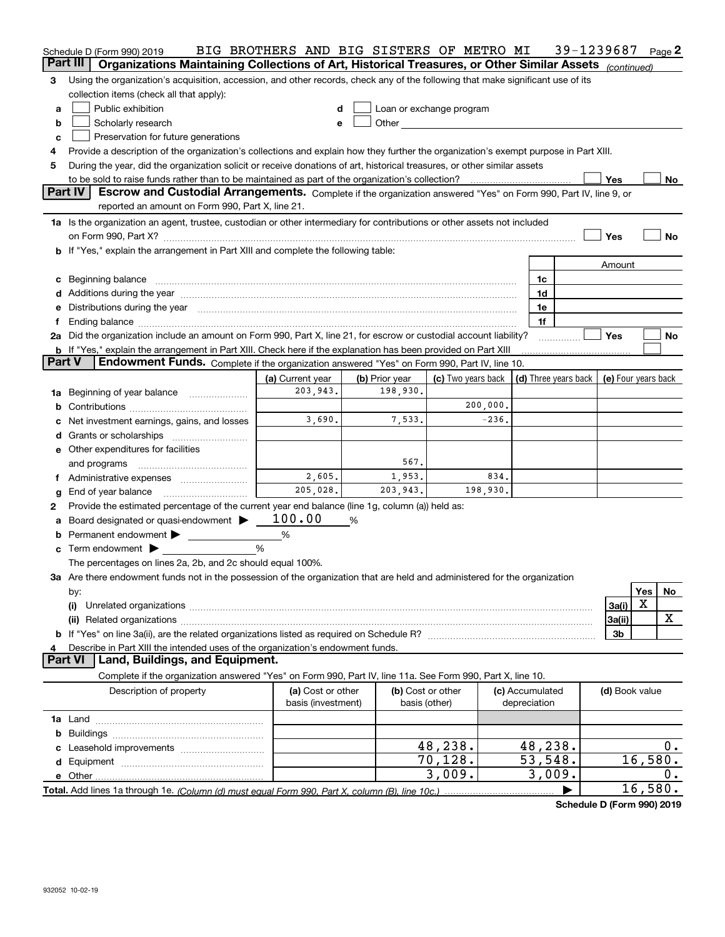|               | Schedule D (Form 990) 2019<br>Part III<br>Organizations Maintaining Collections of Art, Historical Treasures, or Other Similar Assets (continued)                                                                              | BIG BROTHERS AND BIG SISTERS OF METRO MI |                   |          |                                                                             |  | 39-1239687     |         | Page $2$ |
|---------------|--------------------------------------------------------------------------------------------------------------------------------------------------------------------------------------------------------------------------------|------------------------------------------|-------------------|----------|-----------------------------------------------------------------------------|--|----------------|---------|----------|
| 3.            | Using the organization's acquisition, accession, and other records, check any of the following that make significant use of its                                                                                                |                                          |                   |          |                                                                             |  |                |         |          |
|               | collection items (check all that apply):                                                                                                                                                                                       |                                          |                   |          |                                                                             |  |                |         |          |
| a             | Public exhibition<br>Loan or exchange program<br>d                                                                                                                                                                             |                                          |                   |          |                                                                             |  |                |         |          |
| b             | Scholarly research<br>Other<br><u> 1989 - Jan Barbara Barbara, prima popular popular popular popular popular popular popular popular popular po</u><br>e                                                                       |                                          |                   |          |                                                                             |  |                |         |          |
| c             | Preservation for future generations                                                                                                                                                                                            |                                          |                   |          |                                                                             |  |                |         |          |
| 4             | Provide a description of the organization's collections and explain how they further the organization's exempt purpose in Part XIII.                                                                                           |                                          |                   |          |                                                                             |  |                |         |          |
| 5             | During the year, did the organization solicit or receive donations of art, historical treasures, or other similar assets                                                                                                       |                                          |                   |          |                                                                             |  |                |         |          |
|               |                                                                                                                                                                                                                                |                                          |                   |          |                                                                             |  | Yes            |         | No       |
|               | Part IV<br>Escrow and Custodial Arrangements. Complete if the organization answered "Yes" on Form 990, Part IV, line 9, or                                                                                                     |                                          |                   |          |                                                                             |  |                |         |          |
|               | reported an amount on Form 990, Part X, line 21.                                                                                                                                                                               |                                          |                   |          |                                                                             |  |                |         |          |
|               | 1a Is the organization an agent, trustee, custodian or other intermediary for contributions or other assets not included                                                                                                       |                                          |                   |          |                                                                             |  |                |         |          |
|               |                                                                                                                                                                                                                                |                                          |                   |          |                                                                             |  | Yes            |         | No       |
|               | b If "Yes," explain the arrangement in Part XIII and complete the following table:                                                                                                                                             |                                          |                   |          |                                                                             |  |                |         |          |
|               |                                                                                                                                                                                                                                |                                          |                   |          |                                                                             |  | Amount         |         |          |
|               | c Beginning balance                                                                                                                                                                                                            |                                          |                   |          | 1c                                                                          |  |                |         |          |
|               |                                                                                                                                                                                                                                |                                          |                   |          | 1d                                                                          |  |                |         |          |
|               | e Distributions during the year manufactured and continuum and contact the year manufactured and contact the year manufactured and contact the year manufactured and contact the year manufactured and contact the year manufa |                                          |                   |          | 1e                                                                          |  |                |         |          |
| f             |                                                                                                                                                                                                                                |                                          |                   |          | 1f                                                                          |  |                |         |          |
|               | 2a Did the organization include an amount on Form 990, Part X, line 21, for escrow or custodial account liability?                                                                                                             |                                          |                   |          |                                                                             |  | <b>Yes</b>     |         | No       |
|               | b If "Yes," explain the arrangement in Part XIII. Check here if the explanation has been provided on Part XIII                                                                                                                 |                                          |                   |          |                                                                             |  |                |         |          |
| <b>Part V</b> | Endowment Funds. Complete if the organization answered "Yes" on Form 990, Part IV, line 10.                                                                                                                                    |                                          |                   |          |                                                                             |  |                |         |          |
|               |                                                                                                                                                                                                                                | (a) Current year                         | (b) Prior year    |          | (c) Two years back $\vert$ (d) Three years back $\vert$ (e) Four years back |  |                |         |          |
| 1a            | Beginning of year balance                                                                                                                                                                                                      | 203,943.                                 | 198,930.          |          |                                                                             |  |                |         |          |
|               |                                                                                                                                                                                                                                |                                          |                   | 200,000. |                                                                             |  |                |         |          |
|               | c Net investment earnings, gains, and losses                                                                                                                                                                                   | 3,690.                                   | 7,533.            | $-236.$  |                                                                             |  |                |         |          |
|               |                                                                                                                                                                                                                                |                                          |                   |          |                                                                             |  |                |         |          |
|               | e Other expenditures for facilities                                                                                                                                                                                            |                                          |                   |          |                                                                             |  |                |         |          |
|               | and programs                                                                                                                                                                                                                   |                                          | 567.              |          |                                                                             |  |                |         |          |
| f             | Administrative expenses                                                                                                                                                                                                        | 2,605.                                   | 1,953.            | 834.     |                                                                             |  |                |         |          |
| g             | End of year balance                                                                                                                                                                                                            | 205,028.                                 | 203,943.          | 198,930. |                                                                             |  |                |         |          |
| 2             | Provide the estimated percentage of the current year end balance (line 1g, column (a)) held as:                                                                                                                                |                                          |                   |          |                                                                             |  |                |         |          |
| a             | Board designated or quasi-endowment                                                                                                                                                                                            | 100.00                                   | %                 |          |                                                                             |  |                |         |          |
|               | <b>b</b> Permanent endowment $\blacktriangleright$                                                                                                                                                                             | %                                        |                   |          |                                                                             |  |                |         |          |
| c             | Term endowment $\blacktriangleright$                                                                                                                                                                                           | %                                        |                   |          |                                                                             |  |                |         |          |
|               | The percentages on lines 2a, 2b, and 2c should equal 100%.                                                                                                                                                                     |                                          |                   |          |                                                                             |  |                |         |          |
|               | 3a Are there endowment funds not in the possession of the organization that are held and administered for the organization                                                                                                     |                                          |                   |          |                                                                             |  |                |         |          |
|               | by:                                                                                                                                                                                                                            |                                          |                   |          |                                                                             |  |                | Yes     | No       |
|               | (i)                                                                                                                                                                                                                            |                                          |                   |          |                                                                             |  | 3a(i)          | X       |          |
|               |                                                                                                                                                                                                                                |                                          |                   |          |                                                                             |  | 3a(ii)         |         | X        |
|               |                                                                                                                                                                                                                                |                                          |                   |          |                                                                             |  | 3b             |         |          |
|               | Describe in Part XIII the intended uses of the organization's endowment funds.                                                                                                                                                 |                                          |                   |          |                                                                             |  |                |         |          |
|               | <b>Part VI</b><br>Land, Buildings, and Equipment.                                                                                                                                                                              |                                          |                   |          |                                                                             |  |                |         |          |
|               | Complete if the organization answered "Yes" on Form 990, Part IV, line 11a. See Form 990, Part X, line 10.                                                                                                                     |                                          |                   |          |                                                                             |  |                |         |          |
|               | Description of property                                                                                                                                                                                                        | (a) Cost or other                        | (b) Cost or other |          | (c) Accumulated                                                             |  | (d) Book value |         |          |
|               |                                                                                                                                                                                                                                | basis (investment)                       | basis (other)     |          | depreciation                                                                |  |                |         |          |
|               |                                                                                                                                                                                                                                |                                          |                   |          |                                                                             |  |                |         |          |
|               |                                                                                                                                                                                                                                |                                          |                   |          |                                                                             |  |                |         |          |
|               |                                                                                                                                                                                                                                |                                          |                   | 48,238.  | 48,238.                                                                     |  |                |         | 0.       |
|               |                                                                                                                                                                                                                                |                                          |                   | 70, 128. | 53,548.                                                                     |  |                | 16,580. |          |
|               |                                                                                                                                                                                                                                |                                          |                   | 3,009.   | 3,009.                                                                      |  |                |         | 0.       |
|               |                                                                                                                                                                                                                                |                                          |                   |          | ▶                                                                           |  |                | 16,580. |          |

**Schedule D (Form 990) 2019**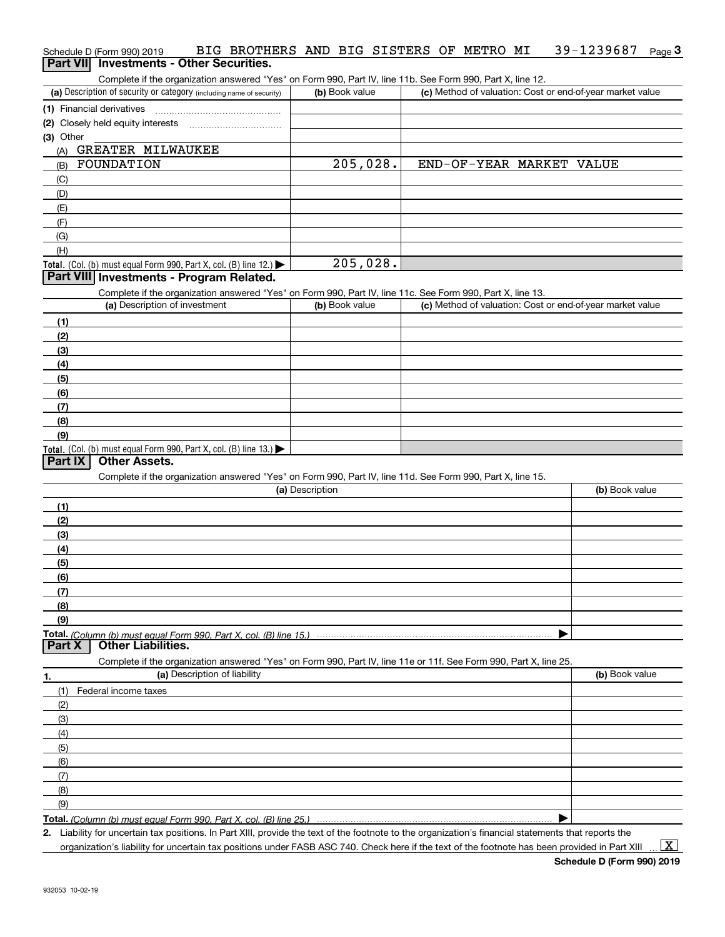#### Schedule D (Form 990) 2019 BIG BROTHERS AND BIG SISTERS OF METRO MI 39-1239687 <sub>Page</sub> 3<br>| **Part VII** | Investments - Other Securities. 39-1239687 Page 3

Complete if the organization answered "Yes" on Form 990, Part IV, line 11b. See Form 990, Part X, line 12.

| (a) Description of security or category (including name of security) | (b) Book value | (c) Method of valuation: Cost or end-of-year market value |
|----------------------------------------------------------------------|----------------|-----------------------------------------------------------|
| (1) Financial derivatives                                            |                |                                                           |
| (2) Closely held equity interests                                    |                |                                                           |
| (3) Other                                                            |                |                                                           |
| GREATER MILWAUKEE<br>(A)                                             |                |                                                           |
| FOUNDATION<br>(B)                                                    | 205,028.       | END-OF-YEAR MARKET<br>VALUE                               |
| (C)                                                                  |                |                                                           |
| (D)                                                                  |                |                                                           |
| (E)                                                                  |                |                                                           |
| (F)                                                                  |                |                                                           |
| (G)                                                                  |                |                                                           |
| (H)                                                                  |                |                                                           |
| Total. (Col. (b) must equal Form 990, Part X, col. (B) line $12$ .)  | 205,028.       |                                                           |

#### **Part VIII Investments - Program Related.**

Complete if the organization answered "Yes" on Form 990, Part IV, line 11c. See Form 990, Part X, line 13.

| (a) Description of investment                                                                 | (b) Book value | (c) Method of valuation: Cost or end-of-year market value |
|-----------------------------------------------------------------------------------------------|----------------|-----------------------------------------------------------|
| (1)                                                                                           |                |                                                           |
| (2)                                                                                           |                |                                                           |
| $\frac{1}{2}$                                                                                 |                |                                                           |
| (4)                                                                                           |                |                                                           |
| $\left(5\right)$                                                                              |                |                                                           |
| (6)                                                                                           |                |                                                           |
| (7)                                                                                           |                |                                                           |
| (8)                                                                                           |                |                                                           |
| (9)                                                                                           |                |                                                           |
| <b>Total.</b> (Col. (b) must equal Form 990, Part X, col. (B) line 13.) $\blacktriangleright$ |                |                                                           |

#### **Part IX Other Assets.**

Complete if the organization answered "Yes" on Form 990, Part IV, line 11d. See Form 990, Part X, line 15.

| (a) Description                                                                                                   | (b) Book value |
|-------------------------------------------------------------------------------------------------------------------|----------------|
| (1)                                                                                                               |                |
| (2)                                                                                                               |                |
| (3)                                                                                                               |                |
| (4)                                                                                                               |                |
| (5)                                                                                                               |                |
| (6)                                                                                                               |                |
| (7)                                                                                                               |                |
| (8)                                                                                                               |                |
| (9)                                                                                                               |                |
|                                                                                                                   |                |
| <b>Other Liabilities.</b><br>Part X                                                                               |                |
| Complete if the organization answered "Yes" on Form 990, Part IV, line 11e or 11f. See Form 990, Part X, line 25. |                |
| (a) Description of liability<br>1.                                                                                | (b) Book value |
| $(1)$ Eaderal income taxes                                                                                        |                |

| (1) Federal income taxes |  |
|--------------------------|--|
| (2)                      |  |
| $\qquad \qquad$ (3)      |  |
| (4)                      |  |
| (5)                      |  |
| (6)                      |  |
| (7)                      |  |
| (8)                      |  |
| (9)                      |  |
|                          |  |

**Total.**  *(Column (b) must equal Form 990, Part X, col. (B) line 25.)* 

**2.** Liability for uncertain tax positions. In Part XIII, provide the text of the footnote to the organization's financial statements that reports the

organization's liability for uncertain tax positions under FASB ASC 740. Check here if the text of the footnote has been provided in Part XIII

 $\vert$  X  $\vert$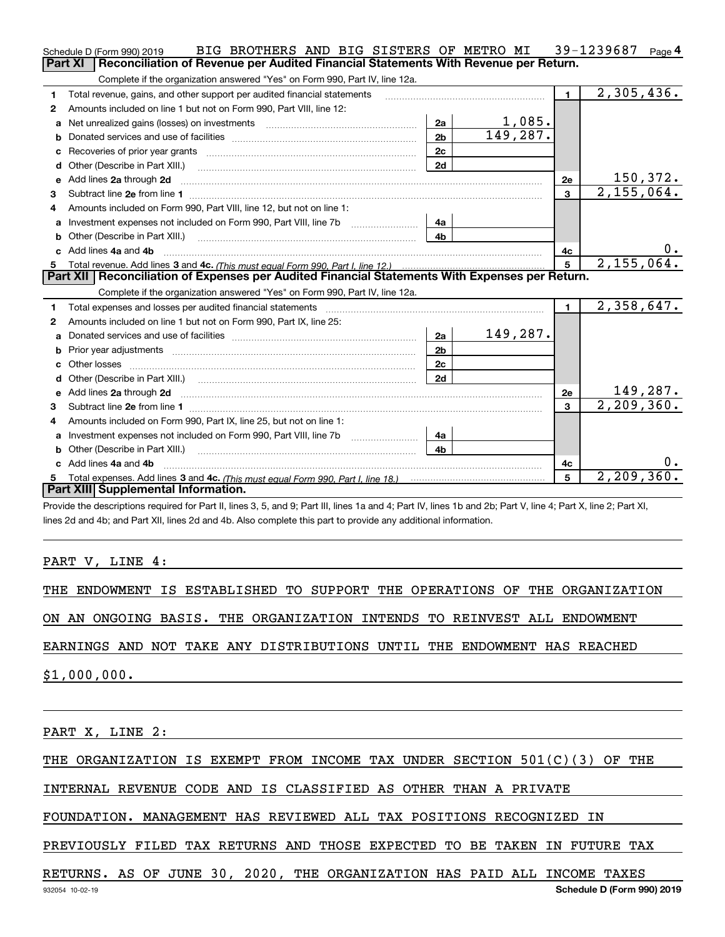|              | BIG BROTHERS AND BIG SISTERS OF METRO MI<br>Schedule D (Form 990) 2019                                                                                                                                                         |                |              |                | 39-1239687<br>Page $4$   |
|--------------|--------------------------------------------------------------------------------------------------------------------------------------------------------------------------------------------------------------------------------|----------------|--------------|----------------|--------------------------|
|              | <b>Part XI</b><br>Reconciliation of Revenue per Audited Financial Statements With Revenue per Return.                                                                                                                          |                |              |                |                          |
|              | Complete if the organization answered "Yes" on Form 990, Part IV, line 12a.                                                                                                                                                    |                |              |                |                          |
| $\mathbf{1}$ | Total revenue, gains, and other support per audited financial statements                                                                                                                                                       |                |              | $\blacksquare$ | $\overline{2,305,436}$ . |
| 2            | Amounts included on line 1 but not on Form 990, Part VIII, line 12:                                                                                                                                                            |                |              |                |                          |
| a            | Net unrealized gains (losses) on investments [11] matter contracts and the unrealized gains (losses) on investments                                                                                                            | 2a             | 1,085.       |                |                          |
|              |                                                                                                                                                                                                                                | 2 <sub>b</sub> | 149, 287.    |                |                          |
| c            |                                                                                                                                                                                                                                | 2 <sub>c</sub> |              |                |                          |
| d            |                                                                                                                                                                                                                                | 2d             |              |                |                          |
| е            | Add lines 2a through 2d                                                                                                                                                                                                        |                |              | 2e             | 150,372.                 |
| з            |                                                                                                                                                                                                                                |                |              | 3              | $\overline{2,155,064}$ . |
| 4            | Amounts included on Form 990, Part VIII, line 12, but not on line 1:                                                                                                                                                           |                |              |                |                          |
| a            | Investment expenses not included on Form 990, Part VIII, line 7b [11, 111, 111, 120]                                                                                                                                           | 4a             |              |                |                          |
| b            | Other (Describe in Part XIII.) <b>Construction Contract Construction</b> [                                                                                                                                                     | 4 <sub>b</sub> |              |                |                          |
| C.           | Add lines 4a and 4b                                                                                                                                                                                                            |                |              | 4с             | $0 \cdot$                |
|              |                                                                                                                                                                                                                                | $5^{\circ}$    | 2, 155, 064. |                |                          |
|              |                                                                                                                                                                                                                                |                |              |                |                          |
|              | Part XII   Reconciliation of Expenses per Audited Financial Statements With Expenses per Return.                                                                                                                               |                |              |                |                          |
|              | Complete if the organization answered "Yes" on Form 990, Part IV, line 12a.                                                                                                                                                    |                |              |                |                          |
| 1            | Total expenses and losses per audited financial statements                                                                                                                                                                     |                |              | $\mathbf{1}$   | 2,358,647.               |
| 2            | Amounts included on line 1 but not on Form 990, Part IX, line 25:                                                                                                                                                              |                |              |                |                          |
| a            |                                                                                                                                                                                                                                | 2a             | 149,287.     |                |                          |
|              |                                                                                                                                                                                                                                | 2 <sub>b</sub> |              |                |                          |
| с            |                                                                                                                                                                                                                                | 2c             |              |                |                          |
| d            | Other (Describe in Part XIII.) (2000) (2000) (2000) (2000) (2000) (2000) (2000) (2000) (2000) (2000) (2000) (2000) (2000) (2000) (2000) (2000) (2000) (2000) (2000) (2000) (2000) (2000) (2000) (2000) (2000) (2000) (2000) (2 | 2d             |              |                |                          |
|              | Add lines 2a through 2d <b>must be a constructed as the constant of the constant of the constant of the construction</b>                                                                                                       |                |              | 2e             | 149,287.                 |
| з            |                                                                                                                                                                                                                                |                |              | $\mathbf{a}$   | 2, 209, 360.             |
| 4            | Amounts included on Form 990, Part IX, line 25, but not on line 1:                                                                                                                                                             |                |              |                |                          |
| a            |                                                                                                                                                                                                                                | 4a             |              |                |                          |
| b            |                                                                                                                                                                                                                                | 4b             |              |                |                          |
|              | Add lines 4a and 4b                                                                                                                                                                                                            |                |              | 4с             | 0.                       |
| 5            | Part XIII Supplemental Information.                                                                                                                                                                                            |                |              | $5^{\circ}$    | 2, 209, 360.             |

Provide the descriptions required for Part II, lines 3, 5, and 9; Part III, lines 1a and 4; Part IV, lines 1b and 2b; Part V, line 4; Part X, line 2; Part XI, lines 2d and 4b; and Part XII, lines 2d and 4b. Also complete this part to provide any additional information.

#### PART V, LINE 4:

THE ENDOWMENT IS ESTABLISHED TO SUPPORT THE OPERATIONS OF THE ORGANIZATION

ON AN ONGOING BASIS. THE ORGANIZATION INTENDS TO REINVEST ALL ENDOWMENT

EARNINGS AND NOT TAKE ANY DISTRIBUTIONS UNTIL THE ENDOWMENT HAS REACHED

\$1,000,000.

PART X, LINE 2:

THE ORGANIZATION IS EXEMPT FROM INCOME TAX UNDER SECTION 501(C)(3) OF THE

INTERNAL REVENUE CODE AND IS CLASSIFIED AS OTHER THAN A PRIVATE

FOUNDATION. MANAGEMENT HAS REVIEWED ALL TAX POSITIONS RECOGNIZED IN

PREVIOUSLY FILED TAX RETURNS AND THOSE EXPECTED TO BE TAKEN IN FUTURE TAX

#### RETURNS. AS OF JUNE 30, 2020, THE ORGANIZATION HAS PAID ALL INCOME TAXES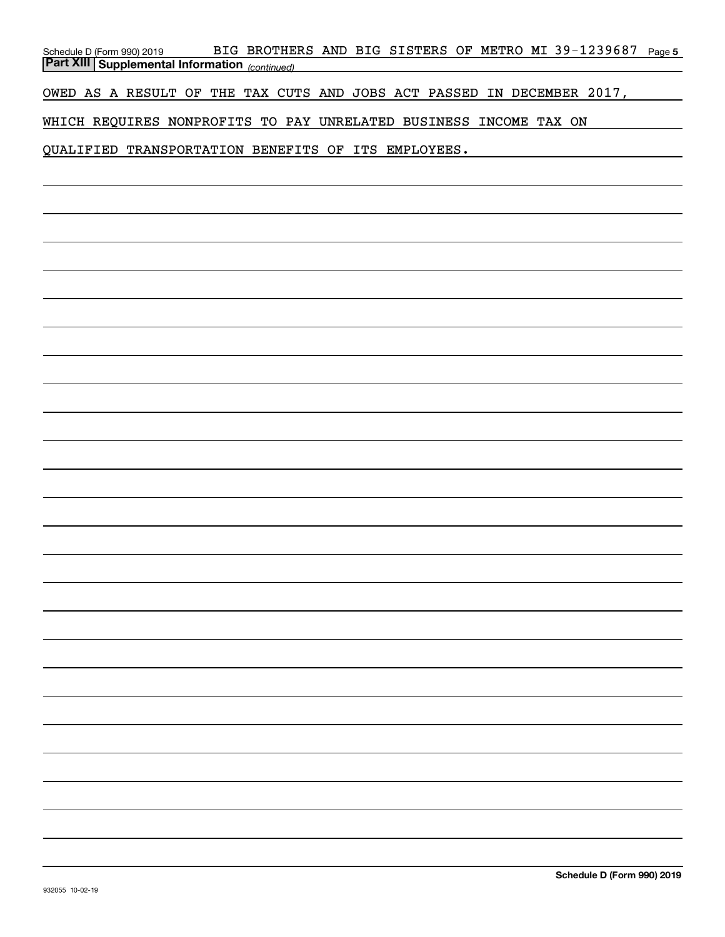| BIG BROTHERS AND BIG SISTERS OF METRO MI 39-1239687<br>Page 5<br>Schedule D (Form 990) 2019 |
|---------------------------------------------------------------------------------------------|
| <b>Part XIII Supplemental Information</b> (continued)                                       |
| OWED AS A RESULT OF THE TAX CUTS AND JOBS ACT PASSED IN DECEMBER 2017,                      |
| WHICH REQUIRES NONPROFITS TO PAY UNRELATED BUSINESS INCOME TAX ON                           |
| QUALIFIED TRANSPORTATION BENEFITS OF ITS EMPLOYEES.                                         |
|                                                                                             |
|                                                                                             |
|                                                                                             |
|                                                                                             |
|                                                                                             |
|                                                                                             |
|                                                                                             |
|                                                                                             |
|                                                                                             |
|                                                                                             |
|                                                                                             |
|                                                                                             |
|                                                                                             |
|                                                                                             |
|                                                                                             |
|                                                                                             |
|                                                                                             |
|                                                                                             |
|                                                                                             |
|                                                                                             |
|                                                                                             |
|                                                                                             |
|                                                                                             |
|                                                                                             |
|                                                                                             |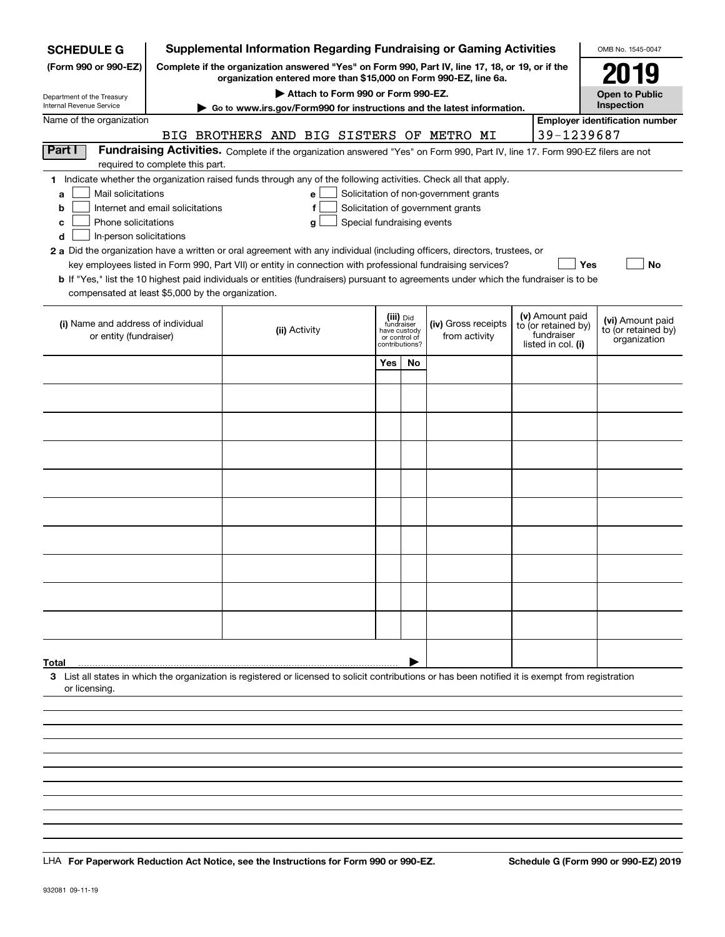| <b>SCHEDULE G</b>                                                                                                                                  |                                  |                                    |                            |                                             |    | <b>Supplemental Information Regarding Fundraising or Gaming Activities</b>                                                                                          |  |                                   | OMB No. 1545-0047                     |
|----------------------------------------------------------------------------------------------------------------------------------------------------|----------------------------------|------------------------------------|----------------------------|---------------------------------------------|----|---------------------------------------------------------------------------------------------------------------------------------------------------------------------|--|-----------------------------------|---------------------------------------|
| (Form 990 or 990-EZ)                                                                                                                               |                                  |                                    |                            |                                             |    | Complete if the organization answered "Yes" on Form 990, Part IV, line 17, 18, or 19, or if the<br>organization entered more than \$15,000 on Form 990-EZ, line 6a. |  |                                   | 2019                                  |
| Department of the Treasury<br>Internal Revenue Service                                                                                             |                                  | Attach to Form 990 or Form 990-EZ. |                            |                                             |    |                                                                                                                                                                     |  |                                   | <b>Open to Public</b><br>Inspection   |
| Name of the organization                                                                                                                           |                                  |                                    |                            |                                             |    | Go to www.irs.gov/Form990 for instructions and the latest information.                                                                                              |  |                                   | <b>Employer identification number</b> |
|                                                                                                                                                    |                                  |                                    |                            |                                             |    | BIG BROTHERS AND BIG SISTERS OF METRO MI                                                                                                                            |  | 39-1239687                        |                                       |
| Part I                                                                                                                                             |                                  |                                    |                            |                                             |    | Fundraising Activities. Complete if the organization answered "Yes" on Form 990, Part IV, line 17. Form 990-EZ filers are not                                       |  |                                   |                                       |
|                                                                                                                                                    | required to complete this part.  |                                    |                            |                                             |    |                                                                                                                                                                     |  |                                   |                                       |
| 1 Indicate whether the organization raised funds through any of the following activities. Check all that apply.<br>Mail solicitations<br>a         |                                  | е                                  |                            |                                             |    | Solicitation of non-government grants                                                                                                                               |  |                                   |                                       |
| b                                                                                                                                                  | Internet and email solicitations | f                                  |                            |                                             |    | Solicitation of government grants                                                                                                                                   |  |                                   |                                       |
| Phone solicitations<br>с                                                                                                                           |                                  | g                                  | Special fundraising events |                                             |    |                                                                                                                                                                     |  |                                   |                                       |
| In-person solicitations<br>d                                                                                                                       |                                  |                                    |                            |                                             |    |                                                                                                                                                                     |  |                                   |                                       |
| 2 a Did the organization have a written or oral agreement with any individual (including officers, directors, trustees, or                         |                                  |                                    |                            |                                             |    | key employees listed in Form 990, Part VII) or entity in connection with professional fundraising services?                                                         |  |                                   | Yes<br>No                             |
| b If "Yes," list the 10 highest paid individuals or entities (fundraisers) pursuant to agreements under which the fundraiser is to be              |                                  |                                    |                            |                                             |    |                                                                                                                                                                     |  |                                   |                                       |
| compensated at least \$5,000 by the organization.                                                                                                  |                                  |                                    |                            |                                             |    |                                                                                                                                                                     |  |                                   |                                       |
|                                                                                                                                                    |                                  |                                    |                            | (iii) <sub>Did</sub>                        |    |                                                                                                                                                                     |  | (v) Amount paid                   | (vi) Amount paid                      |
| (i) Name and address of individual<br>or entity (fundraiser)                                                                                       |                                  | (ii) Activity                      |                            | fundraiser<br>have custody<br>or control of |    | (iv) Gross receipts<br>from activity                                                                                                                                |  | to (or retained by)<br>fundraiser | to (or retained by)                   |
|                                                                                                                                                    |                                  |                                    |                            | contributions?                              |    |                                                                                                                                                                     |  | listed in col. (i)                | organization                          |
|                                                                                                                                                    |                                  |                                    |                            | Yes                                         | No |                                                                                                                                                                     |  |                                   |                                       |
|                                                                                                                                                    |                                  |                                    |                            |                                             |    |                                                                                                                                                                     |  |                                   |                                       |
|                                                                                                                                                    |                                  |                                    |                            |                                             |    |                                                                                                                                                                     |  |                                   |                                       |
|                                                                                                                                                    |                                  |                                    |                            |                                             |    |                                                                                                                                                                     |  |                                   |                                       |
|                                                                                                                                                    |                                  |                                    |                            |                                             |    |                                                                                                                                                                     |  |                                   |                                       |
|                                                                                                                                                    |                                  |                                    |                            |                                             |    |                                                                                                                                                                     |  |                                   |                                       |
|                                                                                                                                                    |                                  |                                    |                            |                                             |    |                                                                                                                                                                     |  |                                   |                                       |
|                                                                                                                                                    |                                  |                                    |                            |                                             |    |                                                                                                                                                                     |  |                                   |                                       |
|                                                                                                                                                    |                                  |                                    |                            |                                             |    |                                                                                                                                                                     |  |                                   |                                       |
|                                                                                                                                                    |                                  |                                    |                            |                                             |    |                                                                                                                                                                     |  |                                   |                                       |
|                                                                                                                                                    |                                  |                                    |                            |                                             |    |                                                                                                                                                                     |  |                                   |                                       |
|                                                                                                                                                    |                                  |                                    |                            |                                             |    |                                                                                                                                                                     |  |                                   |                                       |
|                                                                                                                                                    |                                  |                                    |                            |                                             |    |                                                                                                                                                                     |  |                                   |                                       |
|                                                                                                                                                    |                                  |                                    |                            |                                             |    |                                                                                                                                                                     |  |                                   |                                       |
|                                                                                                                                                    |                                  |                                    |                            |                                             |    |                                                                                                                                                                     |  |                                   |                                       |
|                                                                                                                                                    |                                  |                                    |                            |                                             |    |                                                                                                                                                                     |  |                                   |                                       |
| Total                                                                                                                                              |                                  |                                    |                            |                                             |    |                                                                                                                                                                     |  |                                   |                                       |
| 3 List all states in which the organization is registered or licensed to solicit contributions or has been notified it is exempt from registration |                                  |                                    |                            |                                             |    |                                                                                                                                                                     |  |                                   |                                       |
| or licensing                                                                                                                                       |                                  |                                    |                            |                                             |    |                                                                                                                                                                     |  |                                   |                                       |
|                                                                                                                                                    |                                  |                                    |                            |                                             |    |                                                                                                                                                                     |  |                                   |                                       |
|                                                                                                                                                    |                                  |                                    |                            |                                             |    |                                                                                                                                                                     |  |                                   |                                       |
|                                                                                                                                                    |                                  |                                    |                            |                                             |    |                                                                                                                                                                     |  |                                   |                                       |
|                                                                                                                                                    |                                  |                                    |                            |                                             |    |                                                                                                                                                                     |  |                                   |                                       |
|                                                                                                                                                    |                                  |                                    |                            |                                             |    |                                                                                                                                                                     |  |                                   |                                       |

LHA For Paperwork Reduction Act Notice, see the Instructions for Form 990 or 990-EZ. Schedule G (Form 990 or 990-EZ) 2019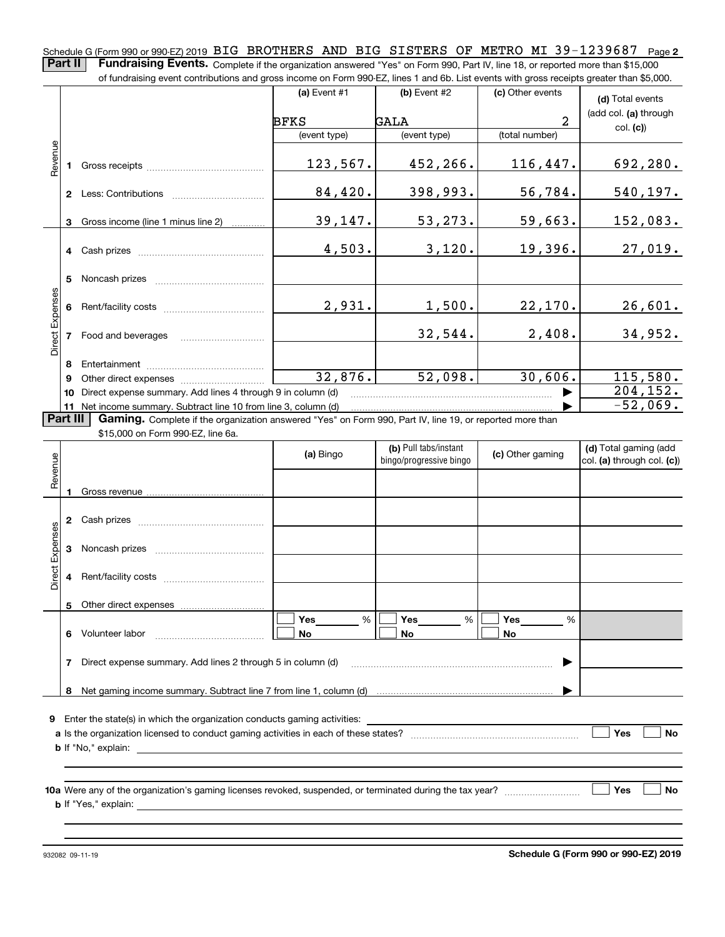Schedule G (Form 990 or 990-EZ) 2019 <code>BIG BROTHERS</code> AND <code>BIG SISTERS OF METRO MI 39-1239687 <code>Page 2</code></code> **Part II** | Fundraising Events. Complete if the organization answered "Yes" on Form 990, Part IV, line 18, or reported more than \$15,000

|                 | of fundraising event contributions and gross income on Form 990-EZ, lines 1 and 6b. List events with gross receipts greater than \$5,000. |                                                                                                                                                                                                                                |                |                |                  |                       |  |  |  |  |  |
|-----------------|-------------------------------------------------------------------------------------------------------------------------------------------|--------------------------------------------------------------------------------------------------------------------------------------------------------------------------------------------------------------------------------|----------------|----------------|------------------|-----------------------|--|--|--|--|--|
|                 |                                                                                                                                           |                                                                                                                                                                                                                                | $(a)$ Event #1 | $(b)$ Event #2 | (c) Other events | (d) Total events      |  |  |  |  |  |
|                 |                                                                                                                                           |                                                                                                                                                                                                                                | <b>BFKS</b>    | GALA           | $\overline{2}$   | (add col. (a) through |  |  |  |  |  |
|                 |                                                                                                                                           |                                                                                                                                                                                                                                | (event type)   | (event type)   | (total number)   | col. (c)              |  |  |  |  |  |
| Revenue         |                                                                                                                                           |                                                                                                                                                                                                                                | 123,567.       | 452,266.       | 116,447.         | 692,280.              |  |  |  |  |  |
|                 | $\mathbf{2}$                                                                                                                              | Less: Contributions                                                                                                                                                                                                            | 84,420.        | 398,993.       | 56,784.          | 540, 197.             |  |  |  |  |  |
|                 | 3                                                                                                                                         | Gross income (line 1 minus line 2)                                                                                                                                                                                             | 39,147.        | 53,273.        | 59,663.          | 152,083.              |  |  |  |  |  |
|                 |                                                                                                                                           |                                                                                                                                                                                                                                | 4,503.         | 3,120.         | 19,396.          | 27,019.               |  |  |  |  |  |
|                 | 5                                                                                                                                         | Noncash prizes                                                                                                                                                                                                                 |                |                |                  |                       |  |  |  |  |  |
|                 | 6                                                                                                                                         |                                                                                                                                                                                                                                | 2,931.         | 1,500.         | 22,170.          | 26,601.               |  |  |  |  |  |
| Direct Expenses |                                                                                                                                           | Food and beverages                                                                                                                                                                                                             |                | 32,544.        | 2,408.           | 34,952.               |  |  |  |  |  |
|                 | 8                                                                                                                                         |                                                                                                                                                                                                                                |                |                |                  |                       |  |  |  |  |  |
|                 | 9                                                                                                                                         | Other direct expenses of the state of the state of the state of the state of the state of the state of the state of the state of the state of the state of the state of the state of the state of the state of the state of th | 32,876.        | 52,098.        | 30,606.          | 115,580.              |  |  |  |  |  |
|                 | 10                                                                                                                                        | Direct expense summary. Add lines 4 through 9 in column (d)                                                                                                                                                                    |                |                |                  | 204, 152.             |  |  |  |  |  |
|                 |                                                                                                                                           | 11 Net income summary. Subtract line 10 from line 3, column (d)                                                                                                                                                                |                |                |                  | $-52,069.$            |  |  |  |  |  |
| <b>Part III</b> |                                                                                                                                           | Gaming. Complete if the organization answered "Yes" on Form 990, Part IV, line 19, or reported more than                                                                                                                       |                |                |                  |                       |  |  |  |  |  |
|                 |                                                                                                                                           | \$15,000 on Form 990-EZ, line 6a.                                                                                                                                                                                              |                |                |                  |                       |  |  |  |  |  |

| Revenue                                                          |    |                                                                                                                                                                                                                                                                                                                                                        | (a) Bingo                             | (b) Pull tabs/instant<br>bingo/progressive bingo | (c) Other gaming             | (d) Total gaming (add<br>col. (a) through col. (c)) |  |  |  |  |
|------------------------------------------------------------------|----|--------------------------------------------------------------------------------------------------------------------------------------------------------------------------------------------------------------------------------------------------------------------------------------------------------------------------------------------------------|---------------------------------------|--------------------------------------------------|------------------------------|-----------------------------------------------------|--|--|--|--|
|                                                                  |    |                                                                                                                                                                                                                                                                                                                                                        |                                       |                                                  |                              |                                                     |  |  |  |  |
| Direct Expenses                                                  | 2  | Cash prizes [111] [12] Daniel Marcon Marcon Marcon Marcon Marcon Marcon Marcon Marcon Marcon Marcon Marcon Marcon Marcon Marcon Marcon Marcon Marcon Marcon Marcon Marcon Marcon Marcon Marcon Marcon Marcon Marcon Marcon Mar                                                                                                                         |                                       |                                                  |                              |                                                     |  |  |  |  |
|                                                                  | 3  |                                                                                                                                                                                                                                                                                                                                                        |                                       |                                                  |                              |                                                     |  |  |  |  |
|                                                                  | 4  |                                                                                                                                                                                                                                                                                                                                                        |                                       |                                                  |                              |                                                     |  |  |  |  |
|                                                                  | 5. |                                                                                                                                                                                                                                                                                                                                                        |                                       |                                                  |                              |                                                     |  |  |  |  |
|                                                                  | 6  |                                                                                                                                                                                                                                                                                                                                                        | Yes $\qquad \qquad$<br>%<br><b>No</b> | %<br><b>No</b>                                   | Yes $\_\_$<br>%<br><b>No</b> |                                                     |  |  |  |  |
| Direct expense summary. Add lines 2 through 5 in column (d)<br>7 |    |                                                                                                                                                                                                                                                                                                                                                        |                                       |                                                  |                              |                                                     |  |  |  |  |
|                                                                  | 8  |                                                                                                                                                                                                                                                                                                                                                        |                                       |                                                  |                              |                                                     |  |  |  |  |
| 9                                                                |    |                                                                                                                                                                                                                                                                                                                                                        |                                       |                                                  |                              |                                                     |  |  |  |  |
|                                                                  |    |                                                                                                                                                                                                                                                                                                                                                        |                                       |                                                  |                              | Yes<br><b>No</b>                                    |  |  |  |  |
|                                                                  |    |                                                                                                                                                                                                                                                                                                                                                        |                                       |                                                  |                              |                                                     |  |  |  |  |
|                                                                  |    | 10a Were any of the organization's gaming licenses revoked, suspended, or terminated during the tax year?<br><b>b</b> If "Yes," explain: <u>example and the set of the set of the set of the set of the set of the set of the set of the set of the set of the set of the set of the set of the set of the set of the set of the set of the set of</u> |                                       |                                                  |                              | Yes<br><b>No</b>                                    |  |  |  |  |
|                                                                  |    |                                                                                                                                                                                                                                                                                                                                                        |                                       |                                                  |                              |                                                     |  |  |  |  |

932082 09-11-19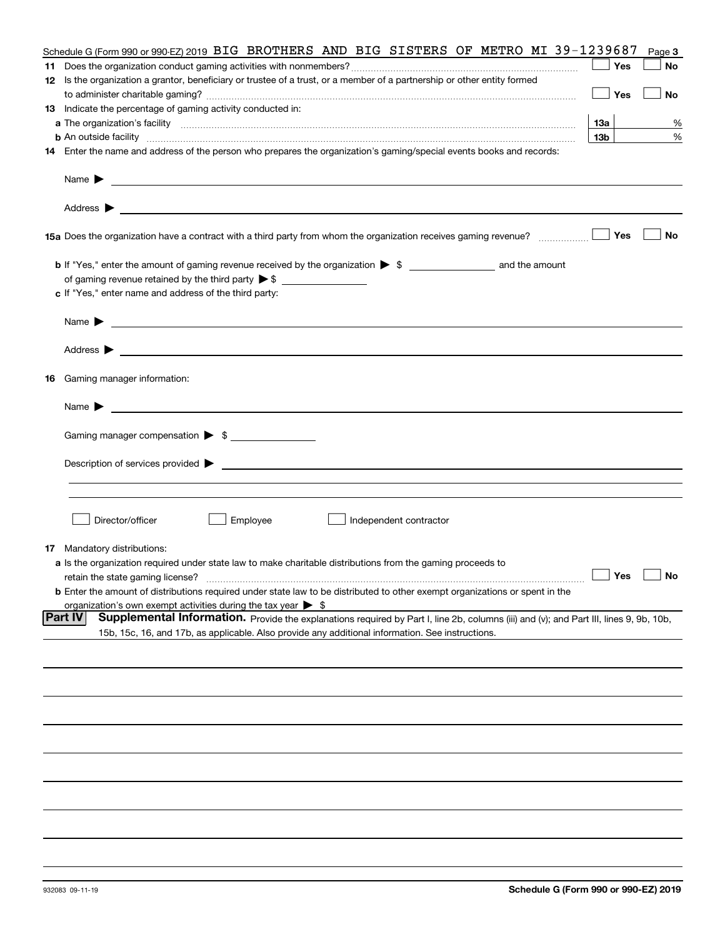| Schedule G (Form 990 or 990-EZ) 2019 BIG BROTHERS AND BIG SISTERS OF METRO MI 39-1239687                                                                                                                                                  |                 | Page 3    |
|-------------------------------------------------------------------------------------------------------------------------------------------------------------------------------------------------------------------------------------------|-----------------|-----------|
|                                                                                                                                                                                                                                           | Yes             | No        |
| 12 Is the organization a grantor, beneficiary or trustee of a trust, or a member of a partnership or other entity formed                                                                                                                  |                 |           |
|                                                                                                                                                                                                                                           | Yes             | No        |
| 13 Indicate the percentage of gaming activity conducted in:                                                                                                                                                                               |                 |           |
|                                                                                                                                                                                                                                           | 13а             | %         |
|                                                                                                                                                                                                                                           | 13 <sub>b</sub> | %         |
| <b>b</b> An outside facility <b>contained an according to the contract of the contract of the contract of the contract of the contract of the contract of the contract of the contract of the contract of the contract of the contrac</b> |                 |           |
| 14 Enter the name and address of the person who prepares the organization's gaming/special events books and records:                                                                                                                      |                 |           |
| Name $\blacktriangleright$<br>and the control of the control of the control of the control of the control of the control of the control of the                                                                                            |                 |           |
| <u> 1989 - Johann Harry Harry Harry Harry Harry Harry Harry Harry Harry Harry Harry Harry Harry Harry Harry Harry</u><br>Address $\blacktriangleright$                                                                                    |                 |           |
| 15a Does the organization have a contract with a third party from whom the organization receives gaming revenue?                                                                                                                          | Yes             | No        |
|                                                                                                                                                                                                                                           |                 |           |
|                                                                                                                                                                                                                                           |                 |           |
| c If "Yes," enter name and address of the third party:                                                                                                                                                                                    |                 |           |
|                                                                                                                                                                                                                                           |                 |           |
| Name $\blacktriangleright$                                                                                                                                                                                                                |                 |           |
| Address $\blacktriangleright$                                                                                                                                                                                                             |                 |           |
| 16 Gaming manager information:                                                                                                                                                                                                            |                 |           |
| Name $\blacktriangleright$                                                                                                                                                                                                                |                 |           |
|                                                                                                                                                                                                                                           |                 |           |
| Gaming manager compensation > \$                                                                                                                                                                                                          |                 |           |
| $Description of services provided$ $\triangleright$                                                                                                                                                                                       |                 |           |
|                                                                                                                                                                                                                                           |                 |           |
|                                                                                                                                                                                                                                           |                 |           |
|                                                                                                                                                                                                                                           |                 |           |
| Director/officer<br>Employee<br>Independent contractor                                                                                                                                                                                    |                 |           |
| <b>17</b> Mandatory distributions:                                                                                                                                                                                                        |                 |           |
| a Is the organization required under state law to make charitable distributions from the gaming proceeds to                                                                                                                               |                 |           |
| retain the state gaming license?                                                                                                                                                                                                          | Yes $\lfloor$   | <b>No</b> |
| <b>b</b> Enter the amount of distributions required under state law to be distributed to other exempt organizations or spent in the                                                                                                       |                 |           |
| organization's own exempt activities during the tax year $\triangleright$ \$                                                                                                                                                              |                 |           |
| Part IV<br>Supplemental Information. Provide the explanations required by Part I, line 2b, columns (iii) and (v); and Part III, lines 9, 9b, 10b,                                                                                         |                 |           |
| 15b, 15c, 16, and 17b, as applicable. Also provide any additional information. See instructions.                                                                                                                                          |                 |           |
|                                                                                                                                                                                                                                           |                 |           |
|                                                                                                                                                                                                                                           |                 |           |
|                                                                                                                                                                                                                                           |                 |           |
|                                                                                                                                                                                                                                           |                 |           |
|                                                                                                                                                                                                                                           |                 |           |
|                                                                                                                                                                                                                                           |                 |           |
|                                                                                                                                                                                                                                           |                 |           |
|                                                                                                                                                                                                                                           |                 |           |
|                                                                                                                                                                                                                                           |                 |           |
|                                                                                                                                                                                                                                           |                 |           |
|                                                                                                                                                                                                                                           |                 |           |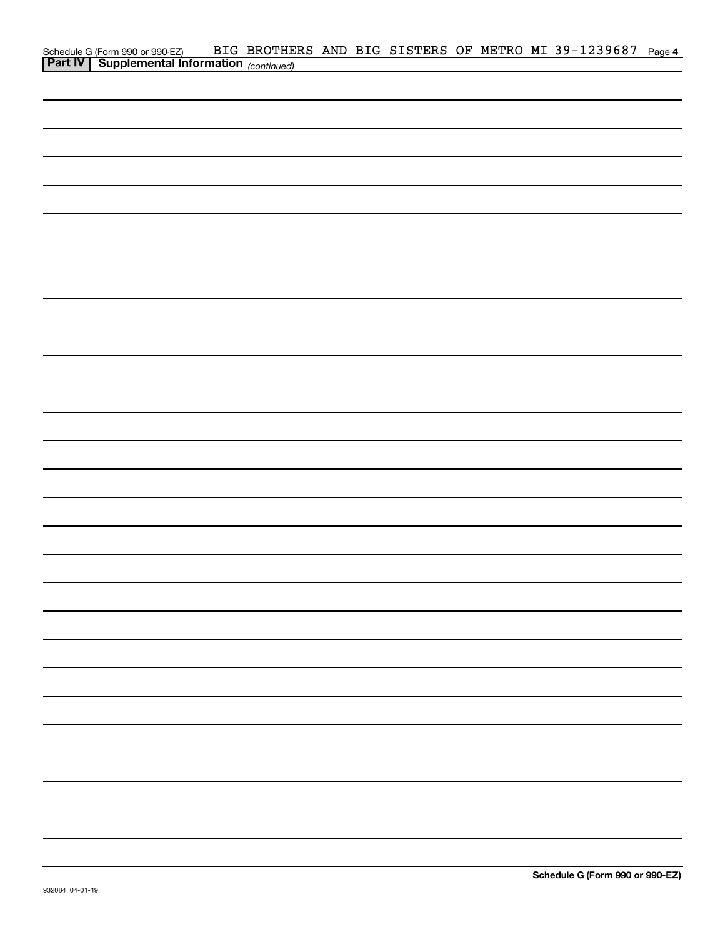| Schedule G (Form 990 or 990-EZ) BIG BROTHE<br>Part IV   Supplemental Information (continued) | BIG BROTHERS AND BIG SISTERS OF METRO MI 39-1239687 Page 4 |  |  |  |  |  |
|----------------------------------------------------------------------------------------------|------------------------------------------------------------|--|--|--|--|--|
|                                                                                              |                                                            |  |  |  |  |  |
|                                                                                              |                                                            |  |  |  |  |  |
|                                                                                              |                                                            |  |  |  |  |  |
|                                                                                              |                                                            |  |  |  |  |  |
|                                                                                              |                                                            |  |  |  |  |  |
|                                                                                              |                                                            |  |  |  |  |  |
|                                                                                              |                                                            |  |  |  |  |  |
|                                                                                              |                                                            |  |  |  |  |  |
|                                                                                              |                                                            |  |  |  |  |  |
|                                                                                              |                                                            |  |  |  |  |  |
|                                                                                              |                                                            |  |  |  |  |  |
|                                                                                              |                                                            |  |  |  |  |  |
|                                                                                              |                                                            |  |  |  |  |  |
|                                                                                              |                                                            |  |  |  |  |  |
|                                                                                              |                                                            |  |  |  |  |  |
|                                                                                              |                                                            |  |  |  |  |  |
|                                                                                              |                                                            |  |  |  |  |  |
|                                                                                              |                                                            |  |  |  |  |  |
|                                                                                              |                                                            |  |  |  |  |  |
|                                                                                              |                                                            |  |  |  |  |  |
|                                                                                              |                                                            |  |  |  |  |  |
|                                                                                              |                                                            |  |  |  |  |  |
|                                                                                              |                                                            |  |  |  |  |  |
|                                                                                              |                                                            |  |  |  |  |  |
|                                                                                              |                                                            |  |  |  |  |  |
|                                                                                              |                                                            |  |  |  |  |  |
|                                                                                              |                                                            |  |  |  |  |  |
|                                                                                              |                                                            |  |  |  |  |  |
|                                                                                              |                                                            |  |  |  |  |  |
|                                                                                              |                                                            |  |  |  |  |  |
|                                                                                              |                                                            |  |  |  |  |  |
|                                                                                              |                                                            |  |  |  |  |  |
|                                                                                              |                                                            |  |  |  |  |  |
|                                                                                              |                                                            |  |  |  |  |  |
|                                                                                              |                                                            |  |  |  |  |  |
|                                                                                              |                                                            |  |  |  |  |  |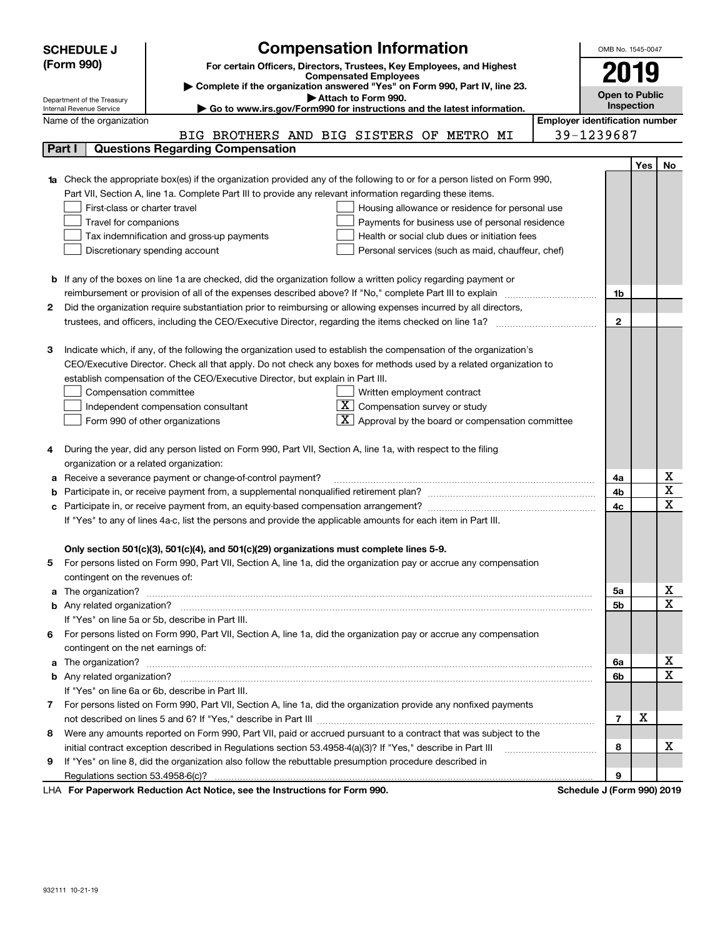|   | <b>SCHEDULE J</b>                                                          | <b>Compensation Information</b>                                                                                        |  | OMB No. 1545-0047                     |     |    |  |  |  |
|---|----------------------------------------------------------------------------|------------------------------------------------------------------------------------------------------------------------|--|---------------------------------------|-----|----|--|--|--|
|   | (Form 990)                                                                 | For certain Officers, Directors, Trustees, Key Employees, and Highest                                                  |  |                                       |     |    |  |  |  |
|   |                                                                            | <b>Compensated Employees</b>                                                                                           |  | 2019                                  |     |    |  |  |  |
|   | Complete if the organization answered "Yes" on Form 990, Part IV, line 23. |                                                                                                                        |  |                                       |     |    |  |  |  |
|   | Department of the Treasury<br>Internal Revenue Service                     | Attach to Form 990.<br>Go to www.irs.gov/Form990 for instructions and the latest information.                          |  | <b>Open to Public</b><br>Inspection   |     |    |  |  |  |
|   | Name of the organization                                                   |                                                                                                                        |  | <b>Employer identification number</b> |     |    |  |  |  |
|   |                                                                            | BIG BROTHERS AND BIG SISTERS OF METRO MI                                                                               |  | 39-1239687                            |     |    |  |  |  |
|   | Part I                                                                     | <b>Questions Regarding Compensation</b>                                                                                |  |                                       |     |    |  |  |  |
|   |                                                                            |                                                                                                                        |  |                                       | Yes | No |  |  |  |
|   |                                                                            | Check the appropriate box(es) if the organization provided any of the following to or for a person listed on Form 990, |  |                                       |     |    |  |  |  |
|   |                                                                            | Part VII, Section A, line 1a. Complete Part III to provide any relevant information regarding these items.             |  |                                       |     |    |  |  |  |
|   | First-class or charter travel                                              | Housing allowance or residence for personal use                                                                        |  |                                       |     |    |  |  |  |
|   | Travel for companions                                                      | Payments for business use of personal residence                                                                        |  |                                       |     |    |  |  |  |
|   |                                                                            | Tax indemnification and gross-up payments<br>Health or social club dues or initiation fees                             |  |                                       |     |    |  |  |  |
|   |                                                                            | Discretionary spending account<br>Personal services (such as maid, chauffeur, chef)                                    |  |                                       |     |    |  |  |  |
|   |                                                                            |                                                                                                                        |  |                                       |     |    |  |  |  |
| b |                                                                            | If any of the boxes on line 1a are checked, did the organization follow a written policy regarding payment or          |  |                                       |     |    |  |  |  |
|   |                                                                            | reimbursement or provision of all of the expenses described above? If "No," complete Part III to explain               |  | 1b                                    |     |    |  |  |  |
| 2 |                                                                            | Did the organization require substantiation prior to reimbursing or allowing expenses incurred by all directors,       |  |                                       |     |    |  |  |  |
|   |                                                                            | trustees, and officers, including the CEO/Executive Director, regarding the items checked on line 1a?                  |  | $\mathbf{2}$                          |     |    |  |  |  |
|   |                                                                            |                                                                                                                        |  |                                       |     |    |  |  |  |
| 3 |                                                                            | Indicate which, if any, of the following the organization used to establish the compensation of the organization's     |  |                                       |     |    |  |  |  |
|   |                                                                            | CEO/Executive Director. Check all that apply. Do not check any boxes for methods used by a related organization to     |  |                                       |     |    |  |  |  |
|   |                                                                            | establish compensation of the CEO/Executive Director, but explain in Part III.                                         |  |                                       |     |    |  |  |  |
|   | Compensation committee                                                     | Written employment contract                                                                                            |  |                                       |     |    |  |  |  |
|   |                                                                            | $\overline{\mathbf{X}}$ Compensation survey or study<br>Independent compensation consultant                            |  |                                       |     |    |  |  |  |
|   |                                                                            | $\lfloor \mathbf{X} \rfloor$ Approval by the board or compensation committee<br>Form 990 of other organizations        |  |                                       |     |    |  |  |  |
|   |                                                                            |                                                                                                                        |  |                                       |     |    |  |  |  |
| 4 |                                                                            | During the year, did any person listed on Form 990, Part VII, Section A, line 1a, with respect to the filing           |  |                                       |     |    |  |  |  |
|   | organization or a related organization:                                    | Receive a severance payment or change-of-control payment?                                                              |  | 4a                                    |     | x  |  |  |  |
| а |                                                                            |                                                                                                                        |  | 4b                                    |     | X  |  |  |  |
| с |                                                                            | Participate in, or receive payment from, an equity-based compensation arrangement?                                     |  | 4c                                    |     | X  |  |  |  |
|   |                                                                            | If "Yes" to any of lines 4a-c, list the persons and provide the applicable amounts for each item in Part III.          |  |                                       |     |    |  |  |  |
|   |                                                                            |                                                                                                                        |  |                                       |     |    |  |  |  |
|   |                                                                            | Only section 501(c)(3), 501(c)(4), and 501(c)(29) organizations must complete lines 5-9.                               |  |                                       |     |    |  |  |  |
| 5 |                                                                            | For persons listed on Form 990, Part VII, Section A, line 1a, did the organization pay or accrue any compensation      |  |                                       |     |    |  |  |  |
|   | contingent on the revenues of:                                             |                                                                                                                        |  |                                       |     |    |  |  |  |
| a |                                                                            |                                                                                                                        |  | 5a                                    |     | X  |  |  |  |
|   |                                                                            |                                                                                                                        |  | 5b                                    |     | X  |  |  |  |
|   |                                                                            | If "Yes" on line 5a or 5b, describe in Part III.                                                                       |  |                                       |     |    |  |  |  |
| 6 |                                                                            | For persons listed on Form 990, Part VII, Section A, line 1a, did the organization pay or accrue any compensation      |  |                                       |     |    |  |  |  |
|   | contingent on the net earnings of:                                         |                                                                                                                        |  |                                       |     |    |  |  |  |
| a |                                                                            | The organization? <b>With the organization? Constitution of the organization</b> of the organization?                  |  | 6a                                    |     | x  |  |  |  |
|   |                                                                            |                                                                                                                        |  | 6b                                    |     | X  |  |  |  |
|   |                                                                            | If "Yes" on line 6a or 6b, describe in Part III.                                                                       |  |                                       |     |    |  |  |  |
|   |                                                                            | 7 For persons listed on Form 990, Part VII, Section A, line 1a, did the organization provide any nonfixed payments     |  |                                       |     |    |  |  |  |
|   |                                                                            |                                                                                                                        |  | $\overline{7}$                        | X   |    |  |  |  |
| 8 |                                                                            | Were any amounts reported on Form 990, Part VII, paid or accrued pursuant to a contract that was subject to the        |  |                                       |     |    |  |  |  |
|   |                                                                            | initial contract exception described in Regulations section 53.4958-4(a)(3)? If "Yes," describe in Part III            |  | 8                                     |     | х  |  |  |  |
| 9 |                                                                            | If "Yes" on line 8, did the organization also follow the rebuttable presumption procedure described in                 |  |                                       |     |    |  |  |  |
|   |                                                                            | $\mathbf{r}$ $\mathbf{r}$ $\mathbf{r}$ $\mathbf{r}$ $\mathbf{r}$                                                       |  | 9                                     |     |    |  |  |  |

LHA For Paperwork Reduction Act Notice, see the Instructions for Form 990. Schedule J (Form 990) 2019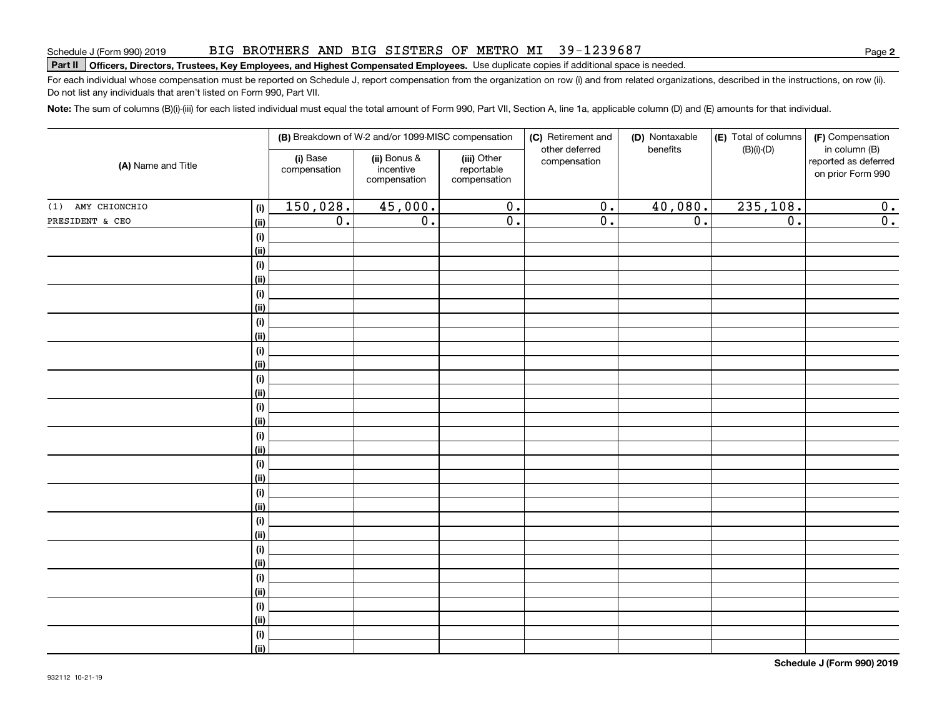#### BIG BROTHERS AND BIG SISTERS OF METRO MI 39-1239687

# **Part II Officers, Directors, Trustees, Key Employees, and Highest Compensated Employees.**  Schedule J (Form 990) 2019 Page Use duplicate copies if additional space is needed.

For each individual whose compensation must be reported on Schedule J, report compensation from the organization on row (i) and from related organizations, described in the instructions, on row (ii). Do not list any individuals that aren't listed on Form 990, Part VII.

**Note:**  The sum of columns (B)(i)-(iii) for each listed individual must equal the total amount of Form 990, Part VII, Section A, line 1a, applicable column (D) and (E) amounts for that individual.

| (A) Name and Title |                           |                          | (B) Breakdown of W-2 and/or 1099-MISC compensation |                                           | (C) Retirement and<br>other deferred | (D) Nontaxable<br>benefits | (E) Total of columns<br>$(B)(i)-(D)$ | (F) Compensation<br>in column (B)         |  |
|--------------------|---------------------------|--------------------------|----------------------------------------------------|-------------------------------------------|--------------------------------------|----------------------------|--------------------------------------|-------------------------------------------|--|
|                    |                           | (i) Base<br>compensation | (ii) Bonus &<br>incentive<br>compensation          | (iii) Other<br>reportable<br>compensation | compensation                         |                            |                                      | reported as deferred<br>on prior Form 990 |  |
| (1) AMY CHIONCHIO  | (i)                       | 150,028.                 | 45,000.                                            | $\overline{0}$ .                          | $\overline{0}$ .                     | 40,080.                    | 235,108.                             | 0.                                        |  |
| PRESIDENT & CEO    | <u>(ii)</u>               | $\overline{0}$ .         | $\overline{0}$ .                                   | $\overline{0}$ .                          | $\overline{0}$ .                     | $\overline{0}$ .           | $\overline{0}$ .                     | $\overline{0}$ .                          |  |
|                    | (i)                       |                          |                                                    |                                           |                                      |                            |                                      |                                           |  |
|                    | <u>(ii)</u>               |                          |                                                    |                                           |                                      |                            |                                      |                                           |  |
|                    | (i)                       |                          |                                                    |                                           |                                      |                            |                                      |                                           |  |
|                    | <u>(ii)</u>               |                          |                                                    |                                           |                                      |                            |                                      |                                           |  |
|                    | (i)                       |                          |                                                    |                                           |                                      |                            |                                      |                                           |  |
|                    | <u>(ii)</u>               |                          |                                                    |                                           |                                      |                            |                                      |                                           |  |
|                    | (i)                       |                          |                                                    |                                           |                                      |                            |                                      |                                           |  |
|                    | <u>(ii)</u>               |                          |                                                    |                                           |                                      |                            |                                      |                                           |  |
|                    | $(\sf{i})$                |                          |                                                    |                                           |                                      |                            |                                      |                                           |  |
|                    | <u>(ii)</u>               |                          |                                                    |                                           |                                      |                            |                                      |                                           |  |
|                    | $(\sf{i})$                |                          |                                                    |                                           |                                      |                            |                                      |                                           |  |
|                    | <u>(ii)</u>               |                          |                                                    |                                           |                                      |                            |                                      |                                           |  |
|                    | $(\sf{i})$                |                          |                                                    |                                           |                                      |                            |                                      |                                           |  |
|                    | <u>(ii)</u>               |                          |                                                    |                                           |                                      |                            |                                      |                                           |  |
|                    | $(\sf{i})$<br>(ii)        |                          |                                                    |                                           |                                      |                            |                                      |                                           |  |
|                    |                           |                          |                                                    |                                           |                                      |                            |                                      |                                           |  |
|                    | $(\sf{i})$<br><u>(ii)</u> |                          |                                                    |                                           |                                      |                            |                                      |                                           |  |
|                    | $(\sf{i})$                |                          |                                                    |                                           |                                      |                            |                                      |                                           |  |
|                    | <u>(ii)</u>               |                          |                                                    |                                           |                                      |                            |                                      |                                           |  |
|                    | $(\sf{i})$                |                          |                                                    |                                           |                                      |                            |                                      |                                           |  |
|                    | <u>(ii)</u>               |                          |                                                    |                                           |                                      |                            |                                      |                                           |  |
|                    | (i)                       |                          |                                                    |                                           |                                      |                            |                                      |                                           |  |
|                    | (ii)                      |                          |                                                    |                                           |                                      |                            |                                      |                                           |  |
|                    | (i)                       |                          |                                                    |                                           |                                      |                            |                                      |                                           |  |
|                    | (ii)                      |                          |                                                    |                                           |                                      |                            |                                      |                                           |  |
|                    | (i)                       |                          |                                                    |                                           |                                      |                            |                                      |                                           |  |
|                    | <u>(ii)</u>               |                          |                                                    |                                           |                                      |                            |                                      |                                           |  |
|                    | (i)                       |                          |                                                    |                                           |                                      |                            |                                      |                                           |  |
|                    | $\overline{}}$            |                          |                                                    |                                           |                                      |                            |                                      |                                           |  |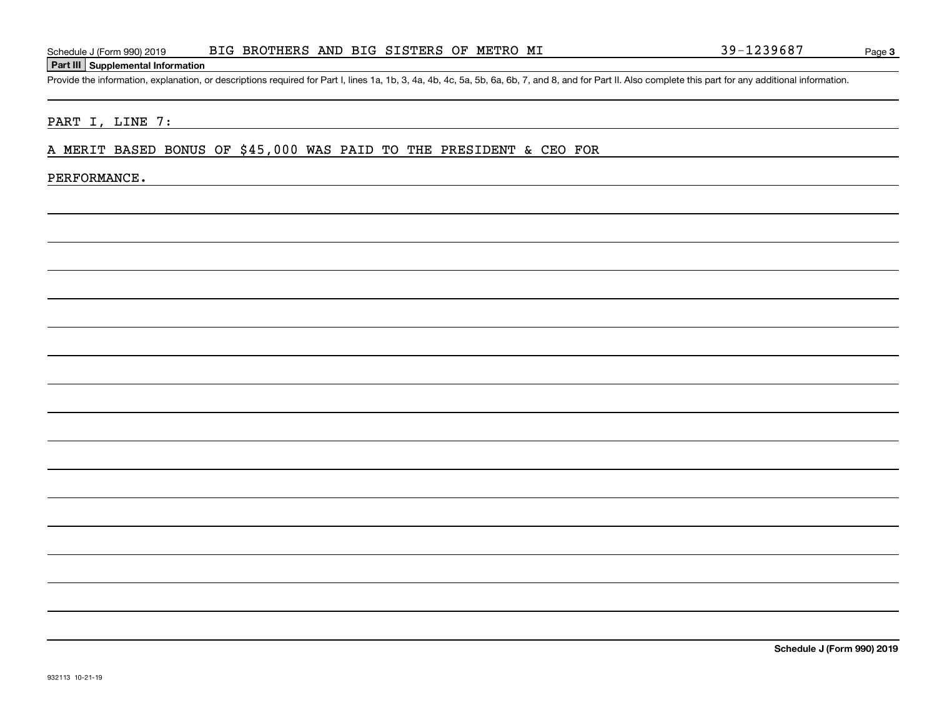### **Part III Supplemental Information**

Schedule J (Form 990) 2019 BIG BROTHERS AND BIG SISTERS OF METRO MI<br>Part III Supplemental Information<br>Provide the information, explanation, or descriptions required for Part I, lines 1a, 1b, 3, 4a, 4b, 4c, 5a, 5b, 6a, 6b,

#### PART I, LINE 7:

#### A MERIT BASED BONUS OF \$45,000 WAS PAID TO THE PRESIDENT & CEO FOR

#### PERFORMANCE.

**Schedule J (Form 990) 2019**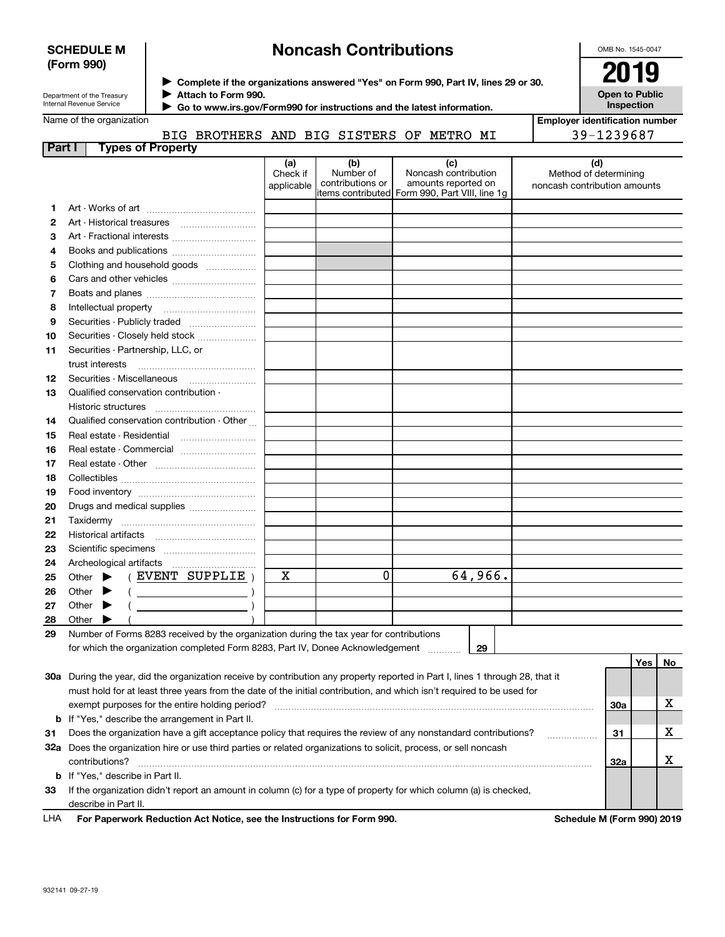#### **SCHEDULE M (Form 990)**

## **Noncash Contributions**

OMB No. 1545-0047

| Department of the Treasury |
|----------------------------|
| Internal Revenue Service   |

**Complete if the organizations answered "Yes" on Form 990, Part IV, lines 29 or 30.** <sup>J</sup>**2019 Attach to Form 990.** J

**Open to Public Inspection**

|  | Name of the organization |  |
|--|--------------------------|--|

 **Go to www.irs.gov/Form990 for instructions and the latest information.** J

| Vame of the organization |                   |                                 |         |  |  |  |        |    | <b>Employer identification number</b> |            |  |
|--------------------------|-------------------|---------------------------------|---------|--|--|--|--------|----|---------------------------------------|------------|--|
|                          |                   | BIG BROTHERS AND BIG SISTERS OF |         |  |  |  | METRO  | MI |                                       | 39-1239687 |  |
| Part I                   | Types of Property |                                 |         |  |  |  |        |    |                                       |            |  |
|                          |                   |                                 | $I - I$ |  |  |  | $\sim$ |    |                                       | $\sim$     |  |

|    |                                                                                                                                | (a)<br>Check if<br>applicable | (b)<br>Number of<br>contributions or | (c)<br>Noncash contribution<br>amounts reported on<br>items contributed  Form 990, Part VIII, line 1g | (d)<br>Method of determining<br>noncash contribution amounts |     |             |
|----|--------------------------------------------------------------------------------------------------------------------------------|-------------------------------|--------------------------------------|-------------------------------------------------------------------------------------------------------|--------------------------------------------------------------|-----|-------------|
| 1  |                                                                                                                                |                               |                                      |                                                                                                       |                                                              |     |             |
| 2  | Art - Historical treasures                                                                                                     |                               |                                      |                                                                                                       |                                                              |     |             |
| З  |                                                                                                                                |                               |                                      |                                                                                                       |                                                              |     |             |
| 4  | Books and publications                                                                                                         |                               |                                      |                                                                                                       |                                                              |     |             |
| 5  | Clothing and household goods                                                                                                   |                               |                                      |                                                                                                       |                                                              |     |             |
| 6  |                                                                                                                                |                               |                                      |                                                                                                       |                                                              |     |             |
| 7  |                                                                                                                                |                               |                                      |                                                                                                       |                                                              |     |             |
| 8  |                                                                                                                                |                               |                                      |                                                                                                       |                                                              |     |             |
| 9  | Securities - Publicly traded                                                                                                   |                               |                                      |                                                                                                       |                                                              |     |             |
| 10 | Securities - Closely held stock                                                                                                |                               |                                      |                                                                                                       |                                                              |     |             |
| 11 | Securities - Partnership, LLC, or                                                                                              |                               |                                      |                                                                                                       |                                                              |     |             |
|    | trust interests                                                                                                                |                               |                                      |                                                                                                       |                                                              |     |             |
| 12 |                                                                                                                                |                               |                                      |                                                                                                       |                                                              |     |             |
| 13 | Qualified conservation contribution -                                                                                          |                               |                                      |                                                                                                       |                                                              |     |             |
|    | Historic structures                                                                                                            |                               |                                      |                                                                                                       |                                                              |     |             |
| 14 | Qualified conservation contribution - Other                                                                                    |                               |                                      |                                                                                                       |                                                              |     |             |
| 15 | Real estate - Residential                                                                                                      |                               |                                      |                                                                                                       |                                                              |     |             |
| 16 | Real estate - Commercial                                                                                                       |                               |                                      |                                                                                                       |                                                              |     |             |
| 17 |                                                                                                                                |                               |                                      |                                                                                                       |                                                              |     |             |
| 18 |                                                                                                                                |                               |                                      |                                                                                                       |                                                              |     |             |
| 19 |                                                                                                                                |                               |                                      |                                                                                                       |                                                              |     |             |
| 20 | Drugs and medical supplies                                                                                                     |                               |                                      |                                                                                                       |                                                              |     |             |
| 21 |                                                                                                                                |                               |                                      |                                                                                                       |                                                              |     |             |
| 22 |                                                                                                                                |                               |                                      |                                                                                                       |                                                              |     |             |
| 23 |                                                                                                                                |                               |                                      |                                                                                                       |                                                              |     |             |
| 24 |                                                                                                                                |                               |                                      |                                                                                                       |                                                              |     |             |
| 25 | (EVENT SUPPLIE)<br>Other $\blacktriangleright$                                                                                 | $\mathbf X$                   | $\mathbf 0$                          | 64,966.                                                                                               |                                                              |     |             |
| 26 | Other $\blacktriangleright$<br>$\left(\begin{array}{ccc}\n&\quad&\quad&\n\end{array}\right)$                                   |                               |                                      |                                                                                                       |                                                              |     |             |
| 27 | Other $\blacktriangleright$                                                                                                    |                               |                                      |                                                                                                       |                                                              |     |             |
| 28 | Other<br>▸                                                                                                                     |                               |                                      |                                                                                                       |                                                              |     |             |
| 29 | Number of Forms 8283 received by the organization during the tax year for contributions                                        |                               |                                      |                                                                                                       |                                                              |     |             |
|    | for which the organization completed Form 8283, Part IV, Donee Acknowledgement                                                 |                               |                                      | 29                                                                                                    |                                                              |     |             |
|    |                                                                                                                                |                               |                                      |                                                                                                       |                                                              | Yes | No.         |
|    | 30a During the year, did the organization receive by contribution any property reported in Part I, lines 1 through 28, that it |                               |                                      |                                                                                                       |                                                              |     |             |
|    | must hold for at least three years from the date of the initial contribution, and which isn't required to be used for          |                               |                                      |                                                                                                       |                                                              |     |             |
|    |                                                                                                                                |                               |                                      |                                                                                                       | 30a                                                          |     | х           |
|    | <b>b</b> If "Yes," describe the arrangement in Part II.                                                                        |                               |                                      |                                                                                                       |                                                              |     |             |
| 31 | Does the organization have a gift acceptance policy that requires the review of any nonstandard contributions?                 |                               |                                      |                                                                                                       | 31                                                           |     | $\mathbf X$ |

**33**If the organization didn't report an amount in column (c) for a type of property for which column (a) is checked, **b**If "Yes," describe in Part II. contributions? ~~~~~~~~~~~~~~~~~~~~~~~~~~~~~~~~~~~~~~~~~~~~~~~~~~~~~~ describe in Part II.

**32a** Does the organization hire or use third parties or related organizations to solicit, process, or sell noncash

**For Paperwork Reduction Act Notice, see the Instructions for Form 990. Schedule M (Form 990) 2019** LHA

**32a**

X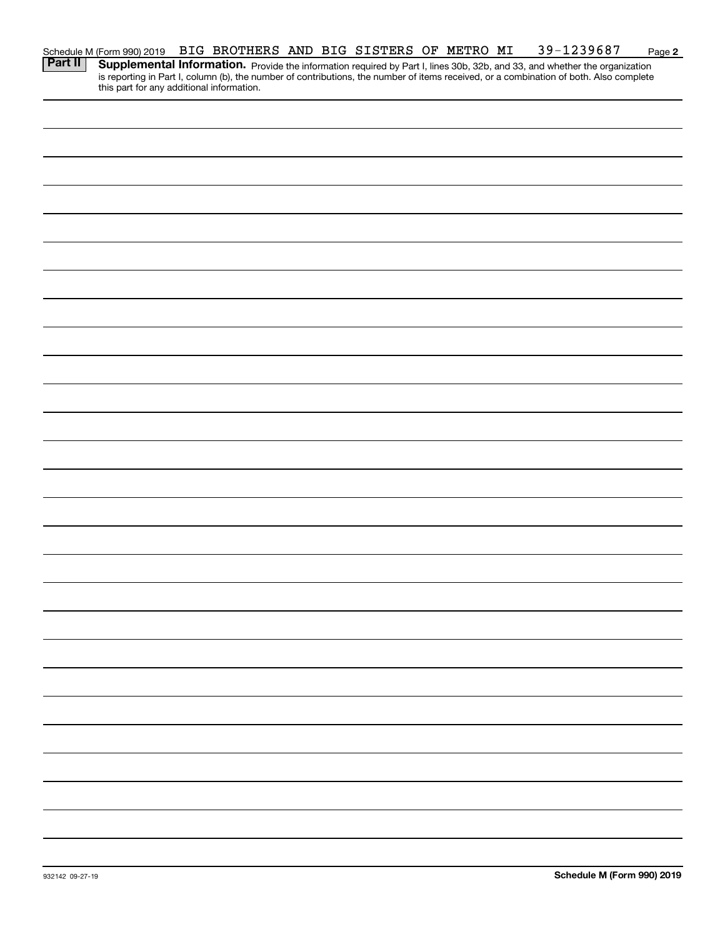|                                                                                                         | BIG BROTHERS AND BIG SISTERS OF METRO MI |  |  |  | 39-1239687                                                                                                                                                                                                                          | Page 2 |
|---------------------------------------------------------------------------------------------------------|------------------------------------------|--|--|--|-------------------------------------------------------------------------------------------------------------------------------------------------------------------------------------------------------------------------------------|--------|
| Schedule M (Form 990) 2019<br><b>Part II</b>   Supplementa<br>this part for any additional information. |                                          |  |  |  | <b>Supplemental Information.</b> Provide the information required by Part I, lines 30b, 32b, and 33, and whether the organization is reporting in Part I, column (b), the number of contributions, the number of items received, or |        |
|                                                                                                         |                                          |  |  |  |                                                                                                                                                                                                                                     |        |
|                                                                                                         |                                          |  |  |  |                                                                                                                                                                                                                                     |        |
|                                                                                                         |                                          |  |  |  |                                                                                                                                                                                                                                     |        |
|                                                                                                         |                                          |  |  |  |                                                                                                                                                                                                                                     |        |
|                                                                                                         |                                          |  |  |  |                                                                                                                                                                                                                                     |        |
|                                                                                                         |                                          |  |  |  |                                                                                                                                                                                                                                     |        |
|                                                                                                         |                                          |  |  |  |                                                                                                                                                                                                                                     |        |
|                                                                                                         |                                          |  |  |  |                                                                                                                                                                                                                                     |        |
|                                                                                                         |                                          |  |  |  |                                                                                                                                                                                                                                     |        |
|                                                                                                         |                                          |  |  |  |                                                                                                                                                                                                                                     |        |
|                                                                                                         |                                          |  |  |  |                                                                                                                                                                                                                                     |        |
|                                                                                                         |                                          |  |  |  |                                                                                                                                                                                                                                     |        |
|                                                                                                         |                                          |  |  |  |                                                                                                                                                                                                                                     |        |
|                                                                                                         |                                          |  |  |  |                                                                                                                                                                                                                                     |        |
|                                                                                                         |                                          |  |  |  |                                                                                                                                                                                                                                     |        |
|                                                                                                         |                                          |  |  |  |                                                                                                                                                                                                                                     |        |
|                                                                                                         |                                          |  |  |  |                                                                                                                                                                                                                                     |        |
|                                                                                                         |                                          |  |  |  |                                                                                                                                                                                                                                     |        |
|                                                                                                         |                                          |  |  |  |                                                                                                                                                                                                                                     |        |
|                                                                                                         |                                          |  |  |  |                                                                                                                                                                                                                                     |        |
|                                                                                                         |                                          |  |  |  |                                                                                                                                                                                                                                     |        |
|                                                                                                         |                                          |  |  |  |                                                                                                                                                                                                                                     |        |
|                                                                                                         |                                          |  |  |  |                                                                                                                                                                                                                                     |        |
|                                                                                                         |                                          |  |  |  |                                                                                                                                                                                                                                     |        |
|                                                                                                         |                                          |  |  |  |                                                                                                                                                                                                                                     |        |
|                                                                                                         |                                          |  |  |  |                                                                                                                                                                                                                                     |        |
|                                                                                                         |                                          |  |  |  |                                                                                                                                                                                                                                     |        |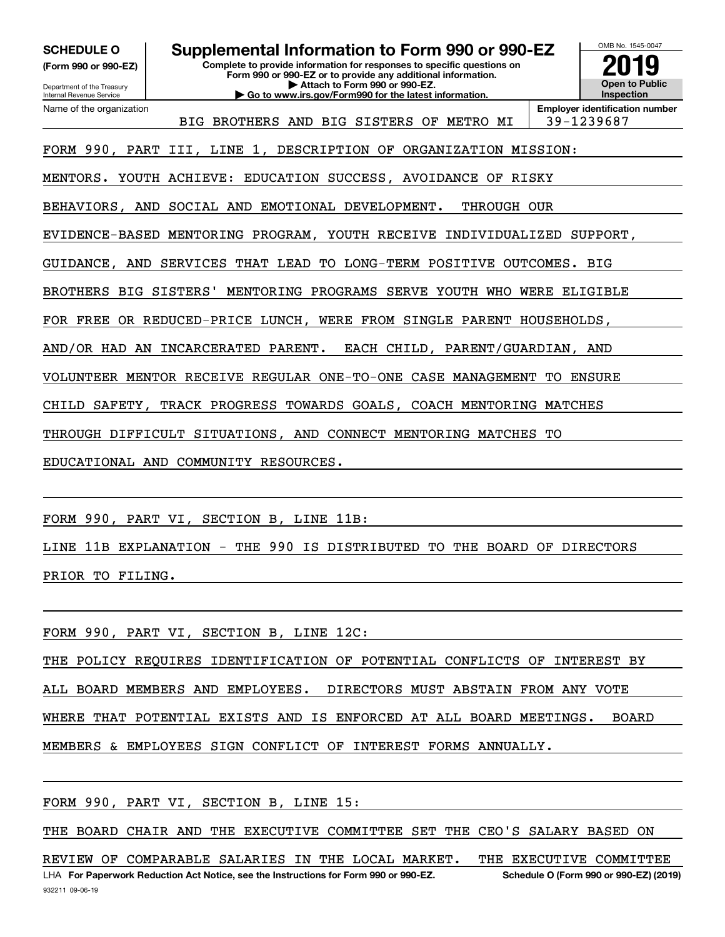**(Form 990 or 990-EZ)**

**SCHEDULE O Supplemental Information to Form 990 or 990-EZ**

**Complete to provide information for responses to specific questions on Form 990 or 990-EZ or to provide any additional information. | Attach to Form 990 or 990-EZ. | Go to www.irs.gov/Form990 for the latest information.**



Department of the Treasury Internal Revenue Service Name of the organization

BIG BROTHERS AND BIG SISTERS OF METRO MI | 39-1239687

FORM 990, PART III, LINE 1, DESCRIPTION OF ORGANIZATION MISSION:

MENTORS. YOUTH ACHIEVE: EDUCATION SUCCESS, AVOIDANCE OF RISKY

BEHAVIORS, AND SOCIAL AND EMOTIONAL DEVELOPMENT. THROUGH OUR

EVIDENCE-BASED MENTORING PROGRAM, YOUTH RECEIVE INDIVIDUALIZED SUPPORT,

GUIDANCE, AND SERVICES THAT LEAD TO LONG-TERM POSITIVE OUTCOMES. BIG

BROTHERS BIG SISTERS' MENTORING PROGRAMS SERVE YOUTH WHO WERE ELIGIBLE

FOR FREE OR REDUCED-PRICE LUNCH, WERE FROM SINGLE PARENT HOUSEHOLDS,

AND/OR HAD AN INCARCERATED PARENT. EACH CHILD, PARENT/GUARDIAN, AND

VOLUNTEER MENTOR RECEIVE REGULAR ONE-TO-ONE CASE MANAGEMENT TO ENSURE

CHILD SAFETY, TRACK PROGRESS TOWARDS GOALS, COACH MENTORING MATCHES

THROUGH DIFFICULT SITUATIONS, AND CONNECT MENTORING MATCHES TO

EDUCATIONAL AND COMMUNITY RESOURCES.

FORM 990, PART VI, SECTION B, LINE 11B:

LINE 11B EXPLANATION - THE 990 IS DISTRIBUTED TO THE BOARD OF DIRECTORS PRIOR TO FILING.

FORM 990, PART VI, SECTION B, LINE 12C:

THE POLICY REQUIRES IDENTIFICATION OF POTENTIAL CONFLICTS OF INTEREST BY ALL BOARD MEMBERS AND EMPLOYEES. DIRECTORS MUST ABSTAIN FROM ANY VOTE WHERE THAT POTENTIAL EXISTS AND IS ENFORCED AT ALL BOARD MEETINGS. BOARD MEMBERS & EMPLOYEES SIGN CONFLICT OF INTEREST FORMS ANNUALLY.

FORM 990, PART VI, SECTION B, LINE 15:

THE BOARD CHAIR AND THE EXECUTIVE COMMITTEE SET THE CEO'S SALARY BASED ON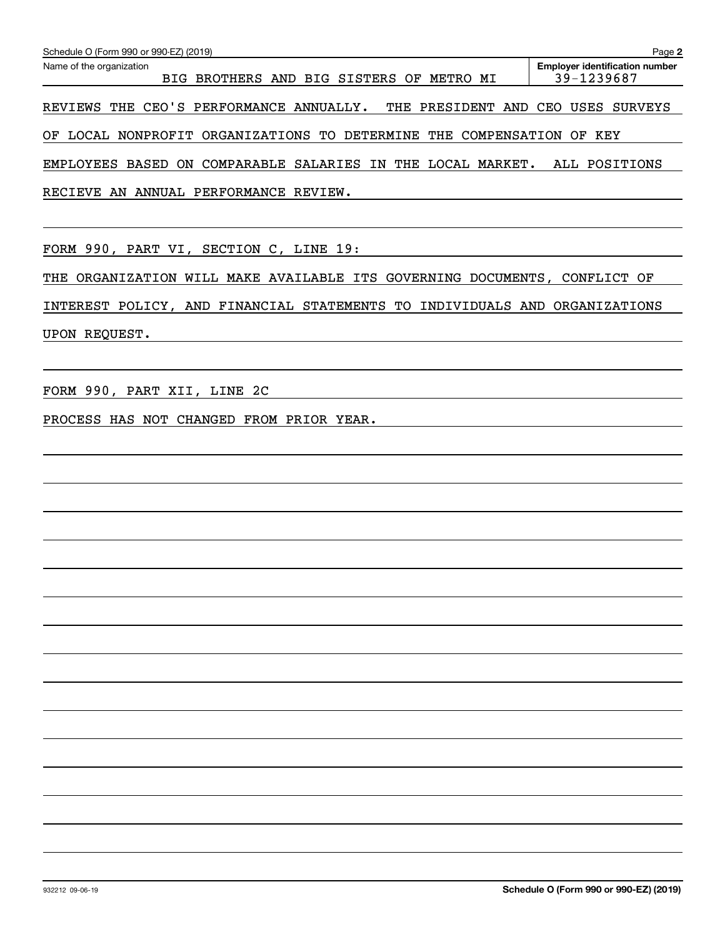| Schedule O (Form 990 or 990-EZ) (2019)                                        | Page 2                                              |
|-------------------------------------------------------------------------------|-----------------------------------------------------|
| Name of the organization<br>BIG BROTHERS AND BIG SISTERS OF METRO MI          | <b>Employer identification number</b><br>39-1239687 |
| REVIEWS THE CEO'S PERFORMANCE ANNUALLY.<br>THE PRESIDENT AND CEO USES SURVEYS |                                                     |
| OF LOCAL NONPROFIT ORGANIZATIONS TO DETERMINE THE COMPENSATION OF KEY         |                                                     |
| EMPLOYEES BASED ON COMPARABLE SALARIES IN THE LOCAL MARKET.                   | ALL POSITIONS                                       |
| RECIEVE AN ANNUAL PERFORMANCE REVIEW.                                         |                                                     |
|                                                                               |                                                     |
| FORM 990, PART VI, SECTION C, LINE 19:                                        |                                                     |
| THE ORGANIZATION WILL MAKE AVAILABLE ITS GOVERNING DOCUMENTS, CONFLICT OF     |                                                     |
| INTEREST POLICY, AND FINANCIAL STATEMENTS TO INDIVIDUALS AND ORGANIZATIONS    |                                                     |
| UPON REQUEST.                                                                 |                                                     |
|                                                                               |                                                     |
| FORM 990, PART XII, LINE 2C                                                   |                                                     |
| PROCESS HAS NOT CHANGED FROM PRIOR YEAR.                                      |                                                     |
|                                                                               |                                                     |
|                                                                               |                                                     |
|                                                                               |                                                     |
|                                                                               |                                                     |
|                                                                               |                                                     |
|                                                                               |                                                     |
|                                                                               |                                                     |
|                                                                               |                                                     |
|                                                                               |                                                     |
|                                                                               |                                                     |
|                                                                               |                                                     |
|                                                                               |                                                     |
|                                                                               |                                                     |
|                                                                               |                                                     |
|                                                                               |                                                     |